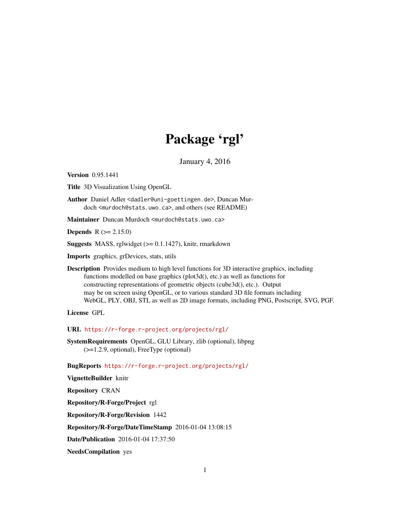# Package 'rgl'

January 4, 2016

<span id="page-0-0"></span>Version 0.95.1441

Title 3D Visualization Using OpenGL

Author Daniel Adler <dadler@uni-goettingen.de>, Duncan Murdoch <murdoch@stats.uwo.ca>, and others (see README)

Maintainer Duncan Murdoch <murdoch@stats.uwo.ca>

**Depends**  $R (= 2.15.0)$ 

Suggests MASS, rglwidget (>= 0.1.1427), knitr, rmarkdown

Imports graphics, grDevices, stats, utils

Description Provides medium to high level functions for 3D interactive graphics, including functions modelled on base graphics (plot3d(), etc.) as well as functions for constructing representations of geometric objects (cube3d(), etc.). Output may be on screen using OpenGL, or to various standard 3D file formats including WebGL, PLY, OBJ, STL as well as 2D image formats, including PNG, Postscript, SVG, PGF.

License GPL

URL <https://r-forge.r-project.org/projects/rgl/>

SystemRequirements OpenGL, GLU Library, zlib (optional), libpng (>=1.2.9, optional), FreeType (optional)

BugReports <https://r-forge.r-project.org/projects/rgl/>

VignetteBuilder knitr

Repository CRAN

Repository/R-Forge/Project rgl

Repository/R-Forge/Revision 1442

Repository/R-Forge/DateTimeStamp 2016-01-04 13:08:15

Date/Publication 2016-01-04 17:37:50

NeedsCompilation yes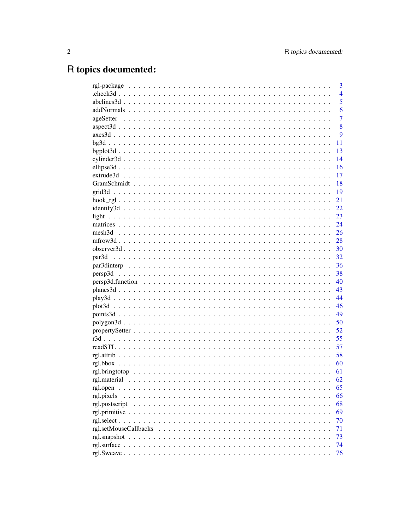# R topics documented:

|                   | 3              |
|-------------------|----------------|
|                   | $\overline{4}$ |
|                   | 5              |
|                   | 6              |
|                   | 7              |
|                   | 8              |
|                   | 9              |
|                   | 11             |
|                   | 13             |
|                   | 14             |
|                   | 16             |
|                   | 17             |
|                   | 18             |
|                   | 19             |
|                   | 21             |
|                   | 22             |
|                   | 23             |
|                   | 24             |
| mesh3d            | 26             |
|                   | 28             |
|                   | 30             |
| par <sub>3d</sub> | 32             |
|                   | 36             |
|                   | 38             |
|                   | 40             |
|                   | 43             |
|                   | 44             |
|                   | 46             |
|                   | 49             |
|                   | 50             |
|                   | 52             |
|                   | 55             |
|                   | 57             |
|                   | 58             |
|                   |                |
|                   | 61             |
|                   | 62             |
| rgl.open          | 65             |
| rgl.pixels        | 66             |
| rgl.postscript    | 68             |
|                   | 69             |
|                   | 70             |
|                   | 71             |
|                   | 73             |
|                   | 74             |
|                   | 76             |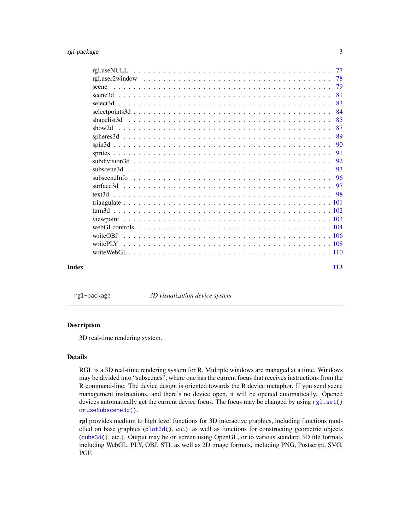<span id="page-2-0"></span>

|       | scene    |
|-------|----------|
|       | -81      |
|       | 83       |
|       |          |
|       |          |
|       |          |
|       | 89       |
|       | -90      |
|       | 91       |
|       |          |
|       | 93       |
|       |          |
|       |          |
|       |          |
|       |          |
|       |          |
|       |          |
|       |          |
|       | writeOBJ |
|       | writePLY |
|       |          |
| Index | 113      |

rgl-package *3D visualization device system*

# Description

3D real-time rendering system.

# Details

RGL is a 3D real-time rendering system for R. Multiple windows are managed at a time. Windows may be divided into "subscenes", where one has the current focus that receives instructions from the R command-line. The device design is oriented towards the R device metaphor. If you send scene management instructions, and there's no device open, it will be opened automatically. Opened devices automatically get the current device focus. The focus may be changed by using [rgl.set\(](#page-64-1)) or [useSubscene3d\(](#page-92-1)).

rgl provides medium to high level functions for 3D interactive graphics, including functions modelled on base graphics  $(plot3d(), etc.)$  $(plot3d(), etc.)$  $(plot3d(), etc.)$  as well as functions for constructing geometric objects ([cube3d\(](#page-25-1)), etc.). Output may be on screen using OpenGL, or to various standard 3D file formats including WebGL, PLY, OBJ, STL as well as 2D image formats, including PNG, Postscript, SVG, PGF.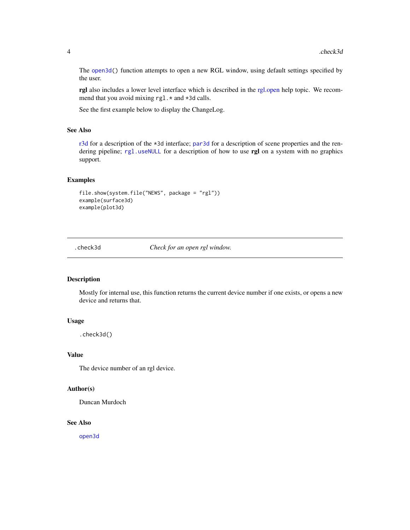<span id="page-3-0"></span>The [open3d\(](#page-31-1)) function attempts to open a new RGL window, using default settings specified by the user.

rgl also includes a lower level interface which is described in the [rgl.open](#page-64-2) help topic. We recommend that you avoid mixing rgl. \* and \*3d calls.

See the first example below to display the ChangeLog.

# See Also

[r3d](#page-54-1) for a description of the \*3d interface; [par3d](#page-31-2) for a description of scene properties and the rendering pipeline; [rgl.useNULL](#page-76-1) for a description of how to use rgl on a system with no graphics support.

# Examples

```
file.show(system.file("NEWS", package = "rgl"))
example(surface3d)
example(plot3d)
```
.check3d *Check for an open rgl window.*

# Description

Mostly for internal use, this function returns the current device number if one exists, or opens a new device and returns that.

#### Usage

.check3d()

# Value

The device number of an rgl device.

#### Author(s)

Duncan Murdoch

#### See Also

[open3d](#page-31-1)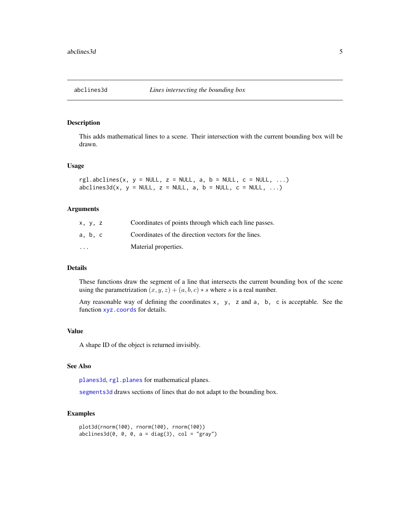<span id="page-4-1"></span><span id="page-4-0"></span>

# Description

This adds mathematical lines to a scene. Their intersection with the current bounding box will be drawn.

#### Usage

```
rgl.abclines(x, y = NULL, z = NULL, a, b = NULL, c = NULL, ...)
abclines3d(x, y = NULL, z = NULL, a, b = NULL, c = NULL, ...)
```
# Arguments

| x, y, z | Coordinates of points through which each line passes. |
|---------|-------------------------------------------------------|
| a, b, c | Coordinates of the direction vectors for the lines.   |
| $\cdot$ | Material properties.                                  |

#### Details

These functions draw the segment of a line that intersects the current bounding box of the scene using the parametrization  $(x, y, z) + (a, b, c) * s$  where s is a real number.

Any reasonable way of defining the coordinates  $x$ ,  $y$ ,  $z$  and  $a$ ,  $b$ ,  $c$  is acceptable. See the function [xyz.coords](#page-0-0) for details.

# Value

A shape ID of the object is returned invisibly.

# See Also

[planes3d](#page-42-1), [rgl.planes](#page-42-2) for mathematical planes.

[segments3d](#page-48-1) draws sections of lines that do not adapt to the bounding box.

#### Examples

```
plot3d(rnorm(100), rnorm(100), rnorm(100))
abclines3d(0, 0, 0, a = diag(3), col = "gray")
```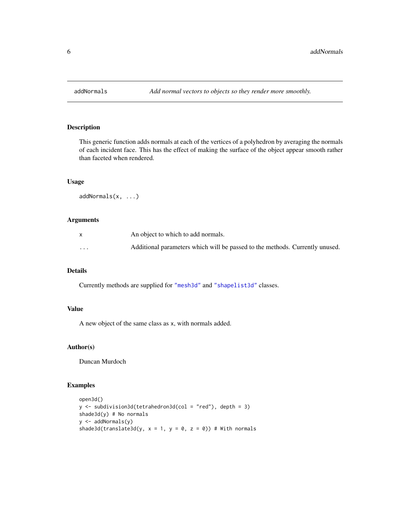<span id="page-5-0"></span>

# Description

This generic function adds normals at each of the vertices of a polyhedron by averaging the normals of each incident face. This has the effect of making the surface of the object appear smooth rather than faceted when rendered.

#### Usage

addNormals(x, ...)

# Arguments

|         | An object to which to add normals.                                           |
|---------|------------------------------------------------------------------------------|
| $\cdot$ | Additional parameters which will be passed to the methods. Currently unused. |

# Details

Currently methods are supplied for ["mesh3d"](#page-25-2) and ["shapelist3d"](#page-84-1) classes.

# Value

A new object of the same class as x, with normals added.

# Author(s)

Duncan Murdoch

# Examples

```
open3d()
y <- subdivision3d(tetrahedron3d(col = "red"), depth = 3)
shade3d(y) # No normals
y <- addNormals(y)
shade3d(translate3d(y, x = 1, y = 0, z = 0)) # With normals
```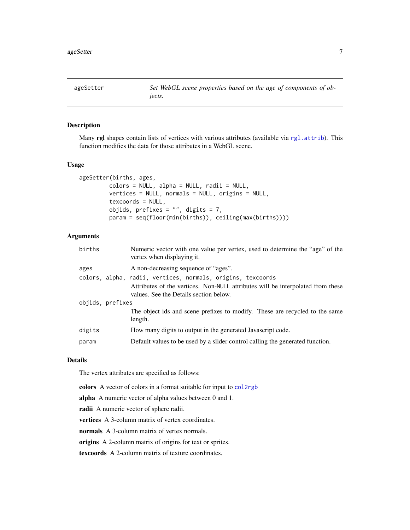<span id="page-6-0"></span>ageSetter *Set WebGL scene properties based on the age of components of objects.*

# Description

Many rgl shapes contain lists of vertices with various attributes (available via [rgl.attrib](#page-57-1)). This function modifies the data for those attributes in a WebGL scene.

#### Usage

```
ageSetter(births, ages,
         colors = NULL, alpha = NULL, radii = NULL,
         vertices = NULL, normals = NULL, origins = NULL,
         texcoords = NULL,
         objids, prefixes = ", digits = 7,
         param = seq(floor(min(births)), ceiling(max(births))))
```
# Arguments

| births           | Numeric vector with one value per vertex, used to determine the "age" of the<br>vertex when displaying it.                |
|------------------|---------------------------------------------------------------------------------------------------------------------------|
| ages             | A non-decreasing sequence of "ages".                                                                                      |
|                  | colors, alpha, radii, vertices, normals, origins, texcoords                                                               |
|                  | Attributes of the vertices. Non-NULL attributes will be interpolated from these<br>values. See the Details section below. |
| objids, prefixes |                                                                                                                           |
|                  | The object ids and scene prefixes to modify. These are recycled to the same<br>length.                                    |
| digits           | How many digits to output in the generated Javascript code.                                                               |
| param            | Default values to be used by a slider control calling the generated function.                                             |

#### Details

The vertex attributes are specified as follows:

colors A vector of colors in a format suitable for input to [col2rgb](#page-0-0)

alpha A numeric vector of alpha values between 0 and 1.

radii A numeric vector of sphere radii.

vertices A 3-column matrix of vertex coordinates.

normals A 3-column matrix of vertex normals.

origins A 2-column matrix of origins for text or sprites.

texcoords A 2-column matrix of texture coordinates.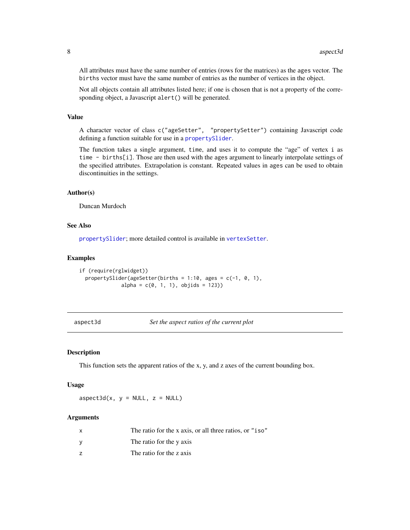<span id="page-7-0"></span>All attributes must have the same number of entries (rows for the matrices) as the ages vector. The births vector must have the same number of entries as the number of vertices in the object.

Not all objects contain all attributes listed here; if one is chosen that is not a property of the corresponding object, a Javascript alert() will be generated.

# Value

A character vector of class c("ageSetter", "propertySetter") containing Javascript code defining a function suitable for use in a [propertySlider](#page-51-1).

The function takes a single argument, time, and uses it to compute the "age" of vertex i as time - births[i]. Those are then used with the ages argument to linearly interpolate settings of the specified attributes. Extrapolation is constant. Repeated values in ages can be used to obtain discontinuities in the settings.

# Author(s)

Duncan Murdoch

# See Also

[propertySlider](#page-51-1); more detailed control is available in [vertexSetter](#page-51-1).

# Examples

```
if (require(rglwidget))
 propertySlider(ageSetter(births = 1:10, ages = c(-1, 0, 1),
             alpha = c(0, 1, 1), objids = 123)
```
<span id="page-7-1"></span>aspect3d *Set the aspect ratios of the current plot*

#### Description

This function sets the apparent ratios of the x, y, and z axes of the current bounding box.

# Usage

 $aspect3d(x, y = NULL, z = NULL)$ 

#### Arguments

| The ratio for the x axis, or all three ratios, or "iso" |
|---------------------------------------------------------|
| The ratio for the y axis                                |
| The ratio for the z axis                                |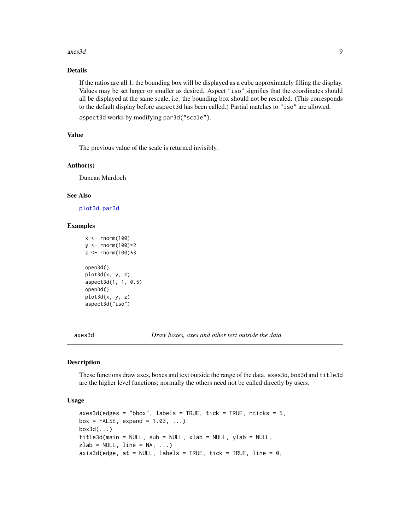#### <span id="page-8-0"></span> $axes3d$  9

# Details

If the ratios are all 1, the bounding box will be displayed as a cube approximately filling the display. Values may be set larger or smaller as desired. Aspect "iso" signifies that the coordinates should all be displayed at the same scale, i.e. the bounding box should not be rescaled. (This corresponds to the default display before aspect3d has been called.) Partial matches to "iso" are allowed.

aspect3d works by modifying par3d("scale").

# Value

The previous value of the scale is returned invisibly.

#### Author(s)

Duncan Murdoch

# See Also

[plot3d](#page-45-1), [par3d](#page-31-2)

# Examples

```
x < - rnorm(100)
y <- rnorm(100)*2
z <- rnorm(100)*3
open3d()
plot3d(x, y, z)
aspect3d(1, 1, 0.5)
open3d()
plot3d(x, y, z)
aspect3d("iso")
```
axes3d *Draw boxes, axes and other text outside the data*

#### <span id="page-8-1"></span>Description

These functions draw axes, boxes and text outside the range of the data. axes3d, box3d and title3d are the higher level functions; normally the others need not be called directly by users.

```
axes3d(edges = "bbox", labels = TRUE, tick = TRUE, nticks = 5,box = FALSE, expand = 1.03, ...box3d(...)
title3d(main = NULL, sub = NULL, xlab = NULL, ylab = NULL,
zlab = NULL, line = NA, ...)
axis3d(edge, at = NULL, labels = TRUE, tick = TRUE, line = 0,
```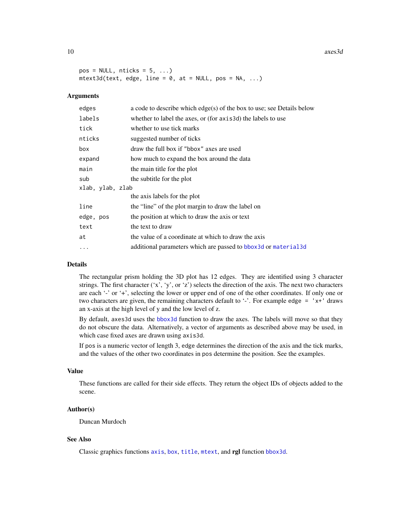10 axes3d

```
pos = NULL, \n  <i>n</i>ticks = 5, ...)mtext{Text3d(text, edge, line = 0, at = NULL, pos = NA, ...})
```
# Arguments

| edges            | a code to describe which $edge(s)$ of the box to use; see Details below |
|------------------|-------------------------------------------------------------------------|
| labels           | whether to label the axes, or (for axis3d) the labels to use            |
| tick             | whether to use tick marks                                               |
| nticks           | suggested number of ticks                                               |
| box              | draw the full box if "bbox" axes are used                               |
| expand           | how much to expand the box around the data                              |
| main             | the main title for the plot                                             |
| sub              | the subtitle for the plot                                               |
| xlab, ylab, zlab |                                                                         |
|                  | the axis labels for the plot                                            |
| line             | the "line" of the plot margin to draw the label on                      |
| edge, pos        | the position at which to draw the axis or text                          |
| text             | the text to draw                                                        |
| at               | the value of a coordinate at which to draw the axis                     |
| $\ddotsc$        | additional parameters which are passed to bbox 3d or material 3d        |

#### Details

The rectangular prism holding the 3D plot has 12 edges. They are identified using 3 character strings. The first character ('x', 'y', or 'z') selects the direction of the axis. The next two characters are each '-' or '+', selecting the lower or upper end of one of the other coordinates. If only one or two characters are given, the remaining characters default to '-'. For example edge =  $'x+'$  draws an x-axis at the high level of y and the low level of z.

By default, axes3d uses the [bbox3d](#page-59-1) function to draw the axes. The labels will move so that they do not obscure the data. Alternatively, a vector of arguments as described above may be used, in which case fixed axes are drawn using axis3d.

If pos is a numeric vector of length 3, edge determines the direction of the axis and the tick marks, and the values of the other two coordinates in pos determine the position. See the examples.

# Value

These functions are called for their side effects. They return the object IDs of objects added to the scene.

# Author(s)

Duncan Murdoch

# See Also

Classic graphics functions [axis](#page-0-0), [box](#page-0-0), [title](#page-0-0), [mtext](#page-0-0), and rgl function [bbox3d](#page-59-1).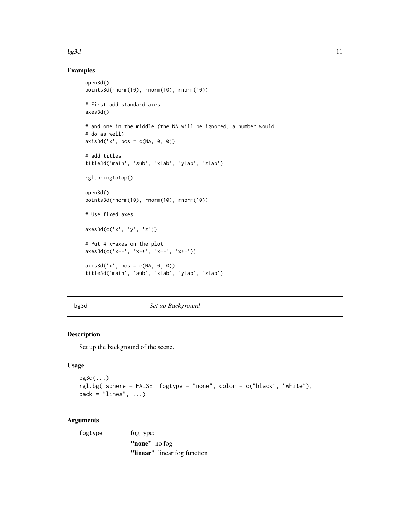#### <span id="page-10-0"></span> $bg3d$  11

# Examples

```
open3d()
points3d(rnorm(10), rnorm(10), rnorm(10))
# First add standard axes
axes3d()
# and one in the middle (the NA will be ignored, a number would
# do as well)
axis3d('x', pos = c(NA, 0, 0))# add titles
title3d('main', 'sub', 'xlab', 'ylab', 'zlab')
rgl.bringtotop()
open3d()
points3d(rnorm(10), rnorm(10), rnorm(10))
# Use fixed axes
axes3d(c('x', 'y', 'z'))
# Put 4 x-axes on the plot
axes3d(c('x--', 'x-+', 'x+-', 'x++'))
axis3d('x', pos = c(NA, 0, 0))title3d('main', 'sub', 'xlab', 'ylab', 'zlab')
```
# <span id="page-10-1"></span>bg3d *Set up Background*

# Description

Set up the background of the scene.

# Usage

```
bg3d(...)
rgl.bg( sphere = FALSE, fogtype = "none", color = c("black", "white"),
back = "lines", ...)
```
#### Arguments

| fogtype | fog type:                    |
|---------|------------------------------|
|         | "none" no fog                |
|         | "linear" linear fog function |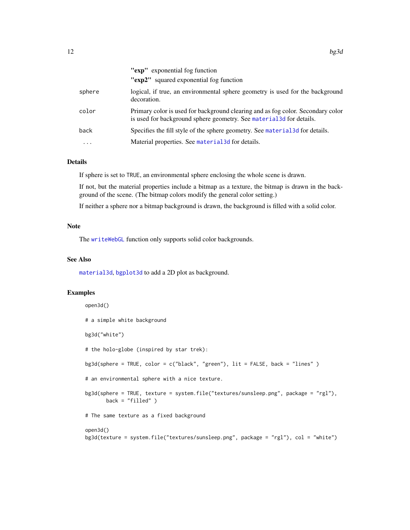|          | "exp" exponential fog function                                                                                                                          |
|----------|---------------------------------------------------------------------------------------------------------------------------------------------------------|
|          | "exp2" squared exponential fog function                                                                                                                 |
| sphere   | logical, if true, an environmental sphere geometry is used for the background<br>decoration.                                                            |
| color    | Primary color is used for background clearing and as fog color. Secondary color<br>is used for background sphere geometry. See material 3d for details. |
| back     | Specifies the fill style of the sphere geometry. See material 3d for details.                                                                           |
| $\cdots$ | Material properties. See material 3d for details.                                                                                                       |
|          |                                                                                                                                                         |

# Details

If sphere is set to TRUE, an environmental sphere enclosing the whole scene is drawn.

If not, but the material properties include a bitmap as a texture, the bitmap is drawn in the background of the scene. (The bitmap colors modify the general color setting.)

If neither a sphere nor a bitmap background is drawn, the background is filled with a solid color.

# Note

The [writeWebGL](#page-109-1) function only supports solid color backgrounds.

# See Also

[material3d](#page-61-1), [bgplot3d](#page-12-1) to add a 2D plot as background.

#### Examples

```
open3d()
# a simple white background
bg3d("white")
# the holo-globe (inspired by star trek):
bg3d(sphere = TRUE, color = c("black", "green"), lit = FALSE, back = "lines" )
# an environmental sphere with a nice texture.
bg3d(sphere = TRUE, texture = system.file("textures/sunsleep.png", package = "rgl"),
      back = "filled" )# The same texture as a fixed background
open3d()
```
bg3d(texture = system.file("textures/sunsleep.png", package = "rgl"), col = "white")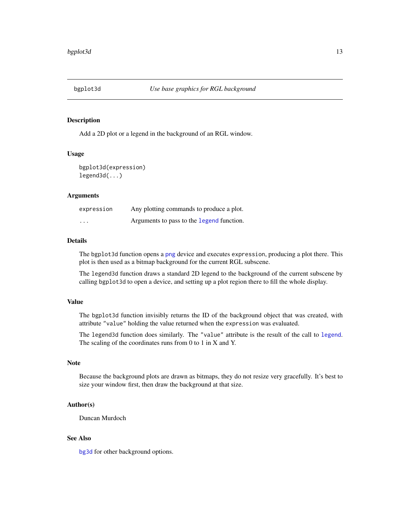<span id="page-12-1"></span><span id="page-12-0"></span>

# Description

Add a 2D plot or a legend in the background of an RGL window.

# Usage

```
bgplot3d(expression)
legend3d(...)
```
# Arguments

| expression | Any plotting commands to produce a plot.  |
|------------|-------------------------------------------|
| $\cdots$   | Arguments to pass to the legend function. |

# Details

The bgplot3d function opens a [png](#page-0-0) device and executes expression, producing a plot there. This plot is then used as a bitmap background for the current RGL subscene.

The legend3d function draws a standard 2D legend to the background of the current subscene by calling bgplot3d to open a device, and setting up a plot region there to fill the whole display.

# Value

The bgplot3d function invisibly returns the ID of the background object that was created, with attribute "value" holding the value returned when the expression was evaluated.

The legend3d function does similarly. The "value" attribute is the result of the call to [legend](#page-0-0). The scaling of the coordinates runs from 0 to 1 in X and Y.

#### Note

Because the background plots are drawn as bitmaps, they do not resize very gracefully. It's best to size your window first, then draw the background at that size.

# Author(s)

Duncan Murdoch

# See Also

[bg3d](#page-10-1) for other background options.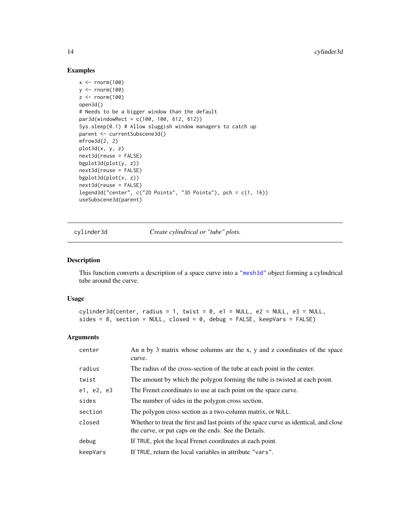# Examples

```
x \le rnorm(100)
y \le - rnorm(100)z \le- rnorm(100)
open3d()
# Needs to be a bigger window than the default
par3d(windowRect = c(100, 100, 612, 612))
Sys.sleep(0.1) # Allow sluggish window managers to catch up
parent <- currentSubscene3d()
mfrow3d(2, 2)
plot3d(x, y, z)
next3d(reuse = FALSE)
bgplot3d(plot(y, z))
next3d(reuse = FALSE)
bgplot3d(plot(x, z))
next3d(reuse = FALSE)
legend3d("center", c("2D Points", "3D Points"), pch = c(1, 16))
useSubscene3d(parent)
```
cylinder3d *Create cylindrical or "tube" plots.*

#### Description

This function converts a description of a space curve into a ["mesh3d"](#page-25-2) object forming a cylindrical tube around the curve.

# Usage

```
cylinder3d(center, radius = 1, twist = 0, e1 = NULL, e2 = NULL, e3 = NULL,
sides = 8, section = NULL, closed = 0, debug = FALSE, keepVars = FALSE)
```
#### Arguments

| center     | An n by 3 matrix whose columns are the x, y and z coordinates of the space<br>curve.                                                          |
|------------|-----------------------------------------------------------------------------------------------------------------------------------------------|
| radius     | The radius of the cross-section of the tube at each point in the center.                                                                      |
| twist      | The amount by which the polygon forming the tube is twisted at each point.                                                                    |
| e1, e2, e3 | The Frenet coordinates to use at each point on the space curve.                                                                               |
| sides      | The number of sides in the polygon cross section.                                                                                             |
| section    | The polygon cross section as a two-column matrix, or NULL.                                                                                    |
| closed     | Whether to treat the first and last points of the space curve as identical, and close<br>the curve, or put caps on the ends. See the Details. |
| debug      | If TRUE, plot the local Frenet coordinates at each point.                                                                                     |
| keepVars   | If TRUE, return the local variables in attribute "vars".                                                                                      |

<span id="page-13-0"></span>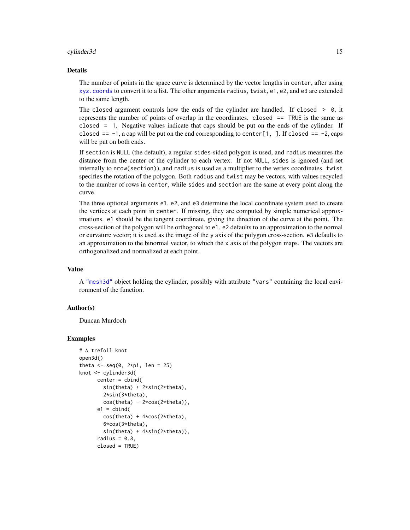#### cylinder3d 15

#### Details

The number of points in the space curve is determined by the vector lengths in center, after using [xyz.coords](#page-0-0) to convert it to a list. The other arguments radius, twist, e1, e2, and e3 are extended to the same length.

The closed argument controls how the ends of the cylinder are handled. If closed  $> 0$ , it represents the number of points of overlap in the coordinates. closed == TRUE is the same as closed = 1. Negative values indicate that caps should be put on the ends of the cylinder. If closed  $== -1$ , a cap will be put on the end corresponding to center [1, ]. If closed  $== -2$ , caps will be put on both ends.

If section is NULL (the default), a regular sides-sided polygon is used, and radius measures the distance from the center of the cylinder to each vertex. If not NULL, sides is ignored (and set internally to nrow(section)), and radius is used as a multiplier to the vertex coordinates. twist specifies the rotation of the polygon. Both radius and twist may be vectors, with values recycled to the number of rows in center, while sides and section are the same at every point along the curve.

The three optional arguments e1, e2, and e3 determine the local coordinate system used to create the vertices at each point in center. If missing, they are computed by simple numerical approximations. e1 should be the tangent coordinate, giving the direction of the curve at the point. The cross-section of the polygon will be orthogonal to e1. e2 defaults to an approximation to the normal or curvature vector; it is used as the image of the y axis of the polygon cross-section. e3 defaults to an approximation to the binormal vector, to which the x axis of the polygon maps. The vectors are orthogonalized and normalized at each point.

# Value

A ["mesh3d"](#page-25-2) object holding the cylinder, possibly with attribute "vars" containing the local environment of the function.

# Author(s)

Duncan Murdoch

#### Examples

```
# A trefoil knot
open3d()
theta \leq seq(0, 2*pi, len = 25)
knot <- cylinder3d(
      center = cbind(
        sin(theta) + 2*sin(2*theta),
        2*sin(3*theta),
        cos(theta) - 2*cos(2*theta),
      e1 = \text{cbind}(
        cos(theta) + 4*cos(2*theta),
        6*cos(3*theta),
        sin(theta) + 4*sin(2*theta)),
      radius = 0.8,
      closed = TRUE)
```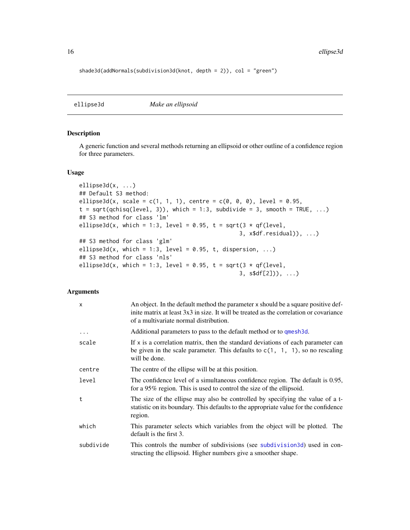shade3d(addNormals(subdivision3d(knot, depth = 2)), col = "green")

ellipse3d *Make an ellipsoid*

# Description

A generic function and several methods returning an ellipsoid or other outline of a confidence region for three parameters.

# Usage

```
ellipse3d(x, ...)
## Default S3 method:
ellipse3d(x, scale = c(1, 1, 1), centre = c(0, 0, 0), level = 0.95,
t = sqrt(qchisq(level, 3)), which = 1:3, subdivide = 3, smooth = TRUE, ...)
## S3 method for class 'lm'
ellipse3d(x, which = 1:3, level = 0.95, t = sqrt(3 * qf(level,
                                                3, x$df.residual)), ...)
## S3 method for class 'glm'
ellipse3d(x, which = 1:3, level = 0.95, t, dispersion, ...)
## S3 method for class 'nls'
ellipse3d(x, which = 1:3, level = 0.95, t = sqrt(3 * qf(level,
                                                3, s$df[2])), ...)
```
# Arguments

| x          | An object. In the default method the parameter x should be a square positive def-<br>inite matrix at least 3x3 in size. It will be treated as the correlation or covariance<br>of a multivariate normal distribution. |
|------------|-----------------------------------------------------------------------------------------------------------------------------------------------------------------------------------------------------------------------|
| $\cdots$   | Additional parameters to pass to the default method or to qmesh3d.                                                                                                                                                    |
| scale      | If x is a correlation matrix, then the standard deviations of each parameter can<br>be given in the scale parameter. This defaults to $c(1, 1, 1)$ , so no rescaling<br>will be done.                                 |
| centre     | The centre of the ellipse will be at this position.                                                                                                                                                                   |
| level      | The confidence level of a simultaneous confidence region. The default is 0.95,<br>for a 95% region. This is used to control the size of the ellipsoid.                                                                |
| $^{\rm t}$ | The size of the ellipse may also be controlled by specifying the value of a t-<br>statistic on its boundary. This defaults to the appropriate value for the confidence<br>region.                                     |
| which      | This parameter selects which variables from the object will be plotted. The<br>default is the first 3.                                                                                                                |
| subdivide  | This controls the number of subdivisions (see subdivision 3d) used in con-<br>structing the ellipsoid. Higher numbers give a smoother shape.                                                                          |

<span id="page-15-0"></span>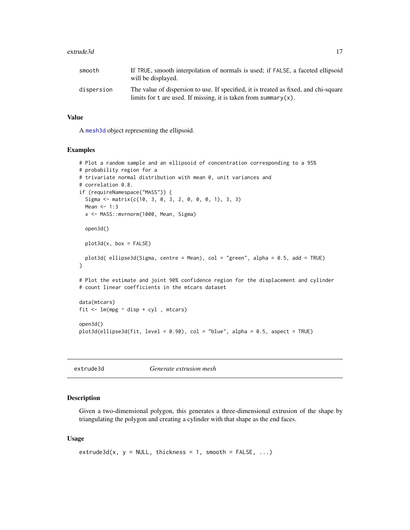#### <span id="page-16-0"></span>extrude3d and the state of the state of the state of the state of the state of the state of the state of the state of the state of the state of the state of the state of the state of the state of the state of the state of

| smooth     | If TRUE, smooth interpolation of normals is used; if FALSE, a faceted ellipsoid<br>will be displayed.                                                   |
|------------|---------------------------------------------------------------------------------------------------------------------------------------------------------|
| dispersion | The value of dispersion to use. If specified, it is treated as fixed, and chi-square<br>limits for t are used. If missing, it is taken from summary(x). |

# Value

A [mesh3d](#page-25-2) object representing the ellipsoid.

#### Examples

```
# Plot a random sample and an ellipsoid of concentration corresponding to a 95%
# probability region for a
# trivariate normal distribution with mean 0, unit variances and
# correlation 0.8.
if (requireNamespace("MASS")) {
 Sigma <- matrix(c(10, 3, 0, 3, 2, 0, 0, 0, 1), 3, 3)
 Mean <-1:3x <- MASS::mvrnorm(1000, Mean, Sigma)
 open3d()
 plot3d(x, box = FALSE)plot3d( ellipse3d(Sigma, centre = Mean), col = "green", alpha = 0.5, add = TRUE)
}
# Plot the estimate and joint 90% confidence region for the displacement and cylinder
# count linear coefficients in the mtcars dataset
data(mtcars)
fit \leq lm(mpg \sim disp + cyl, mtcars)
open3d()
plot3d(ellipse3d(fit, level = 0.90), col = "blue", alpha = 0.5, aspect = TRUE)
```
extrude3d *Generate extrusion mesh*

# Description

Given a two-dimensional polygon, this generates a three-dimensional extrusion of the shape by triangulating the polygon and creating a cylinder with that shape as the end faces.

```
extrude3d(x, y = NULL, thickness = 1, smooth = FALSE, ...)
```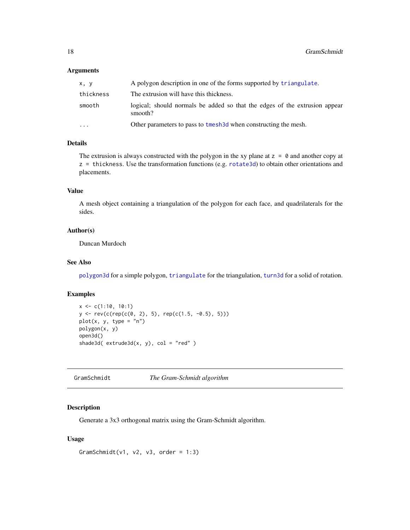#### <span id="page-17-0"></span>Arguments

| x, y      | A polygon description in one of the forms supported by triangulate.                   |
|-----------|---------------------------------------------------------------------------------------|
| thickness | The extrusion will have this thickness.                                               |
| smooth    | logical; should normals be added so that the edges of the extrusion appear<br>smooth? |
| .         | Other parameters to pass to tmesh 3d when constructing the mesh.                      |

# Details

The extrusion is always constructed with the polygon in the xy plane at  $z = 0$  and another copy at z = thickness. Use the transformation functions (e.g. [rotate3d](#page-23-1)) to obtain other orientations and placements.

# Value

A mesh object containing a triangulation of the polygon for each face, and quadrilaterals for the sides.

# Author(s)

Duncan Murdoch

# See Also

[polygon3d](#page-49-1) for a simple polygon, [triangulate](#page-100-1) for the triangulation, [turn3d](#page-101-1) for a solid of rotation.

# Examples

```
x \leq c(1:10, 10:1)y \le -rev(c(rep(c(0, 2), 5), rep(c(1.5, -0.5), 5)))
plot(x, y, type = "n")polygon(x, y)
open3d()
shade3d( extrude3d(x, y), col = "red")
```
GramSchmidt *The Gram-Schmidt algorithm*

# Description

Generate a 3x3 orthogonal matrix using the Gram-Schmidt algorithm.

```
GramSchmidt(v1, v2, v3, order = 1:3)
```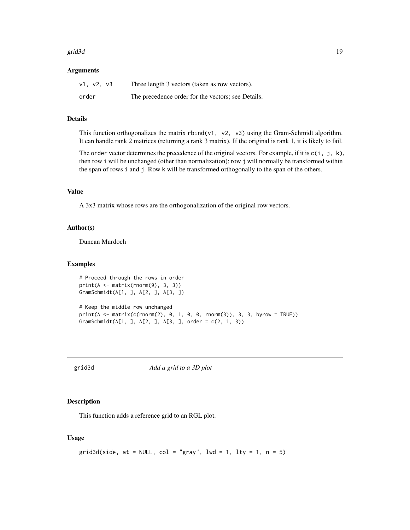#### <span id="page-18-0"></span>grid3d 19

#### Arguments

| v1, v2, v3 | Three length 3 vectors (taken as row vectors).     |
|------------|----------------------------------------------------|
| order      | The precedence order for the vectors; see Details. |

# Details

This function orthogonalizes the matrix rbind(v1, v2, v3) using the Gram-Schmidt algorithm. It can handle rank 2 matrices (returning a rank 3 matrix). If the original is rank 1, it is likely to fail.

The order vector determines the precedence of the original vectors. For example, if it is  $c(i, j, k)$ , then row i will be unchanged (other than normalization); row j will normally be transformed within the span of rows i and j. Row k will be transformed orthogonally to the span of the others.

# Value

A 3x3 matrix whose rows are the orthogonalization of the original row vectors.

## Author(s)

Duncan Murdoch

#### Examples

```
# Proceed through the rows in order
print(A <- matrix(rnorm(9), 3, 3))
GramSchmidt(A[1, ], A[2, ], A[3, ])
```

```
# Keep the middle row unchanged
print(A \leq matrix(c(rnorm(2), 0, 1, 0, 0, rnorm(3)), 3, 3, byrow = TRUE))GramSchmidt(A[1, ], A[2, ], A[3, ], order = c(2, 1, 3))
```
grid3d *Add a grid to a 3D plot*

# Description

This function adds a reference grid to an RGL plot.

```
grid3d(side, at = NULL, col = "gray", lwd = 1, lty = 1, n = 5)
```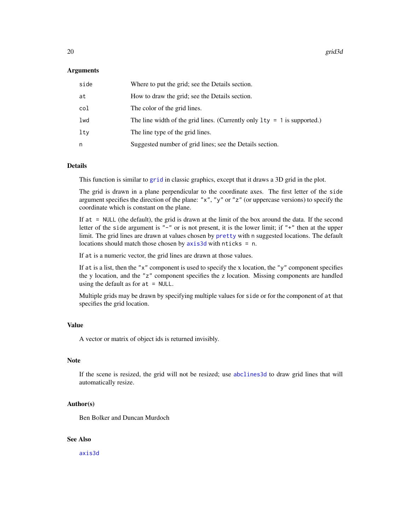#### Arguments

| side | Where to put the grid; see the Details section.                            |
|------|----------------------------------------------------------------------------|
| at   | How to draw the grid; see the Details section.                             |
| col  | The color of the grid lines.                                               |
| lwd  | The line width of the grid lines. (Currently only $1ty = 1$ is supported.) |
| ltv  | The line type of the grid lines.                                           |
| n    | Suggested number of grid lines; see the Details section.                   |

#### Details

This function is similar to [grid](#page-0-0) in classic graphics, except that it draws a 3D grid in the plot.

The grid is drawn in a plane perpendicular to the coordinate axes. The first letter of the side argument specifies the direction of the plane: "x", "y" or "z" (or uppercase versions) to specify the coordinate which is constant on the plane.

If at = NULL (the default), the grid is drawn at the limit of the box around the data. If the second letter of the side argument is "-" or is not present, it is the lower limit; if "+" then at the upper limit. The grid lines are drawn at values chosen by [pretty](#page-0-0) with n suggested locations. The default locations should match those chosen by [axis3d](#page-8-1) with nticks = n.

If at is a numeric vector, the grid lines are drawn at those values.

If at is a list, then the "x" component is used to specify the x location, the "y" component specifies the y location, and the "z" component specifies the z location. Missing components are handled using the default as for  $at = NULL$ .

Multiple grids may be drawn by specifying multiple values for side or for the component of at that specifies the grid location.

# Value

A vector or matrix of object ids is returned invisibly.

# Note

If the scene is resized, the grid will not be resized; use [abclines3d](#page-4-1) to draw grid lines that will automatically resize.

# Author(s)

Ben Bolker and Duncan Murdoch

# See Also

[axis3d](#page-8-1)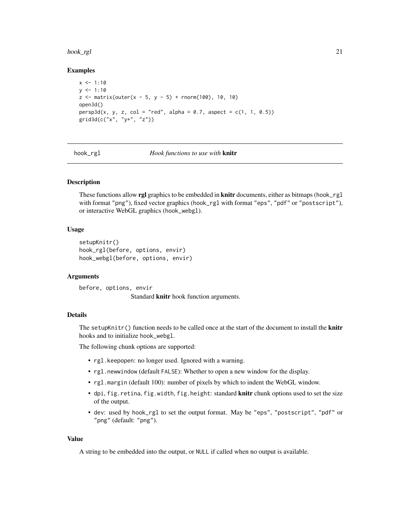#### <span id="page-20-0"></span>hook\_rgl 21

#### Examples

```
x \le -1:10y \le -1:10z \le matrix(outer(x - 5, y - 5) + rnorm(100), 10, 10)
open3d()
persp3d(x, y, z, col = "red", alpha = 0.7, aspect = c(1, 1, 0.5))grid3d(c("x", "y+", "z"))
```
hook\_rgl *Hook functions to use with* knitr

# **Description**

These functions allow rgl graphics to be embedded in knitr documents, either as bitmaps (hook\_rgl with format "png"), fixed vector graphics (hook\_rgl with format "eps", "pdf" or "postscript"), or interactive WebGL graphics (hook\_webgl).

#### Usage

```
setupKnitr()
hook_rgl(before, options, envir)
hook_webgl(before, options, envir)
```
# Arguments

before, options, envir Standard knitr hook function arguments.

# Details

The setupKnitr() function needs to be called once at the start of the document to install the knitr hooks and to initialize hook\_webgl.

The following chunk options are supported:

- rgl.keepopen: no longer used. Ignored with a warning.
- rgl.newwindow (default FALSE): Whether to open a new window for the display.
- rgl.margin (default 100): number of pixels by which to indent the WebGL window.
- dpi, fig.retina, fig.width, fig.height: standard knitr chunk options used to set the size of the output.
- dev: used by hook\_rgl to set the output format. May be "eps", "postscript", "pdf" or "png" (default: "png").

# Value

A string to be embedded into the output, or NULL if called when no output is available.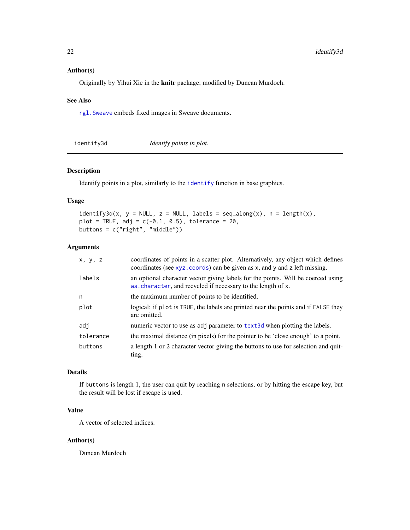#### <span id="page-21-0"></span>Author(s)

Originally by Yihui Xie in the knitr package; modified by Duncan Murdoch.

#### See Also

[rgl.Sweave](#page-75-1) embeds fixed images in Sweave documents.

| identify3d | Identify points in plot. |  |
|------------|--------------------------|--|
|------------|--------------------------|--|

# Description

Identify points in a plot, similarly to the [identify](#page-0-0) function in base graphics.

# Usage

 $identity3d(x, y = NULL, z = NULL, labels = seq_along(x), n = length(x),$ plot = TRUE,  $adj = c(-0.1, 0.5)$ , tolerance = 20, buttons = c("right", "middle"))

# Arguments

| x, y, z   | coordinates of points in a scatter plot. Alternatively, any object which defines<br>coordinates (see xyz. coords) can be given as x, and y and z left missing. |
|-----------|----------------------------------------------------------------------------------------------------------------------------------------------------------------|
| labels    | an optional character vector giving labels for the points. Will be coerced using<br>as character, and recycled if necessary to the length of x.                |
| n         | the maximum number of points to be identified.                                                                                                                 |
| plot      | logical: if plot is TRUE, the labels are printed near the points and if FALSE they<br>are omitted.                                                             |
| adj       | numeric vector to use as adj parameter to text3d when plotting the labels.                                                                                     |
| tolerance | the maximal distance (in pixels) for the pointer to be 'close enough' to a point.                                                                              |
| buttons   | a length 1 or 2 character vector giving the buttons to use for selection and quit-<br>ting.                                                                    |

# Details

If buttons is length 1, the user can quit by reaching n selections, or by hitting the escape key, but the result will be lost if escape is used.

# Value

A vector of selected indices.

# Author(s)

Duncan Murdoch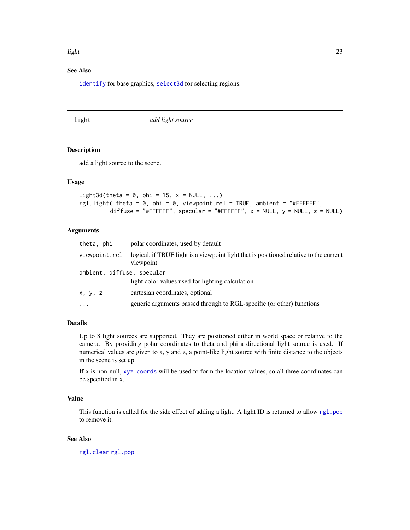#### <span id="page-22-0"></span>light 23

# See Also

[identify](#page-0-0) for base graphics, [select3d](#page-82-1) for selecting regions.

light *add light source*

# Description

add a light source to the scene.

#### Usage

```
light3d(theta = 0, phi = 15, x = NULL, ...)
rgl.light( theta = 0, phi = 0, viewpoint.rel = TRUE, ambient = "#FFFFFF",
         diffuse = "#FFFFFF", specular = "#FFFFFF", x = NULL, y = NULL, z = NULL)
```
# Arguments

| theta, phi                 | polar coordinates, used by default                                                                  |
|----------------------------|-----------------------------------------------------------------------------------------------------|
| viewpoint.rel              | logical, if TRUE light is a viewpoint light that is positioned relative to the current<br>viewpoint |
| ambient, diffuse, specular | light color values used for lighting calculation                                                    |
| x, y, z                    | cartesian coordinates, optional                                                                     |
| $\cdots$                   | generic arguments passed through to RGL-specific (or other) functions                               |

# Details

Up to 8 light sources are supported. They are positioned either in world space or relative to the camera. By providing polar coordinates to theta and phi a directional light source is used. If numerical values are given to x, y and z, a point-like light source with finite distance to the objects in the scene is set up.

If x is non-null, [xyz.coords](#page-0-0) will be used to form the location values, so all three coordinates can be specified in x.

# Value

This function is called for the side effect of adding a light. A light ID is returned to allow [rgl.pop](#page-78-1) to remove it.

# See Also

[rgl.clear](#page-78-1) [rgl.pop](#page-78-1)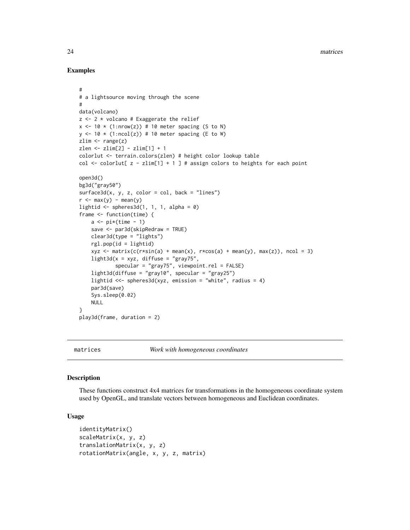# Examples

```
#
# a lightsource moving through the scene
#
data(volcano)
z \le -2 * volcano # Exaggerate the relief
x \le -10 \times (1: nrow(z)) # 10 meter spacing (S to N)
y \le -10 \times (1:\text{ncol}(z)) \# 10 meter spacing (E to W)
zlim \leftarrow range(z)zlen <- zlim[2] - zlim[1] + 1
colorlut <- terrain.colors(zlen) # height color lookup table
col \le colorlut[ z - zlim[1] + 1 ] # assign colors to heights for each point
open3d()
bg3d("gray50")
surface3d(x, y, z, color = col, back = "lines")r \leq -\max(y) - \text{mean}(y)lightid \leq spheres3d(1, 1, 1, alpha = 0)
frame <- function(time) {
    a \leftarrow pi\star(time - 1)
    save <- par3d(skipRedraw = TRUE)
    clear3d(type = "lights")
    rgl.pop(id = lightid)
    xyz <- matrix(c(r*sin(a) + mean(x), r*cos(a) + mean(y), max(z)), ncol = 3)
    light3d(x = xyz, diffuse = "gray75",specular = "gray75", viewpoint.rel = FALSE)
    light3d(diffuse = "gray10", specular = "gray25")
    lightid <<- spheres3d(xyz, emission = "white", radius = 4)
    par3d(save)
    Sys.sleep(0.02)
    NULL
}
play3d(frame, duration = 2)
```
<span id="page-23-2"></span>

matrices *Work with homogeneous coordinates*

#### <span id="page-23-1"></span>Description

These functions construct 4x4 matrices for transformations in the homogeneous coordinate system used by OpenGL, and translate vectors between homogeneous and Euclidean coordinates.

```
identityMatrix()
scaleMatrix(x, y, z)
translationMatrix(x, y, z)
rotationMatrix(angle, x, y, z, matrix)
```
<span id="page-23-0"></span>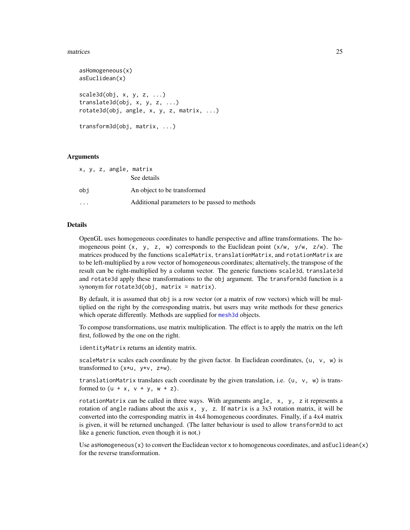#### matrices 25

```
asHomogeneous(x)
asEuclidean(x)
scale3d(obj, x, y, z, ...)translate3d(obj, x, y, z, ...)
rotate3d(obj, angle, x, y, z, matrix, ...)
transform3d(obj, matrix, ...)
```
#### Arguments

| x, y, z, angle, matrix |                                               |
|------------------------|-----------------------------------------------|
|                        | See details                                   |
| obi                    | An object to be transformed                   |
|                        | Additional parameters to be passed to methods |

# Details

OpenGL uses homogeneous coordinates to handle perspective and affine transformations. The homogeneous point  $(x, y, z, w)$  corresponds to the Euclidean point  $(x/w, y/w, z/w)$ . The matrices produced by the functions scaleMatrix, translationMatrix, and rotationMatrix are to be left-multiplied by a row vector of homogeneous coordinates; alternatively, the transpose of the result can be right-multiplied by a column vector. The generic functions scale3d, translate3d and rotate3d apply these transformations to the obj argument. The transform3d function is a synonym for  $rotate3d(obj, matrix = matrix)$ .

By default, it is assumed that obj is a row vector (or a matrix of row vectors) which will be multiplied on the right by the corresponding matrix, but users may write methods for these generics which operate differently. Methods are supplied for [mesh3d](#page-25-2) objects.

To compose transformations, use matrix multiplication. The effect is to apply the matrix on the left first, followed by the one on the right.

identityMatrix returns an identity matrix.

scaleMatrix scales each coordinate by the given factor. In Euclidean coordinates, (u, v, w) is transformed to (x\*u, y\*v, z\*w).

translationMatrix translates each coordinate by the given translation, i.e.  $(u, v, w)$  is transformed to  $(u + x, v + y, w + z)$ .

rotationMatrix can be called in three ways. With arguments angle, x, y, z it represents a rotation of angle radians about the axis x, y, z. If matrix is a 3x3 rotation matrix, it will be converted into the corresponding matrix in 4x4 homogeneous coordinates. Finally, if a 4x4 matrix is given, it will be returned unchanged. (The latter behaviour is used to allow transform3d to act like a generic function, even though it is not.)

Use as Homogeneous $(x)$  to convert the Euclidean vector x to homogeneous coordinates, and as Euclidean $(x)$ for the reverse transformation.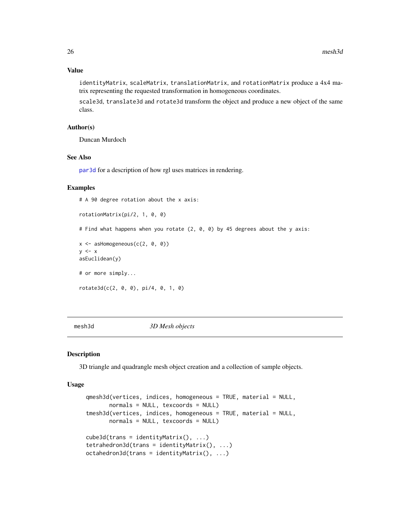# Value

identityMatrix, scaleMatrix, translationMatrix, and rotationMatrix produce a 4x4 matrix representing the requested transformation in homogeneous coordinates.

scale3d, translate3d and rotate3d transform the object and produce a new object of the same class.

# Author(s)

Duncan Murdoch

# See Also

[par3d](#page-31-2) for a description of how rgl uses matrices in rendering.

# Examples

# A 90 degree rotation about the x axis:

rotationMatrix(pi/2, 1, 0, 0)

# Find what happens when you rotate (2, 0, 0) by 45 degrees about the y axis:

```
x \leftarrow asHomogeneous(c(2, 0, 0))
y \leq -xasEuclidean(y)
# or more simply...
```

```
rotate3d(c(2, 0, 0), pi/4, 0, 1, 0)
```
<span id="page-25-2"></span>

mesh3d *3D Mesh objects*

#### <span id="page-25-1"></span>Description

3D triangle and quadrangle mesh object creation and a collection of sample objects.

```
qmesh3d(vertices, indices, homogeneous = TRUE, material = NULL,
       normals = NULL, texcoords = NULL)
tmesh3d(vertices, indices, homogeneous = TRUE, material = NULL,
      normals = NULL, texcoords = NULL)
cube3d(trans = identityMatrix(), ...)tetrahedron3d(trans = identityMatrix(), ...)
octahedron3d(trans = identityMatrix(), ...)
```
<span id="page-25-0"></span>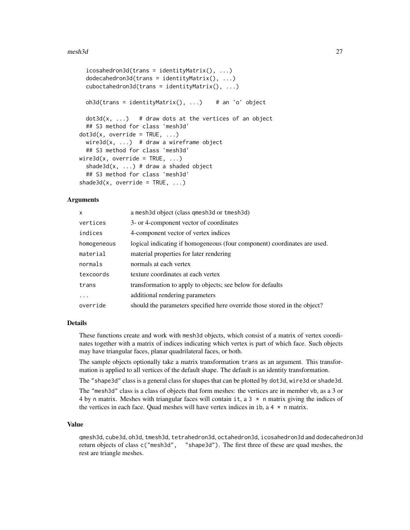```
icosahedron3d(trans = identityMatrix(), ...)dodecahedron3d(trans = identityMatrix(), ...)
 cuboctahedron3d(trans = identityMatrix(), ...)oh3d(trans = identityMatrix(), ...) # an 'o' object
 dot3d(x, ...) # draw dots at the vertices of an object
 ## S3 method for class 'mesh3d'
dot3d(x, override = TRUE, ...)wire3d(x, ...) # draw a wireframe object
 ## S3 method for class 'mesh3d'
wire3d(x, override = TRUE, ...)shade3d(x, ...) # draw a shaded object
 ## S3 method for class 'mesh3d'
shade3d(x, override = TRUE, ...)
```
# Arguments

| x           | a mesh3d object (class qmesh3d or tmesh3d)                                |
|-------------|---------------------------------------------------------------------------|
| vertices    | 3- or 4-component vector of coordinates                                   |
| indices     | 4-component vector of vertex indices                                      |
| homogeneous | logical indicating if homogeneous (four component) coordinates are used.  |
| material    | material properties for later rendering                                   |
| normals     | normals at each vertex                                                    |
| texcoords   | texture coordinates at each vertex                                        |
| trans       | transformation to apply to objects; see below for defaults                |
| $\cdots$    | additional rendering parameters                                           |
| override    | should the parameters specified here override those stored in the object? |

## Details

These functions create and work with mesh3d objects, which consist of a matrix of vertex coordinates together with a matrix of indices indicating which vertex is part of which face. Such objects may have triangular faces, planar quadrilateral faces, or both.

The sample objects optionally take a matrix transformation trans as an argument. This transformation is applied to all vertices of the default shape. The default is an identity transformation.

The "shape3d" class is a general class for shapes that can be plotted by dot3d, wire3d or shade3d.

The "mesh3d" class is a class of objects that form meshes: the vertices are in member vb, as a 3 or 4 by n matrix. Meshes with triangular faces will contain it, a  $3 \times n$  matrix giving the indices of the vertices in each face. Quad meshes will have vertex indices in ib, a  $4 \times n$  matrix.

# Value

qmesh3d, cube3d, oh3d, tmesh3d, tetrahedron3d, octahedron3d, icosahedron3d and dodecahedron3d return objects of class c("mesh3d", "shape3d"). The first three of these are quad meshes, the rest are triangle meshes.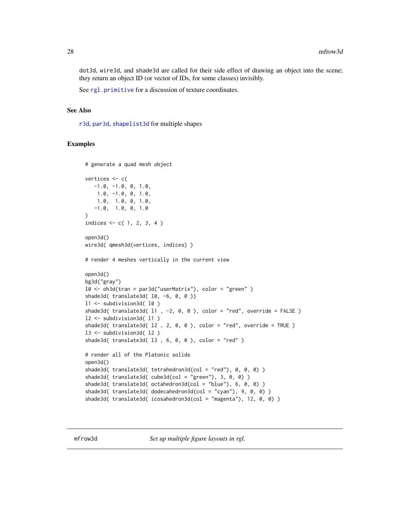<span id="page-27-0"></span>dot3d, wire3d, and shade3d are called for their side effect of drawing an object into the scene; they return an object ID (or vector of IDs, for some classes) invisibly.

See [rgl.primitive](#page-68-1) for a discussion of texture coordinates.

# See Also

[r3d](#page-54-1), [par3d](#page-31-2), [shapelist3d](#page-84-1) for multiple shapes

# Examples

```
# generate a quad mesh object
vertices <- c(
  -1.0, -1.0, 0, 1.0,1.0, -1.0, 0, 1.0,
   1.0, 1.0, 0, 1.0,
   -1.0, 1.0, 0, 1.0\lambdaindices \leq c(1, 2, 3, 4)open3d()
wire3d( qmesh3d(vertices, indices) )
# render 4 meshes vertically in the current view
open3d()
bg3d("gray")
l0 <- oh3d(tran = par3d("userMatrix"), color = "green" )
shade3d( translate3d( 10, -6, 0, 0 ))
l1 <- subdivision3d( l0 )
shade3d( translate3d( l1 , -2, 0, 0 ), color = "red", override = FALSE )
l2 <- subdivision3d( l1 )
shade3d( translate3d( 12, 2, 0, 0 ), color = "red", override = TRUE )
l3 <- subdivision3d( l2 )
shade3d( translate3d( l3 , 6, 0, 0 ), color = "red" )
# render all of the Platonic solids
open3d()
shade3d( translate3d( tetrahedron3d(col = "red"), 0, 0, 0) )
shade3d( translate3d( cube3d(col = "green"), 3, 0, 0) )
shade3d( translate3d( octahedron3d(col = "blue"), 6, 0, 0) )
shade3d( translate3d( dodecahedron3d(col = "cyan"), 9, 0, 0) )
shade3d( translate3d( icosahedron3d(col = "magenta"), 12, 0, 0) )
```
mfrow3d *Set up multiple figure layouts in rgl.*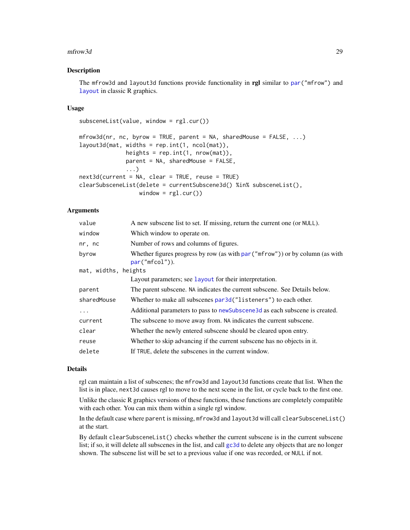#### mfrow3d 29

# Description

The mfrow3d and layout3d functions provide functionality in rgl similar to [par\(](#page-0-0)"mfrow") and [layout](#page-0-0) in classic R graphics.

# Usage

```
subsceneList(value, window = rgl.cur())
```

```
mfrow3d(nr, nc, byrow = TRUE, parent = NA, sharedMouse = FALSE, ...)
layout3d(mat, widths = rep.int(1, ncol(mat)),
             heights = rep.int(1, nrow(mat)),parent = NA, sharedMouse = FALSE,
              ...)
next3d(current = NA, clear = TRUE, reuse = TRUE)
clearSubsceneList(delete = currentSubscene3d() %in% subsceneList(),
                 window = rgl.cur()
```
# Arguments

| value                | A new subscene list to set. If missing, return the current one (or NULL).                            |
|----------------------|------------------------------------------------------------------------------------------------------|
| window               | Which window to operate on.                                                                          |
| nr, nc               | Number of rows and columns of figures.                                                               |
| byrow                | Whether figures progress by row (as with $par("mfrom")$ ) or by column (as with<br>$par("mfcol")$ ). |
| mat, widths, heights |                                                                                                      |
|                      | Layout parameters; see layout for their interpretation.                                              |
| parent               | The parent subscene. NA indicates the current subscene. See Details below.                           |
| sharedMouse          | Whether to make all subscenes par3d ("listeners") to each other.                                     |
| $\ddots$             | Additional parameters to pass to new Subscene 3d as each subscene is created.                        |
| current              | The subscene to move away from. NA indicates the current subscene.                                   |
| clear                | Whether the newly entered subscene should be cleared upon entry.                                     |
| reuse                | Whether to skip advancing if the current subscene has no objects in it.                              |
| delete               | If TRUE, delete the subscenes in the current window.                                                 |
|                      |                                                                                                      |

#### Details

rgl can maintain a list of subscenes; the mfrow3d and layout3d functions create that list. When the list is in place, next3d causes rgl to move to the next scene in the list, or cycle back to the first one.

Unlike the classic R graphics versions of these functions, these functions are completely compatible with each other. You can mix them within a single rgl window.

In the default case where parent is missing, mfrow3d and layout3d will call clearSubsceneList() at the start.

By default clearSubsceneList() checks whether the current subscene is in the current subscene list; if so, it will delete all subscenes in the list, and call [gc3d](#page-92-1) to delete any objects that are no longer shown. The subscene list will be set to a previous value if one was recorded, or NULL if not.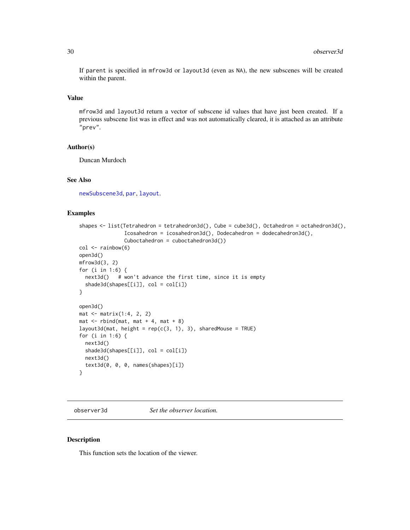<span id="page-29-0"></span>If parent is specified in mfrow3d or layout3d (even as NA), the new subscenes will be created within the parent.

#### Value

mfrow3d and layout3d return a vector of subscene id values that have just been created. If a previous subscene list was in effect and was not automatically cleared, it is attached as an attribute "prev".

# Author(s)

Duncan Murdoch

# See Also

[newSubscene3d](#page-92-1), [par](#page-0-0), [layout](#page-0-0).

# Examples

```
shapes <- list(Tetrahedron = tetrahedron3d(), Cube = cube3d(), Octahedron = octahedron3d(),
               Icosahedron = icosahedron3d(), Dodecahedron = dodecahedron3d(),
               Cuboctahedron = cuboctahedron3d())
col <- rainbow(6)
open3d()
mfrow3d(3, 2)
for (i in 1:6) {
 next3d() # won't advance the first time, since it is empty
  shade3d(shapes[[i]], col = col[i])
}
open3d()
mat <- matrix(1:4, 2, 2)
mat \le- rbind(mat, mat + 4, mat + 8)
layout3d(mat, height = rep(c(3, 1), 3), sharedMouse = TRUE)for (i in 1:6) {
  next3d()
  shade3d(shapes[[i]], col = col[i])
  next3d()
  text3d(0, 0, 0, names(shapes)[i])
}
```
<span id="page-29-1"></span>observer3d *Set the observer location.*

#### Description

This function sets the location of the viewer.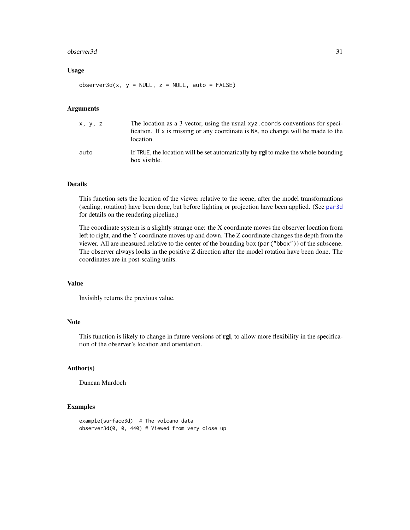#### observer3d 31

# Usage

 $observer3d(x, y = NULL, z = NULL, auto = FALSE)$ 

#### Arguments

| X, Y, Z | The location as a 3 vector, using the usual xyz. coords conventions for speci-<br>fication. If x is missing or any coordinate is NA, no change will be made to the<br>location. |
|---------|---------------------------------------------------------------------------------------------------------------------------------------------------------------------------------|
| auto    | If TRUE, the location will be set automatically by <b>rgl</b> to make the whole bounding<br>box visible.                                                                        |

# Details

This function sets the location of the viewer relative to the scene, after the model transformations (scaling, rotation) have been done, but before lighting or projection have been applied. (See [par3d](#page-31-2) for details on the rendering pipeline.)

The coordinate system is a slightly strange one: the X coordinate moves the observer location from left to right, and the Y coordinate moves up and down. The Z coordinate changes the depth from the viewer. All are measured relative to the center of the bounding box (par("bbox")) of the subscene. The observer always looks in the positive Z direction after the model rotation have been done. The coordinates are in post-scaling units.

# Value

Invisibly returns the previous value.

# Note

This function is likely to change in future versions of rgl, to allow more flexibility in the specification of the observer's location and orientation.

# Author(s)

Duncan Murdoch

# Examples

```
example(surface3d) # The volcano data
observer3d(0, 0, 440) # Viewed from very close up
```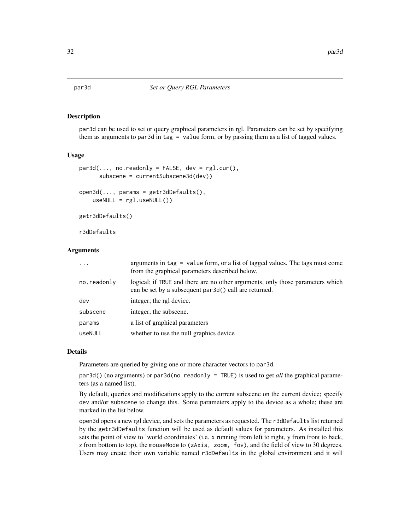# <span id="page-31-2"></span><span id="page-31-1"></span><span id="page-31-0"></span>Description

par3d can be used to set or query graphical parameters in rgl. Parameters can be set by specifying them as arguments to par3d in tag = value form, or by passing them as a list of tagged values.

# Usage

```
par3d(..., no.readonly = FALSE, dev = rg1.cur(),subscene = currentSubscene3d(dev))
open3d(..., params = getr3dDefaults(),
```

```
useNULL = rgl.useNULL())
```
getr3dDefaults()

r3dDefaults

# Arguments

| $\ddots$ .  | arguments in tag = value form, or a list of tagged values. The tags must come<br>from the graphical parameters described below.         |
|-------------|-----------------------------------------------------------------------------------------------------------------------------------------|
| no.readonly | logical; if TRUE and there are no other arguments, only those parameters which<br>can be set by a subsequent par3d() call are returned. |
| dev         | integer; the rgl device.                                                                                                                |
| subscene    | integer; the subscene.                                                                                                                  |
| params      | a list of graphical parameters                                                                                                          |
| useNULL     | whether to use the null graphics device                                                                                                 |

#### Details

Parameters are queried by giving one or more character vectors to par3d.

par3d() (no arguments) or par3d(no.readonly = TRUE) is used to get *all* the graphical parameters (as a named list).

By default, queries and modifications apply to the current subscene on the current device; specify dev and/or subscene to change this. Some parameters apply to the device as a whole; these are marked in the list below.

open3d opens a new rgl device, and sets the parameters as requested. The r3dDefaults list returned by the getr3dDefaults function will be used as default values for parameters. As installed this sets the point of view to 'world coordinates' (i.e. x running from left to right, y from front to back, z from bottom to top), the mouseMode to (zAxis, zoom, fov), and the field of view to 30 degrees. Users may create their own variable named r3dDefaults in the global environment and it will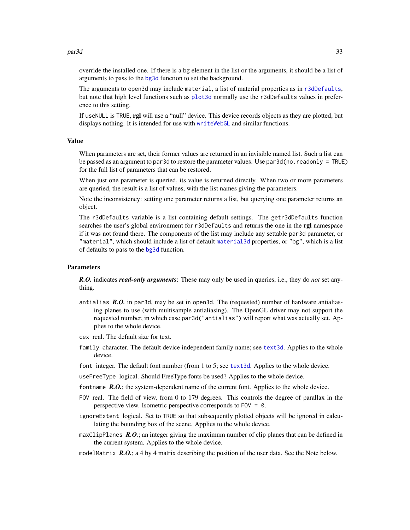#### $par3d$  33

override the installed one. If there is a bg element in the list or the arguments, it should be a list of arguments to pass to the [bg3d](#page-10-1) function to set the background.

The arguments to open3d may include material, a list of material properties as in [r3dDefaults](#page-31-1), but note that high level functions such as [plot3d](#page-45-1) normally use the r3dDefaults values in preference to this setting.

If useNULL is TRUE, rgl will use a "null" device. This device records objects as they are plotted, but displays nothing. It is intended for use with [writeWebGL](#page-109-1) and similar functions.

#### Value

When parameters are set, their former values are returned in an invisible named list. Such a list can be passed as an argument to par3d to restore the parameter values. Use par3d(no.readonly = TRUE) for the full list of parameters that can be restored.

When just one parameter is queried, its value is returned directly. When two or more parameters are queried, the result is a list of values, with the list names giving the parameters.

Note the inconsistency: setting one parameter returns a list, but querying one parameter returns an object.

The r3dDefaults variable is a list containing default settings. The getr3dDefaults function searches the user's global environment for r3dDefaults and returns the one in the rgl namespace if it was not found there. The components of the list may include any settable par3d parameter, or "material", which should include a list of default [material3d](#page-61-1) properties, or "bg", which is a list of defaults to pass to the [bg3d](#page-10-1) function.

# **Parameters**

*R.O.* indicates *read-only arguments*: These may only be used in queries, i.e., they do *not* set anything.

- antialias *R.O.* in par3d, may be set in open3d. The (requested) number of hardware antialiasing planes to use (with multisample antialiasing). The OpenGL driver may not support the requested number, in which case par3d("antialias") will report what was actually set. Applies to the whole device.
- cex real. The default size for text.
- family character. The default device independent family name; see [text3d](#page-97-1). Applies to the whole device.
- font integer. The default font number (from 1 to 5; see [text3d](#page-97-1). Applies to the whole device.
- useFreeType logical. Should FreeType fonts be used? Applies to the whole device.
- fontname **R.O.**; the system-dependent name of the current font. Applies to the whole device.
- FOV real. The field of view, from 0 to 179 degrees. This controls the degree of parallax in the perspective view. Isometric perspective corresponds to FOV = 0.
- ignoreExtent logical. Set to TRUE so that subsequently plotted objects will be ignored in calculating the bounding box of the scene. Applies to the whole device.
- maxClipPlanes *R.O.*; an integer giving the maximum number of clip planes that can be defined in the current system. Applies to the whole device.
- modelMatrix *R.O.*; a 4 by 4 matrix describing the position of the user data. See the Note below.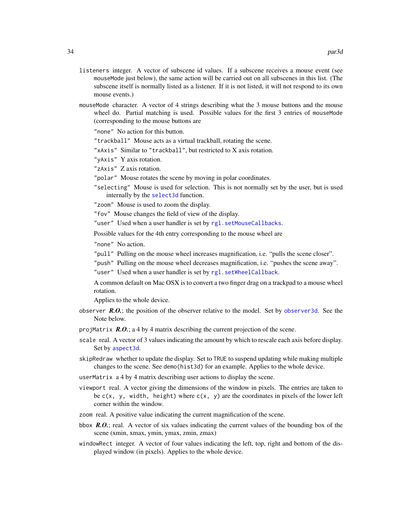- listeners integer. A vector of subscene id values. If a subscene receives a mouse event (see mouseMode just below), the same action will be carried out on all subscenes in this list. (The subscene itself is normally listed as a listener. If it is not listed, it will not respond to its own mouse events.)
- mouseMode character. A vector of 4 strings describing what the 3 mouse buttons and the mouse wheel do. Partial matching is used. Possible values for the first 3 entries of mouseMode (corresponding to the mouse buttons are

"none" No action for this button.

- "trackball" Mouse acts as a virtual trackball, rotating the scene.
- "xAxis" Similar to "trackball", but restricted to X axis rotation.
- "yAxis" Y axis rotation.
- "zAxis" Z axis rotation.
- "polar" Mouse rotates the scene by moving in polar coordinates.
- "selecting" Mouse is used for selection. This is not normally set by the user, but is used internally by the [select3d](#page-82-1) function.
- "zoom" Mouse is used to zoom the display.
- "fov" Mouse changes the field of view of the display.

"user" Used when a user handler is set by [rgl.setMouseCallbacks](#page-70-1).

Possible values for the 4th entry corresponding to the mouse wheel are

"none" No action.

- "pull" Pulling on the mouse wheel increases magnification, i.e. "pulls the scene closer".
- "push" Pulling on the mouse wheel decreases magnification, i.e. "pushes the scene away".

"user" Used when a user handler is set by [rgl.setWheelCallback](#page-70-2).

A common default on Mac OSX is to convert a two finger drag on a trackpad to a mouse wheel rotation.

Applies to the whole device.

- observer *R.O.*; the position of the observer relative to the model. Set by [observer3d](#page-29-1). See the Note below.
- projMatrix *R.O.*; a 4 by 4 matrix describing the current projection of the scene.
- scale real. A vector of 3 values indicating the amount by which to rescale each axis before display. Set by [aspect3d](#page-7-1).
- skipRedraw whether to update the display. Set to TRUE to suspend updating while making multiple changes to the scene. See demo(hist3d) for an example. Applies to the whole device.
- userMatrix a 4 by 4 matrix describing user actions to display the scene.
- viewport real. A vector giving the dimensions of the window in pixels. The entries are taken to be  $c(x, y, width, height)$  where  $c(x, y)$  are the coordinates in pixels of the lower left corner within the window.
- zoom real. A positive value indicating the current magnification of the scene.
- bbox  $R.O.$ ; real. A vector of six values indicating the current values of the bounding box of the scene (xmin, xmax, ymin, ymax, zmin, zmax)
- windowRect integer. A vector of four values indicating the left, top, right and bottom of the displayed window (in pixels). Applies to the whole device.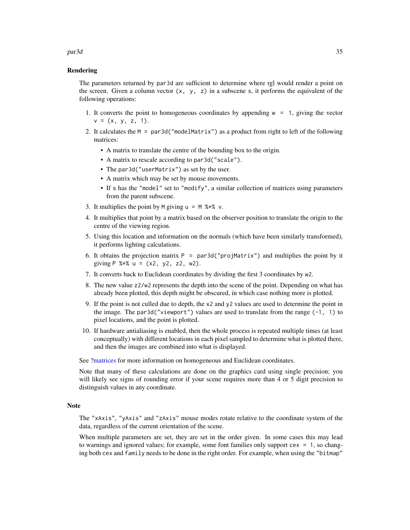#### par3d 35

#### Rendering

The parameters returned by par3d are sufficient to determine where rgl would render a point on the screen. Given a column vector  $(x, y, z)$  in a subscene s, it performs the equivalent of the following operations:

- 1. It converts the point to homogeneous coordinates by appending  $w = 1$ , giving the vector  $v = (x, y, z, 1).$
- 2. It calculates the  $M = par3d("modelMatrix")$  as a product from right to left of the following matrices:
	- A matrix to translate the centre of the bounding box to the origin.
	- A matrix to rescale according to par3d("scale").
	- The par3d("userMatrix") as set by the user.
	- A matrix which may be set by mouse movements.
	- If s has the "model" set to "modify", a similar collection of matrices using parameters from the parent subscene.
- 3. It multiplies the point by M giving  $u = M$  %\*% v.
- 4. It multiplies that point by a matrix based on the observer position to translate the origin to the centre of the viewing region.
- 5. Using this location and information on the normals (which have been similarly transformed), it performs lighting calculations.
- 6. It obtains the projection matrix  $P = \text{par}3d('projMatrix")$  and multiplies the point by it giving P  $%*$  u =  $(x2, y2, z2, w2)$ .
- 7. It converts back to Euclidean coordinates by dividing the first 3 coordinates by w2.
- 8. The new value z2/w2 represents the depth into the scene of the point. Depending on what has already been plotted, this depth might be obscured, in which case nothing more is plotted.
- 9. If the point is not culled due to depth, the x2 and y2 values are used to determine the point in the image. The par3d("viewport") values are used to translate from the range  $(-1, 1)$  to pixel locations, and the point is plotted.
- 10. If hardware antialiasing is enabled, then the whole process is repeated multiple times (at least conceptually) with different locations in each pixel sampled to determine what is plotted there, and then the images are combined into what is displayed.

See [?matrices](#page-23-2) for more information on homogeneous and Euclidean coordinates.

Note that many of these calculations are done on the graphics card using single precision; you will likely see signs of rounding error if your scene requires more than 4 or 5 digit precision to distinguish values in any coordinate.

#### **Note**

The "xAxis", "yAxis" and "zAxis" mouse modes rotate relative to the coordinate system of the data, regardless of the current orientation of the scene.

When multiple parameters are set, they are set in the order given. In some cases this may lead to warnings and ignored values; for example, some font families only support cex = 1, so changing both cex and family needs to be done in the right order. For example, when using the "bitmap"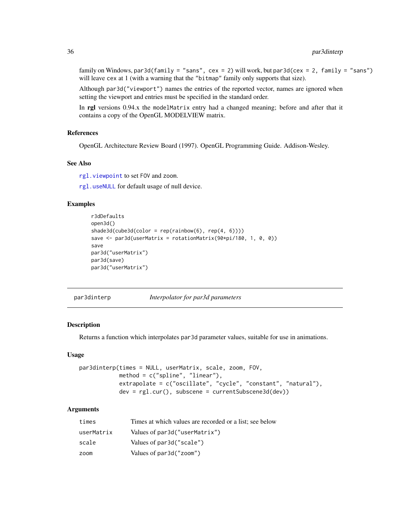family on Windows, par3d(family = "sans", cex = 2) will work, but par3d(cex = 2, family = "sans") will leave cex at 1 (with a warning that the "bitmap" family only supports that size).

Although par3d("viewport") names the entries of the reported vector, names are ignored when setting the viewport and entries must be specified in the standard order.

In rgl versions 0.94.x the modelMatrix entry had a changed meaning; before and after that it contains a copy of the OpenGL MODELVIEW matrix.

# References

OpenGL Architecture Review Board (1997). OpenGL Programming Guide. Addison-Wesley.

# See Also

[rgl.viewpoint](#page-102-1) to set FOV and zoom.

[rgl.useNULL](#page-76-1) for default usage of null device.

# Examples

```
r3dDefaults
open3d()
shade3d(cube3d(color = rep(rainbow(6), rep(4, 6))))save <- par3d(userMatrix = rotationMatrix(90*pi/180, 1, 0, 0))
save
par3d("userMatrix")
par3d(save)
par3d("userMatrix")
```
par3dinterp *Interpolator for par3d parameters*

# Description

Returns a function which interpolates par3d parameter values, suitable for use in animations.

#### Usage

```
par3dinterp(times = NULL, userMatrix, scale, zoom, FOV,
            method = c("spline", "linear"),
            extrapolate = c("oscillate", "cycle", "constant", "natural"),
            dev = rgl.cur(), subscene = currentSubscene3d(dev))
```
# Arguments

| times      | Times at which values are recorded or a list; see below |
|------------|---------------------------------------------------------|
| userMatrix | Values of par3d("userMatrix")                           |
| scale      | Values of par3d("scale")                                |
| zoom       | Values of par3d("zoom")                                 |

<span id="page-35-0"></span>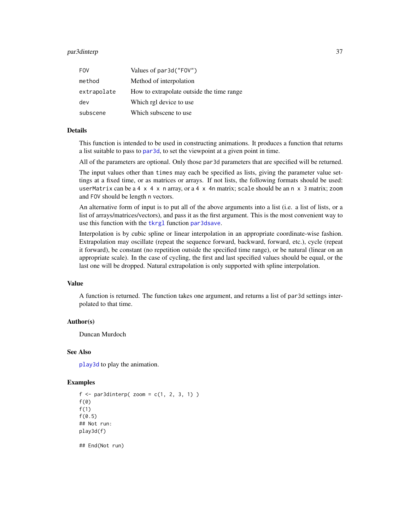# par3dinterp 37

| <b>FOV</b>  | Values of par3d("FOV")                    |
|-------------|-------------------------------------------|
| method      | Method of interpolation                   |
| extrapolate | How to extrapolate outside the time range |
| dev         | Which rgl device to use                   |
| subscene    | Which subscene to use                     |

#### Details

This function is intended to be used in constructing animations. It produces a function that returns a list suitable to pass to [par3d](#page-31-0), to set the viewpoint at a given point in time.

All of the parameters are optional. Only those par3d parameters that are specified will be returned.

The input values other than times may each be specified as lists, giving the parameter value settings at a fixed time, or as matrices or arrays. If not lists, the following formats should be used: userMatrix can be a 4  $\times$  4  $\times$  n array, or a 4  $\times$  4n matrix; scale should be an n  $\times$  3 matrix; zoom and FOV should be length n vectors.

An alternative form of input is to put all of the above arguments into a list (i.e. a list of lists, or a list of arrays/matrices/vectors), and pass it as the first argument. This is the most convenient way to use this function with the [tkrgl](#page-0-0) function [par3dsave](#page-0-0).

Interpolation is by cubic spline or linear interpolation in an appropriate coordinate-wise fashion. Extrapolation may oscillate (repeat the sequence forward, backward, forward, etc.), cycle (repeat it forward), be constant (no repetition outside the specified time range), or be natural (linear on an appropriate scale). In the case of cycling, the first and last specified values should be equal, or the last one will be dropped. Natural extrapolation is only supported with spline interpolation.

# Value

A function is returned. The function takes one argument, and returns a list of par3d settings interpolated to that time.

#### Author(s)

Duncan Murdoch

## See Also

[play3d](#page-43-0) to play the animation.

```
f \leftarrow par3dinterp( zoom = c(1, 2, 3, 1))f(0)
f(1)
f(0.5)## Not run:
play3d(f)
```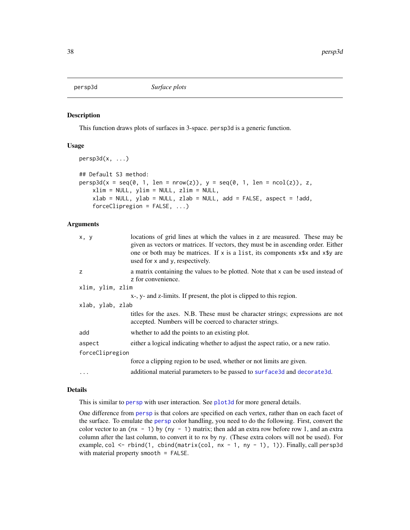<span id="page-37-0"></span>

## Description

This function draws plots of surfaces in 3-space. persp3d is a generic function.

# Usage

```
persp3d(x, ...)## Default S3 method:
persp3d(x = seq(0, 1, len = nrow(z)), y = seq(0, 1, len = ncol(z)), z,xlim = NULL, ylim = NULL, zlim = NULL,
    xlab = NULL, ylab = NULL, zlab = NULL, add = FALSE, aspect = !add,
    forceClipregion = FALSE, ...)
```
#### Arguments

| x, y             | locations of grid lines at which the values in z are measured. These may be<br>given as vectors or matrices. If vectors, they must be in ascending order. Either<br>one or both may be matrices. If x is a list, its components x\$x and x\$y are<br>used for x and y, respectively. |
|------------------|--------------------------------------------------------------------------------------------------------------------------------------------------------------------------------------------------------------------------------------------------------------------------------------|
| z                | a matrix containing the values to be plotted. Note that x can be used instead of<br>z for convenience.                                                                                                                                                                               |
| xlim, ylim, zlim |                                                                                                                                                                                                                                                                                      |
|                  | x-, y- and z-limits. If present, the plot is clipped to this region.                                                                                                                                                                                                                 |
| xlab, ylab, zlab |                                                                                                                                                                                                                                                                                      |
|                  | titles for the axes. N.B. These must be character strings; expressions are not<br>accepted. Numbers will be coerced to character strings.                                                                                                                                            |
| add              | whether to add the points to an existing plot.                                                                                                                                                                                                                                       |
| aspect           | either a logical indicating whether to adjust the aspect ratio, or a new ratio.                                                                                                                                                                                                      |
| forceClipregion  |                                                                                                                                                                                                                                                                                      |
|                  | force a clipping region to be used, whether or not limits are given.                                                                                                                                                                                                                 |
| $\ddots$         | additional material parameters to be passed to surface 3d and decorate 3d.                                                                                                                                                                                                           |
|                  |                                                                                                                                                                                                                                                                                      |

# Details

This is similar to [persp](#page-0-0) with user interaction. See plot 3d for more general details.

One difference from [persp](#page-0-0) is that colors are specified on each vertex, rather than on each facet of the surface. To emulate the [persp](#page-0-0) color handling, you need to do the following. First, convert the color vector to an (nx - 1) by (ny - 1) matrix; then add an extra row before row 1, and an extra column after the last column, to convert it to nx by ny. (These extra colors will not be used). For example, col <- rbind(1, cbind(matrix(col,  $nx - 1$ ,  $ny - 1$ ), 1)). Finally, call persp3d with material property smooth = FALSE.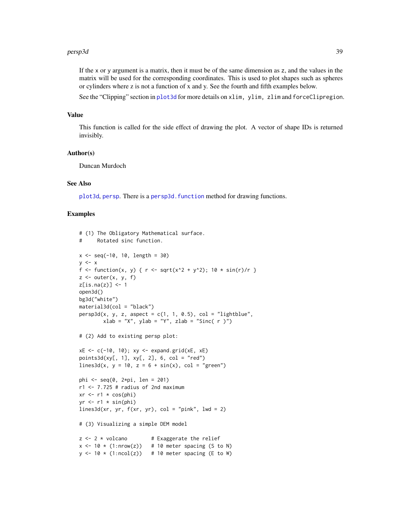#### persp3d 39

If the x or y argument is a matrix, then it must be of the same dimension as z, and the values in the matrix will be used for the corresponding coordinates. This is used to plot shapes such as spheres or cylinders where z is not a function of x and y. See the fourth and fifth examples below.

See the "Clipping" section in [plot3d](#page-45-1) for more details on xlim, ylim, zlim and forceClipregion.

### Value

This function is called for the side effect of drawing the plot. A vector of shape IDs is returned invisibly.

## Author(s)

Duncan Murdoch

#### See Also

[plot3d](#page-45-1), [persp](#page-0-0). There is a [persp3d.function](#page-39-0) method for drawing functions.

```
# (1) The Obligatory Mathematical surface.
# Rotated sinc function.
x \le - seq(-10, 10, length = 30)
y \le -xf <- function(x, y) { r <- sqrt(x^2 + y^2); 10 * sin(r)/r }
z \le outer(x, y, f)
z[is.na(z)] <- 1
open3d()
bg3d("white")
material3d(col = "black")
persp3d(x, y, z, aspect = c(1, 1, 0.5), col = "lightblue",xlab = "X", ylab = "Y", zlab = "Sinc( r )")# (2) Add to existing persp plot:
xE <- c(-10, 10); xy <- expand.grid(xE, xE)
points3d(xy[, 1], xy[, 2], 6, col = "red")
lines3d(x, y = 10, z = 6 + sin(x), col = "green")phi <- seq(0, 2*pi, len = 201)
r1 < -7.725 # radius of 2nd maximum
xr \leq r1 * cos(\phi hi)yr < - r1 * sin(\phi)lines3d(xr, yr, f(xr, yr), col = "pink", lw = 2)# (3) Visualizing a simple DEM model
z \le -2 * volcano # Exaggerate the relief
x \le -10 \times (1: nrow(z)) # 10 meter spacing (S to N)
y \le -10 \times (1:\text{ncol}(z)) # 10 meter spacing (E to W)
```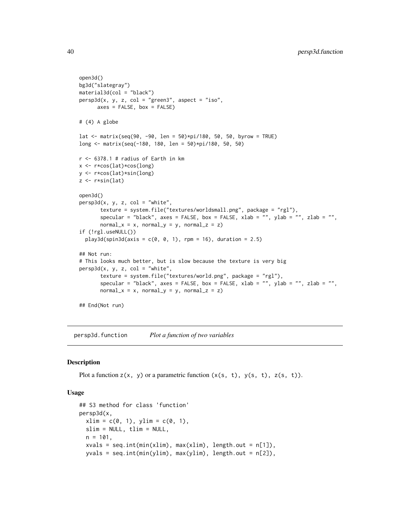```
open3d()
bg3d("slategray")
material3d(col = "black")
persp3d(x, y, z, col = "green3", aspect = "iso",axes = FALSE, box = FALSE)# (4) A globe
lat <- matrix(seq(90, -90, len = 50)*pi/180, 50, 50, byrow = TRUE)
long <- matrix(seq(-180, 180, len = 50)*pi/180, 50, 50)
r <- 6378.1 # radius of Earth in kmx <- r*cos(lat)*cos(long)
y <- r*cos(lat)*sin(long)
z <- r*sin(lat)
open3d()
persp3d(x, y, z, col = "white",texture = system.file("textures/worldsmall.png", package = "rgl"),
       specular = "black", axes = FALSE, box = FALSE, xlab = "", ylab = "", zlab = "",
       normal_x = x, normal_y = y, normal_z = z)
if (!rgl.useNULL())
  play3d(spin3d(axis = c(0, 0, 1), rpm = 16), duration = 2.5)## Not run:
# This looks much better, but is slow because the texture is very big
persp3d(x, y, z, col = "white",texture = system.file("textures/world.png", package = "rgl"),
       specular = "black", axes = FALSE, box = FALSE, xlab = "", ylab = "", zlab = "",
       normal_x = x, normal_y = y, normal_z = z)
## End(Not run)
```
<span id="page-39-0"></span>persp3d.function *Plot a function of two variables*

#### <span id="page-39-1"></span>Description

Plot a function  $z(x, y)$  or a parametric function  $(x(s, t), y(s, t), z(s, t))$ .

#### Usage

```
## S3 method for class 'function'
persp3d(x,
 x \lim = c(0, 1), y \lim = c(0, 1),slim = NULL, tlim = NULL,
 n = 101,xvals = seq.int(min(xlim), max(xlim), length.out = n[1]),yvals = seq.int(min(ylim), max(ylim), length.out = n[2]),
```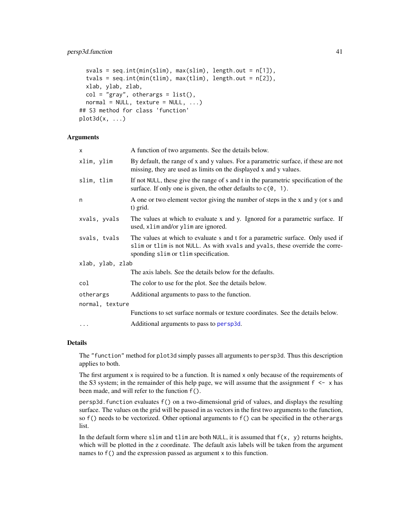```
svals = seq.int(min(slim), max(slim), length.out = n[1]),
  tvals = seq.int(min(tlim), max(tlim), length.out = n[2]),
 xlab, ylab, zlab,
 col = "gray", others = list(),normal = NULL, texture = NULL, ...)## S3 method for class 'function'
plot3d(x, \ldots)
```
#### Arguments

| X.               | A function of two arguments. See the details below.                                                                                                                                                    |
|------------------|--------------------------------------------------------------------------------------------------------------------------------------------------------------------------------------------------------|
| xlim, ylim       | By default, the range of x and y values. For a parametric surface, if these are not<br>missing, they are used as limits on the displayed x and y values.                                               |
| slim, tlim       | If not NULL, these give the range of s and t in the parametric specification of the<br>surface. If only one is given, the other defaults to $c(0, 1)$ .                                                |
| n                | A one or two element vector giving the number of steps in the x and y (or s and<br>t) grid.                                                                                                            |
| xvals, yvals     | The values at which to evaluate x and y. Ignored for a parametric surface. If<br>used, xlim and/or ylim are ignored.                                                                                   |
| svals, tvals     | The values at which to evaluate s and t for a parametric surface. Only used if<br>slim or tlim is not NULL. As with xvals and yvals, these override the corre-<br>sponding slim or tlim specification. |
| xlab, ylab, zlab |                                                                                                                                                                                                        |
|                  | The axis labels. See the details below for the defaults.                                                                                                                                               |
| col              | The color to use for the plot. See the details below.                                                                                                                                                  |
| otherargs        | Additional arguments to pass to the function.                                                                                                                                                          |
| normal, texture  |                                                                                                                                                                                                        |
|                  | Functions to set surface normals or texture coordinates. See the details below.                                                                                                                        |
| $\cdots$         | Additional arguments to pass to persp3d.                                                                                                                                                               |

#### Details

The "function" method for plot3d simply passes all arguments to persp3d. Thus this description applies to both.

The first argument x is required to be a function. It is named x only because of the requirements of the S3 system; in the remainder of this help page, we will assume that the assignment  $f \leq x$  has been made, and will refer to the function f().

persp3d.function evaluates f() on a two-dimensional grid of values, and displays the resulting surface. The values on the grid will be passed in as vectors in the first two arguments to the function, so  $f()$  needs to be vectorized. Other optional arguments to  $f()$  can be specified in the otherargs list.

In the default form where slim and tlim are both NULL, it is assumed that  $f(x, y)$  returns heights, which will be plotted in the z coordinate. The default axis labels will be taken from the argument names to f() and the expression passed as argument x to this function.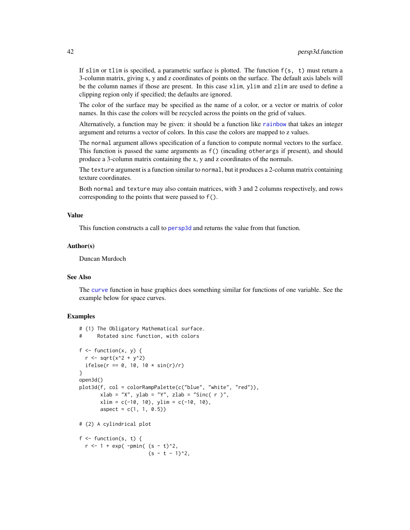If slim or tlim is specified, a parametric surface is plotted. The function  $f(s, t)$  must return a 3-column matrix, giving x, y and z coordinates of points on the surface. The default axis labels will be the column names if those are present. In this case xlim, ylim and zlim are used to define a clipping region only if specified; the defaults are ignored.

The color of the surface may be specified as the name of a color, or a vector or matrix of color names. In this case the colors will be recycled across the points on the grid of values.

Alternatively, a function may be given: it should be a function like [rainbow](#page-0-0) that takes an integer argument and returns a vector of colors. In this case the colors are mapped to z values.

The normal argument allows specification of a function to compute normal vectors to the surface. This function is passed the same arguments as f() (incuding otherargs if present), and should produce a 3-column matrix containing the x, y and z coordinates of the normals.

The texture argument is a function similar to normal, but it produces a 2-column matrix containing texture coordinates.

Both normal and texture may also contain matrices, with 3 and 2 columns respectively, and rows corresponding to the points that were passed to f().

#### Value

This function constructs a call to [persp3d](#page-37-0) and returns the value from that function.

# Author(s)

Duncan Murdoch

#### See Also

The [curve](#page-0-0) function in base graphics does something similar for functions of one variable. See the example below for space curves.

```
# (1) The Obligatory Mathematical surface.
      Rotated sinc function, with colors
f \leftarrow function(x, y) {
  r <- sqrt(x^2 + y^2)
  ifelse(r = 0, 10, 10 * sin(r)/r)
}
open3d()
plot3d(f, col = colorRampPalette(c("blue", "white", "red")),
       xlab = "X", ylab = "Y", zlab = "Sinc( r )",xlim = c(-10, 10), ylim = c(-10, 10),aspect = c(1, 1, 0.5)# (2) A cylindrical plot
f \leftarrow function(s, t) {
  r < -1 + \exp(-\text{pmin}(\text{ s} - \text{ t})^2),
                        (s - t - 1)^2,
```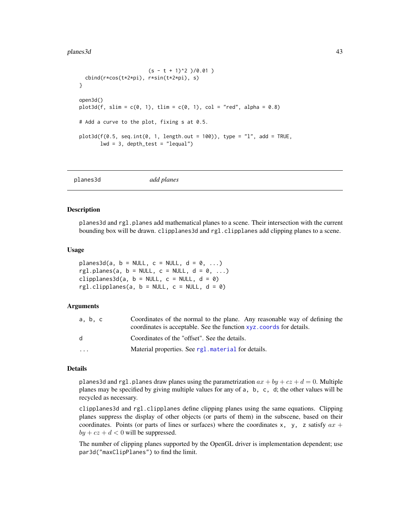#### planes3d 43

```
(s - t + 1)^2 )(0.01)cbind(r*cos(t*2*pi), r*sin(t*2*pi), s)
}
open3d()
plot3d(f, slim = c(0, 1), tlim = c(0, 1), col = "red", alpha = 0.8)# Add a curve to the plot, fixing s at 0.5.
plot3d(f(0.5, seq.int(0, 1, length.out = 100)), type = "l", add = TRUE,lwd = 3, depth_test = "lequal")
```

| planes3d | add planes |  |  |
|----------|------------|--|--|
|----------|------------|--|--|

# **Description**

planes3d and rgl.planes add mathematical planes to a scene. Their intersection with the current bounding box will be drawn. clipplanes3d and rgl.clipplanes add clipping planes to a scene.

#### Usage

```
planes3d(a, b = NULL, c = NULL, d = 0, ...)
rgl.planes(a, b = NULL, c = NULL, d = 0, ...)
clipplanes3d(a, b = NULL, c = NULL, d = 0)
rgl.clipplanes(a, b = NULL, c = NULL, d = 0)
```
#### Arguments

| a. b. c                 | Coordinates of the normal to the plane. Any reasonable way of defining the<br>coordinates is acceptable. See the function xyz. coords for details. |
|-------------------------|----------------------------------------------------------------------------------------------------------------------------------------------------|
| d.                      | Coordinates of the "offset". See the details.                                                                                                      |
| $\cdot$ $\cdot$ $\cdot$ | Material properties. See rg1. material for details.                                                                                                |

## Details

planes3d and rgl.planes draw planes using the parametrization  $ax + by + cz + d = 0$ . Multiple planes may be specified by giving multiple values for any of a, b, c, d; the other values will be recycled as necessary.

clipplanes3d and rgl.clipplanes define clipping planes using the same equations. Clipping planes suppress the display of other objects (or parts of them) in the subscene, based on their coordinates. Points (or parts of lines or surfaces) where the coordinates x, y, z satisfy  $ax +$  $by + cz + d < 0$  will be suppressed.

The number of clipping planes supported by the OpenGL driver is implementation dependent; use par3d("maxClipPlanes") to find the limit.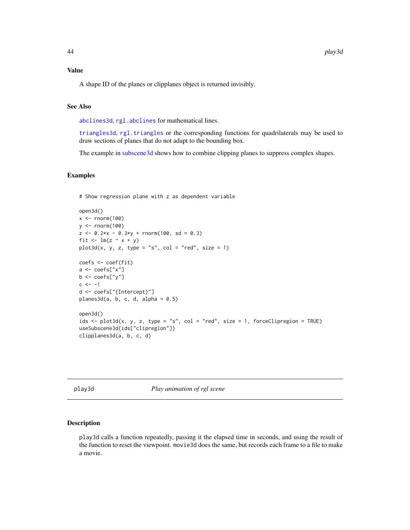# Value

A shape ID of the planes or clipplanes object is returned invisibly.

# See Also

[abclines3d](#page-4-0), [rgl.abclines](#page-4-1) for mathematical lines.

[triangles3d](#page-48-0), [rgl.triangles](#page-68-0) or the corresponding functions for quadrilaterals may be used to draw sections of planes that do not adapt to the bounding box.

The example in [subscene3d](#page-92-0) shows how to combine clipping planes to suppress complex shapes.

# Examples

```
# Show regression plane with z as dependent variable
open3d()
x \le rnorm(100)
y \le - rnorm(100)z \le -0.2*x - 0.3*y + rnorm(100, sd = 0.3)fit \leftarrow lm(z \sim x + y)plot3d(x, y, z, type = "s", col = "red", size = 1)coefs <- coef(fit)
a \leftarrow \text{coeffs["x"]b \leftarrow \text{coeffs}['y'']c <- -1d <- coefs["(Intercept)"]
planes3d(a, b, c, d, alpha = 0.5)open3d()
ids \le plot3d(x, y, z, type = "s", col = "red", size = 1, forceClipregion = TRUE)
useSubscene3d(ids["clipregion"])
clipplanes3d(a, b, c, d)
```
<span id="page-43-0"></span>play3d *Play animation of rgl scene*

# Description

play3d calls a function repeatedly, passing it the elapsed time in seconds, and using the result of the function to reset the viewpoint. movie3d does the same, but records each frame to a file to make a movie.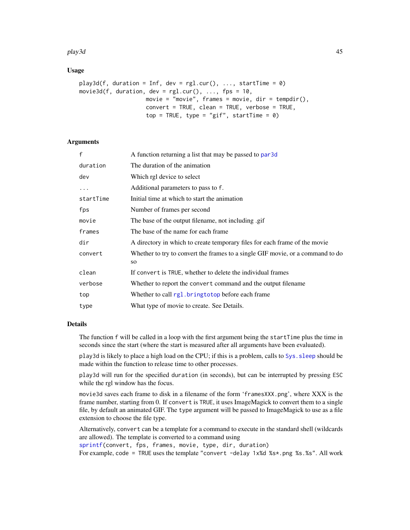#### play3d 45

# Usage

```
play3d(f, duration = Inf, dev = rg1.cur(), ..., startTime = 0)movie3d(f, duration, dev = rgl.cur(), ..., fps = 10,
                   movie = "movie", frames = movie, dir = tempdir(),convert = TRUE, clean = TRUE, verbose = TRUE,
                    top = TRUE, type = "gif", startTime = 0)
```
# Arguments

| $\mathsf{f}$ | A function returning a list that may be passed to par 3d                       |
|--------------|--------------------------------------------------------------------------------|
| duration     | The duration of the animation                                                  |
| dev          | Which rgl device to select                                                     |
| .            | Additional parameters to pass to f.                                            |
| startTime    | Initial time at which to start the animation                                   |
| fps          | Number of frames per second                                                    |
| movie        | The base of the output filename, not including .gif                            |
| frames       | The base of the name for each frame                                            |
| dir          | A directory in which to create temporary files for each frame of the movie     |
| convert      | Whether to try to convert the frames to a single GIF movie, or a command to do |
|              | SO.                                                                            |
| clean        | If convert is TRUE, whether to delete the individual frames                    |
| verbose      | Whether to report the convert command and the output filename                  |
| top          | Whether to call rgl. bringtotop before each frame                              |
| type         | What type of movie to create. See Details.                                     |

# Details

The function f will be called in a loop with the first argument being the startTime plus the time in seconds since the start (where the start is measured after all arguments have been evaluated).

play3d is likely to place a high load on the CPU; if this is a problem, calls to [Sys.sleep](#page-0-0) should be made within the function to release time to other processes.

play3d will run for the specified duration (in seconds), but can be interrupted by pressing ESC while the rgl window has the focus.

movie3d saves each frame to disk in a filename of the form 'framesXXX.png', where XXX is the frame number, starting from 0. If convert is TRUE, it uses ImageMagick to convert them to a single file, by default an animated GIF. The type argument will be passed to ImageMagick to use as a file extension to choose the file type.

Alternatively, convert can be a template for a command to execute in the standard shell (wildcards are allowed). The template is converted to a command using

[sprintf\(](#page-0-0)convert, fps, frames, movie, type, dir, duration)

For example, code = TRUE uses the template "convert -delay 1x%d %s\*.png %s.%s". All work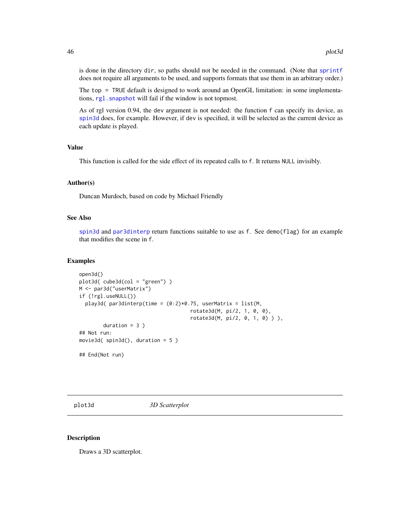is done in the directory dir, so paths should not be needed in the command. (Note that [sprintf](#page-0-0) does not require all arguments to be used, and supports formats that use them in an arbitrary order.)

The top = TRUE default is designed to work around an OpenGL limitation: in some implementations, rgl. snapshot will fail if the window is not topmost.

As of rgl version 0.94, the dev argument is not needed: the function f can specify its device, as [spin3d](#page-89-0) does, for example. However, if dev is specified, it will be selected as the current device as each update is played.

# Value

This function is called for the side effect of its repeated calls to f. It returns NULL invisibly.

#### Author(s)

Duncan Murdoch, based on code by Michael Friendly

# See Also

[spin3d](#page-89-0) and [par3dinterp](#page-35-0) return functions suitable to use as f. See demo(flag) for an example that modifies the scene in f.

#### Examples

```
open3d()
plot3d( cube3d(col = "green") )
M <- par3d("userMatrix")
if (!rgl.useNULL())
  play3d( par3dinterp(time = (0:2)*0.75, userMatrix = list(M,
                                     rotate3d(M, pi/2, 1, 0, 0),
                                     rotate3d(M, pi/2, 0, 1, 0) ) ),
        duration = 3)
## Not run:
movie3d( spin3d(), duration = 5 )
## End(Not run)
```
<span id="page-45-1"></span>plot3d *3D Scatterplot*

#### <span id="page-45-0"></span>Description

Draws a 3D scatterplot.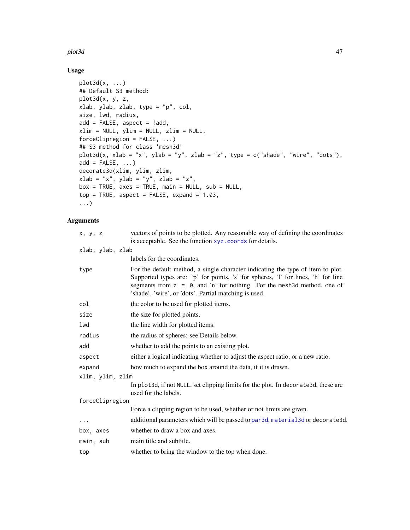## plot3d 47

# Usage

```
plot3d(x, \ldots)## Default S3 method:
plot3d(x, y, z,
xlab, ylab, zlab, type = "p", col,
size, lwd, radius,
add = FALSE, aspect = !add,xlim = NULL, ylim = NULL, zlim = NULL,
forceClipregion = FALSE, ...)## S3 method for class 'mesh3d'
plot3d(x, xlab = "x", ylab = "y", zlab = "z", type = c("shade", "wire", "dots"),add = FALSE, \ldots)decorate3d(xlim, ylim, zlim,
xlab = "x", ylab = "y", zlab = "z",box = TRUE, axes = TRUE, main = NULL, sub = NULL,
top = TRUE, aspect = FALSE, expand = 1.03,
...)
```
# Arguments

| x, y, z          | vectors of points to be plotted. Any reasonable way of defining the coordinates<br>is acceptable. See the function xyz. coords for details.                                                                                                                                                                 |  |
|------------------|-------------------------------------------------------------------------------------------------------------------------------------------------------------------------------------------------------------------------------------------------------------------------------------------------------------|--|
| xlab, ylab, zlab |                                                                                                                                                                                                                                                                                                             |  |
|                  | labels for the coordinates.                                                                                                                                                                                                                                                                                 |  |
| type             | For the default method, a single character indicating the type of item to plot.<br>Supported types are: 'p' for points, 's' for spheres, 'l' for lines, 'h' for line<br>segments from $z = 0$ , and 'n' for nothing. For the mesh3d method, one of<br>'shade', 'wire', or 'dots'. Partial matching is used. |  |
| col              | the color to be used for plotted items.                                                                                                                                                                                                                                                                     |  |
| size             | the size for plotted points.                                                                                                                                                                                                                                                                                |  |
| lwd              | the line width for plotted items.                                                                                                                                                                                                                                                                           |  |
| radius           | the radius of spheres: see Details below.                                                                                                                                                                                                                                                                   |  |
| add              | whether to add the points to an existing plot.                                                                                                                                                                                                                                                              |  |
| aspect           | either a logical indicating whether to adjust the aspect ratio, or a new ratio.                                                                                                                                                                                                                             |  |
| expand           | how much to expand the box around the data, if it is drawn.                                                                                                                                                                                                                                                 |  |
| xlim, ylim, zlim |                                                                                                                                                                                                                                                                                                             |  |
|                  | In plot3d, if not NULL, set clipping limits for the plot. In decorate3d, these are<br>used for the labels.                                                                                                                                                                                                  |  |
| forceClipregion  |                                                                                                                                                                                                                                                                                                             |  |
|                  | Force a clipping region to be used, whether or not limits are given.                                                                                                                                                                                                                                        |  |
| $\cdots$         | additional parameters which will be passed to par3d, material3d or decorate3d.                                                                                                                                                                                                                              |  |
| box, axes        | whether to draw a box and axes.                                                                                                                                                                                                                                                                             |  |
| main, sub        | main title and subtitle.                                                                                                                                                                                                                                                                                    |  |
| top              | whether to bring the window to the top when done.                                                                                                                                                                                                                                                           |  |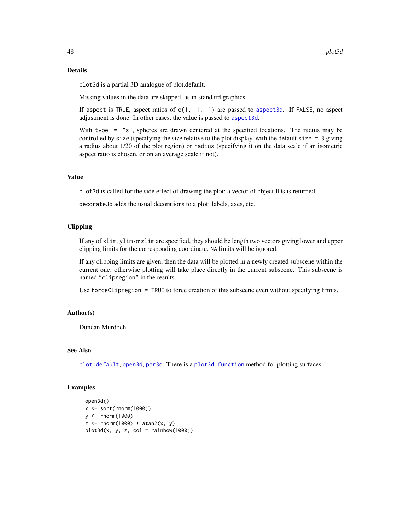# Details

plot3d is a partial 3D analogue of plot.default.

Missing values in the data are skipped, as in standard graphics.

If aspect is TRUE, aspect ratios of  $c(1, 1, 1)$  are passed to [aspect3d](#page-7-0). If FALSE, no aspect adjustment is done. In other cases, the value is passed to [aspect3d](#page-7-0).

With type = "s", spheres are drawn centered at the specified locations. The radius may be controlled by size (specifying the size relative to the plot display, with the default size  $= 3$  giving a radius about 1/20 of the plot region) or radius (specifying it on the data scale if an isometric aspect ratio is chosen, or on an average scale if not).

# Value

plot3d is called for the side effect of drawing the plot; a vector of object IDs is returned.

decorate3d adds the usual decorations to a plot: labels, axes, etc.

# Clipping

If any of xlim, ylim or zlim are specified, they should be length two vectors giving lower and upper clipping limits for the corresponding coordinate. NA limits will be ignored.

If any clipping limits are given, then the data will be plotted in a newly created subscene within the current one; otherwise plotting will take place directly in the current subscene. This subscene is named "clipregion" in the results.

Use forceClipregion = TRUE to force creation of this subscene even without specifying limits.

#### Author(s)

Duncan Murdoch

# See Also

[plot.default](#page-0-0), [open3d](#page-31-1), [par3d](#page-31-0). There is a [plot3d.function](#page-39-1) method for plotting surfaces.

```
open3d()
x <- sort(rnorm(1000))
y <- rnorm(1000)
z <- rnorm(1000) + atan2(x, y)
plot3d(x, y, z, col = rainbow(1000))
```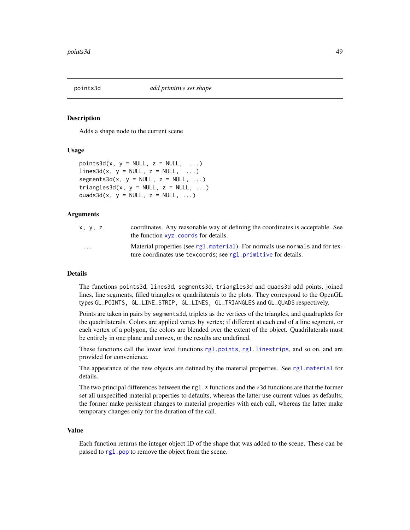<span id="page-48-1"></span>

#### <span id="page-48-0"></span>Description

Adds a shape node to the current scene

#### Usage

```
points3d(x, y = NULL, z = NULL, ...)lines3d(x, y = NULL, z = NULL, ...)segments3d(x, y = NULL, z = NULL, ...)triangle3d(x, y = NULL, z = NULL, ...)quads3d(x, y = NULL, z = NULL, ...)
```
## Arguments

| x, y, z                 | coordinates. Any reasonable way of defining the coordinates is acceptable. See<br>the function xyz. coords for details.                         |
|-------------------------|-------------------------------------------------------------------------------------------------------------------------------------------------|
| $\cdot$ $\cdot$ $\cdot$ | Material properties (see rg1, material). For normals use normals and for tex-<br>ture coordinates use texcoords; see rgl.primitive for details. |

#### Details

The functions points3d, lines3d, segments3d, triangles3d and quads3d add points, joined lines, line segments, filled triangles or quadrilaterals to the plots. They correspond to the OpenGL types GL\_POINTS, GL\_LINE\_STRIP, GL\_LINES, GL\_TRIANGLES and GL\_QUADS respectively.

Points are taken in pairs by segments3d, triplets as the vertices of the triangles, and quadruplets for the quadrilaterals. Colors are applied vertex by vertex; if different at each end of a line segment, or each vertex of a polygon, the colors are blended over the extent of the object. Quadrilaterals must be entirely in one plane and convex, or the results are undefined.

These functions call the lower level functions [rgl.points](#page-68-0), [rgl.linestrips](#page-68-0), and so on, and are provided for convenience.

The appearance of the new objects are defined by the material properties. See [rgl.material](#page-61-0) for details.

The two principal differences between the rgl.  $\star$  functions and the  $\star$ 3d functions are that the former set all unspecified material properties to defaults, whereas the latter use current values as defaults; the former make persistent changes to material properties with each call, whereas the latter make temporary changes only for the duration of the call.

#### Value

Each function returns the integer object ID of the shape that was added to the scene. These can be passed to [rgl.pop](#page-78-0) to remove the object from the scene.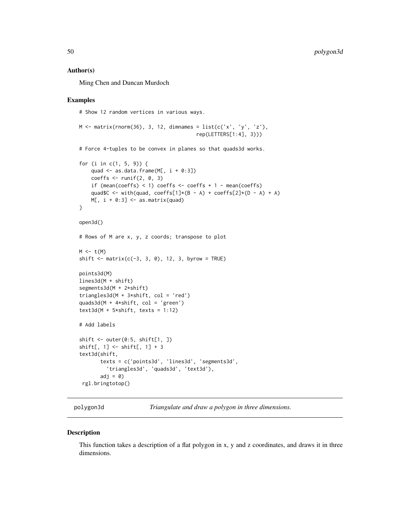## Author(s)

Ming Chen and Duncan Murdoch

# Examples

```
# Show 12 random vertices in various ways.
M \leftarrow matrix(rnorm(36), 3, 12, dimnames = list(c('x', 'y', 'z'),
                                        rep(LETTERS[1:4], 3)))
# Force 4-tuples to be convex in planes so that quads3d works.
for (i in c(1, 5, 9)) {
   quad \leq as.data.frame(M[, i + 0:3])
    coeffs \le runif(2, 0, 3)
   if (mean(coeffs) < 1) coeffs <- coeffs + 1 - mean(coeffs)
   quad$C <- with(quad, coeffs[1]*(B - A) + coeffs[2]*(D - A) + A)
   M[, i + 0:3] <- as.matrix(quad)
}
open3d()
# Rows of M are x, y, z coords; transpose to plot
M \leftarrow t(M)shift \leq matrix(c(-3, 3, 0), 12, 3, byrow = TRUE)
points3d(M)
lines3d(M + shift)
segments3d(M + 2*shift)
triangles3d(M + 3*shift, col = 'red')
quads3d(M + 4*shift, col = 'green')
text3d(M + 5*shift, texts = 1:12)# Add labels
shift \leq outer(0:5, shift[1, ])
shift[, 1] <- shift[, 1] + 3
text3d(shift,
       texts = c('points3d', 'lines3d', 'segments3d',
         'triangles3d', 'quads3d', 'text3d'),
       adj = 0rgl.bringtotop()
```
polygon3d *Triangulate and draw a polygon in three dimensions.*

#### Description

This function takes a description of a flat polygon in x, y and z coordinates, and draws it in three dimensions.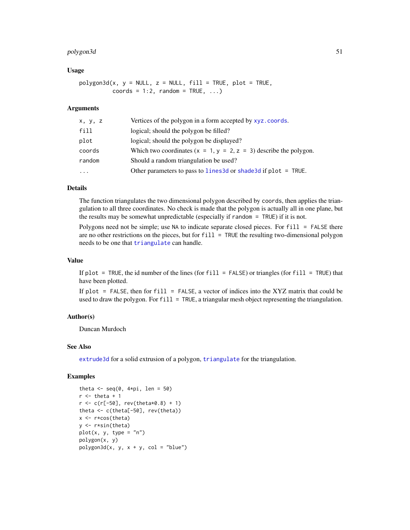# polygon3d 51

## Usage

 $polygon3d(x, y = NULL, z = NULL, fill = TRUE, plot = TRUE,$ coords =  $1:2$ , random = TRUE, ...)

#### Arguments

| X, Y, Z | Vertices of the polygon in a form accepted by xyz.coords.           |
|---------|---------------------------------------------------------------------|
| fill    | logical; should the polygon be filled?                              |
| plot    | logical; should the polygon be displayed?                           |
| coords  | Which two coordinates $(x = 1, y = 2, z = 3)$ describe the polygon. |
| random  | Should a random triangulation be used?                              |
| $\cdot$ | Other parameters to pass to $lines3d$ or shade 3d if plot = TRUE.   |

# Details

The function triangulates the two dimensional polygon described by coords, then applies the triangulation to all three coordinates. No check is made that the polygon is actually all in one plane, but the results may be somewhat unpredictable (especially if random = TRUE) if it is not.

Polygons need not be simple; use NA to indicate separate closed pieces. For fill = FALSE there are no other restrictions on the pieces, but for fill = TRUE the resulting two-dimensional polygon needs to be one that [triangulate](#page-100-0) can handle.

# Value

If plot = TRUE, the id number of the lines (for  $fill = FALSE$ ) or triangles (for  $fill = TRUE$ ) that have been plotted.

If plot = FALSE, then for fill = FALSE, a vector of indices into the XYZ matrix that could be used to draw the polygon. For fill = TRUE, a triangular mesh object representing the triangulation.

# Author(s)

Duncan Murdoch

# See Also

[extrude3d](#page-16-0) for a solid extrusion of a polygon, [triangulate](#page-100-0) for the triangulation.

```
theta \leq seq(0, 4*pi, len = 50)
r <- theta + 1
r < -c(r[-50], rev(the tax 0.8) + 1)theta <- c(theta[-50], rev(theta))
x <- r*cos(theta)
y <- r*sin(theta)
plot(x, y, type = "n")polygon(x, y)
polygon3d(x, y, x + y, col = "blue")
```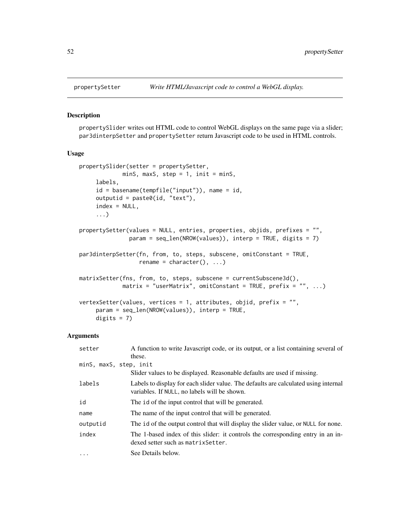#### Description

propertySlider writes out HTML code to control WebGL displays on the same page via a slider; par3dinterpSetter and propertySetter return Javascript code to be used in HTML controls.

#### Usage

```
propertySlider(setter = propertySetter,
             minS, maxS, step = 1, init = minS,
     labels,
     id = basename(tempfile("input")), name = id,
     outputid = paste0(id, "text"),
     index = NULL,...)
propertySetter(values = NULL, entries, properties, objids, prefixes = "",
               param = seq_len(NROW(values)), interp = TRUE, digits = 7)
par3dinterpSetter(fn, from, to, steps, subscene, omitConstant = TRUE,
                  rename = character(), ...)
matrixSetter(fns, from, to, steps, subscene = currentSubscene3d(),
             matrix = "userMatrix", omitConstant = TRUE, prefix = "", ...)
vertexSetter(values, vertices = 1, attributes, objid, prefix = "",
     param = seq_len(NROW(values)), interp = TRUE,
```
#### Arguments

digits  $= 7$ )

| setter                 | A function to write Javascript code, or its output, or a list containing several of                                                 |
|------------------------|-------------------------------------------------------------------------------------------------------------------------------------|
|                        | these.                                                                                                                              |
| minS, maxS, step, init |                                                                                                                                     |
|                        | Slider values to be displayed. Reasonable defaults are used if missing.                                                             |
| labels                 | Labels to display for each slider value. The defaults are calculated using internal<br>variables. If NULL, no labels will be shown. |
| id                     | The id of the input control that will be generated.                                                                                 |
| name                   | The name of the input control that will be generated.                                                                               |
| outputid               | The id of the output control that will display the slider value, or NULL for none.                                                  |
| index                  | The 1-based index of this slider: it controls the corresponding entry in an in-<br>dexed setter such as matrix Setter.              |
| $\ddotsc$              | See Details below.                                                                                                                  |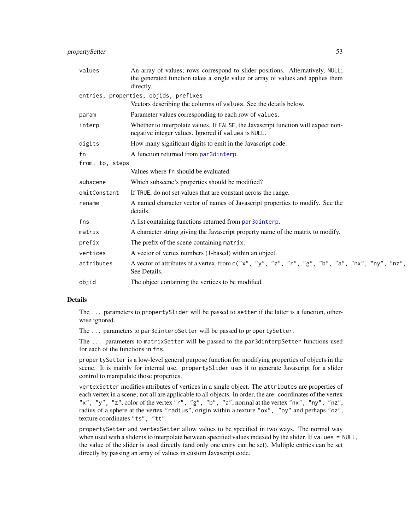# propertySetter 53

| values          | An array of values; rows correspond to slider positions. Alternatively, NULL;<br>the generated function takes a single value or array of values and applies them<br>directly. |
|-----------------|-------------------------------------------------------------------------------------------------------------------------------------------------------------------------------|
|                 | entries, properties, objids, prefixes                                                                                                                                         |
|                 | Vectors describing the columns of values. See the details below.                                                                                                              |
| param           | Parameter values corresponding to each row of values.                                                                                                                         |
| interp          | Whether to interpolate values. If FALSE, the Javascript function will expect non-<br>negative integer values. Ignored if values is NULL.                                      |
| digits          | How many significant digits to emit in the Javascript code.                                                                                                                   |
| fn              | A function returned from par3dinterp.                                                                                                                                         |
| from, to, steps |                                                                                                                                                                               |
|                 | Values where fn should be evaluated.                                                                                                                                          |
| subscene        | Which subscene's properties should be modified?                                                                                                                               |
| omitConstant    | If TRUE, do not set values that are constant across the range.                                                                                                                |
| rename          | A named character vector of names of Javascript properties to modify. See the<br>details.                                                                                     |
| fns             | A list containing functions returned from par3dinterp.                                                                                                                        |
| matrix          | A character string giving the Javascript property name of the matrix to modify.                                                                                               |
| prefix          | The prefix of the scene containing matrix.                                                                                                                                    |
| vertices        | A vector of vertex numbers (1-based) within an object.                                                                                                                        |
| attributes      | A vector of attributes of a vertex, from c("x", "y", "z", "r", "g", "b", "a", "nx", "ny", "nz",<br>See Details.                                                               |
| objid           | The object containing the vertices to be modified.                                                                                                                            |
|                 |                                                                                                                                                                               |

# Details

The ... parameters to propertySlider will be passed to setter if the latter is a function, otherwise ignored.

The ... parameters to par3dinterpSetter will be passed to propertySetter.

The ... parameters to matrixSetter will be passed to the par3dinterpSetter functions used for each of the functions in fns.

propertySetter is a low-level general purpose function for modifying properties of objects in the scene. It is mainly for internal use. propertySlider uses it to generate Javascript for a slider control to manipulate those properties.

vertexSetter modifies attributes of vertices in a single object. The attributes are properties of each vertex in a scene; not all are applicable to all objects. In order, the are: coordinates of the vertex "x", "y", "z", color of the vertex "r", "g", "b", "a", normal at the vertex "nx", "ny", "nz", radius of a sphere at the vertex "radius", origin within a texture "ox", "oy" and perhaps "oz", texture coordinates "ts", "tt".

propertySetter and vertexSetter allow values to be specified in two ways. The normal way when used with a slider is to interpolate between specified values indexed by the slider. If values = NULL, the value of the slider is used directly (and only one entry can be set). Multiple entries can be set directly by passing an array of values in custom Javascript code.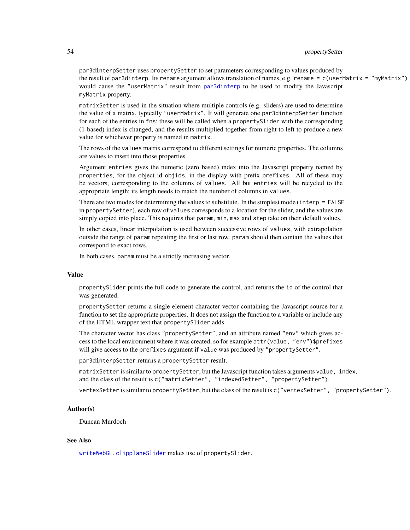# 54 propertySetter

par3dinterpSetter uses propertySetter to set parameters corresponding to values produced by the result of par3dinterp. Its rename argument allows translation of names, e.g. rename = c(userMatrix = "myMatrix") would cause the "userMatrix" result from [par3dinterp](#page-35-0) to be used to modify the Javascript myMatrix property.

matrixSetter is used in the situation where multiple controls (e.g. sliders) are used to determine the value of a matrix, typically "userMatrix". It will generate one par3dinterpSetter function for each of the entries in fns; these will be called when a propertySlider with the corresponding (1-based) index is changed, and the results multiplied together from right to left to produce a new value for whichever property is named in matrix.

The rows of the values matrix correspond to different settings for numeric properties. The columns are values to insert into those properties.

Argument entries gives the numeric (zero based) index into the Javascript property named by properties, for the object id objids, in the display with prefix prefixes. All of these may be vectors, corresponding to the columns of values. All but entries will be recycled to the appropriate length; its length needs to match the number of columns in values.

There are two modes for determining the values to substitute. In the simplest mode (interp = FALSE in propertySetter), each row of values corresponds to a location for the slider, and the values are simply copied into place. This requires that param, min, max and step take on their default values.

In other cases, linear interpolation is used between successive rows of values, with extrapolation outside the range of param repeating the first or last row. param should then contain the values that correspond to exact rows.

In both cases, param must be a strictly increasing vector.

#### Value

propertySlider prints the full code to generate the control, and returns the id of the control that was generated.

propertySetter returns a single element character vector containing the Javascript source for a function to set the appropriate properties. It does not assign the function to a variable or include any of the HTML wrapper text that propertySlider adds.

The character vector has class "propertySetter", and an attribute named "env" which gives access to the local environment where it was created, so for example attr(value, "env")\$prefixes will give access to the prefixes argument if value was produced by "propertySetter".

par3dinterpSetter returns a propertySetter result.

matrixSetter is similar to propertySetter, but the Javascript function takes arguments value, index, and the class of the result is c("matrixSetter", "indexedSetter", "propertySetter").

vertexSetter is similar to propertySetter, but the class of the result is c("vertexSetter", "propertySetter").

#### Author(s)

Duncan Murdoch

## See Also

[writeWebGL](#page-109-0). [clipplaneSlider](#page-103-0) makes use of propertySlider.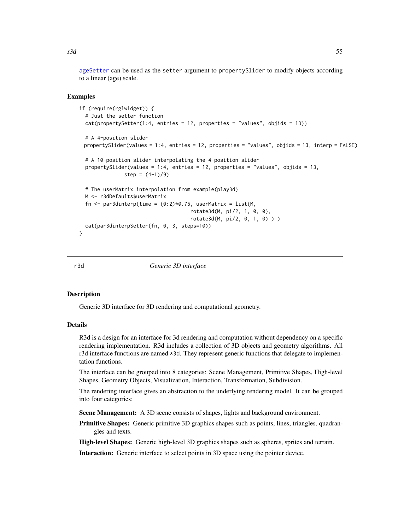[ageSetter](#page-6-0) can be used as the setter argument to propertySlider to modify objects according to a linear (age) scale.

#### Examples

```
if (require(rglwidget)) {
 # Just the setter function
 cat(propertySetter(1:4, entries = 12, properties = "values", objids = 13))
 # A 4-position slider
 propertySlider(values = 1:4, entries = 12, properties = "values", objids = 13, interp = FALSE)
 # A 10-position slider interpolating the 4-position slider
 propertySlider(values = 1:4, entries = 12, properties = "values", objids = 13,
              step = (4-1)/9)
 # The userMatrix interpolation from example(play3d)
 M <- r3dDefaults$userMatrix
 fn \le par3dinterp(time = (0:2)*0.75, userMatrix = list(M,
                                     rotate3d(M, pi/2, 1, 0, 0),
                                     rotate3d(M, pi/2, 0, 1, 0) ) )
 cat(par3dinterpSetter(fn, 0, 3, steps=10))
}
```
<span id="page-54-0"></span>r3d *Generic 3D interface*

#### Description

Generic 3D interface for 3D rendering and computational geometry.

## Details

R3d is a design for an interface for 3d rendering and computation without dependency on a specific rendering implementation. R3d includes a collection of 3D objects and geometry algorithms. All r3d interface functions are named \*3d. They represent generic functions that delegate to implementation functions.

The interface can be grouped into 8 categories: Scene Management, Primitive Shapes, High-level Shapes, Geometry Objects, Visualization, Interaction, Transformation, Subdivision.

The rendering interface gives an abstraction to the underlying rendering model. It can be grouped into four categories:

Scene Management: A 3D scene consists of shapes, lights and background environment.

Primitive Shapes: Generic primitive 3D graphics shapes such as points, lines, triangles, quadrangles and texts.

High-level Shapes: Generic high-level 3D graphics shapes such as spheres, sprites and terrain.

Interaction: Generic interface to select points in 3D space using the pointer device.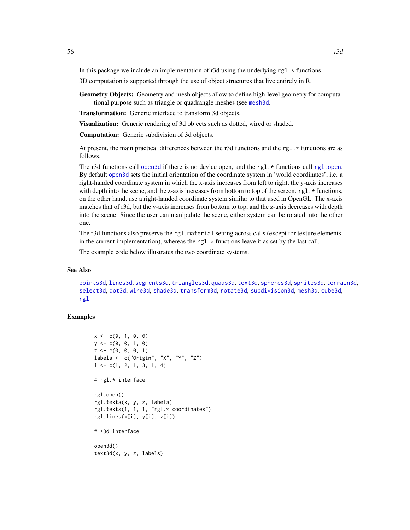In this package we include an implementation of r3d using the underlying  $rg1.*$  functions.

3D computation is supported through the use of object structures that live entirely in R.

Geometry Objects: Geometry and mesh objects allow to define high-level geometry for computational purpose such as triangle or quadrangle meshes (see [mesh3d](#page-25-1).

Transformation: Generic interface to transform 3d objects.

Visualization: Generic rendering of 3d objects such as dotted, wired or shaded.

Computation: Generic subdivision of 3d objects.

At present, the main practical differences between the r3d functions and the rg1, $\star$  functions are as follows.

The r3d functions call [open3d](#page-31-1) if there is no device open, and the rgl. $*$  functions call [rgl.open](#page-64-0). By default [open3d](#page-31-1) sets the initial orientation of the coordinate system in 'world coordinates', i.e. a right-handed coordinate system in which the x-axis increases from left to right, the y-axis increases with depth into the scene, and the z-axis increases from bottom to top of the screen.  $rg1.*$  functions, on the other hand, use a right-handed coordinate system similar to that used in OpenGL. The x-axis matches that of r3d, but the y-axis increases from bottom to top, and the z-axis decreases with depth into the scene. Since the user can manipulate the scene, either system can be rotated into the other one.

The r3d functions also preserve the rgl.material setting across calls (except for texture elements, in the current implementation), whereas the rg1. $\star$  functions leave it as set by the last call.

The example code below illustrates the two coordinate systems.

## See Also

[points3d](#page-48-1), [lines3d](#page-48-0), [segments3d](#page-48-0), [triangles3d](#page-48-0), [quads3d](#page-48-0), [text3d](#page-97-0), [spheres3d](#page-88-0), [sprites3d](#page-90-0), [terrain3d](#page-96-1), [select3d](#page-82-0), [dot3d](#page-25-0), [wire3d](#page-25-0), [shade3d](#page-25-0), [transform3d](#page-23-0), [rotate3d](#page-23-0), [subdivision3d](#page-91-0), [mesh3d](#page-25-1), [cube3d](#page-25-0), [rgl](#page-2-0)

```
x \leq -c(0, 1, 0, 0)y \leq -c(0, 0, 1, 0)z \leq c(0, 0, 0, 1)labels <- c("Origin", "X", "Y", "Z")
i \leq c(1, 2, 1, 3, 1, 4)# rgl.* interface
rgl.open()
rgl.texts(x, y, z, labels)
rgl.texts(1, 1, 1, "rgl.* coordinates")
rgl.lines(x[i], y[i], z[i])
# *3d interface
open3d()
text3d(x, y, z, labels)
```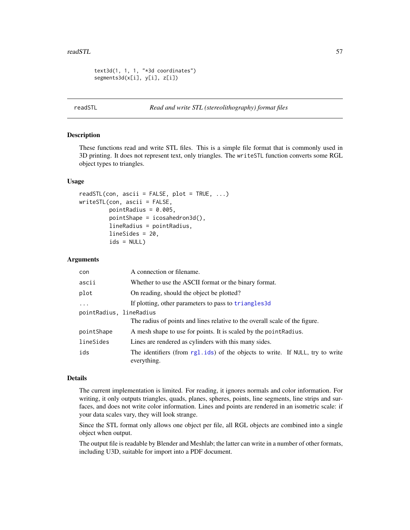#### readSTL 57

```
text3d(1, 1, 1, "*3d coordinates")
segments3d(x[i], y[i], z[i])
```
#### readSTL *Read and write STL (stereolithography) format files*

# <span id="page-56-0"></span>Description

These functions read and write STL files. This is a simple file format that is commonly used in 3D printing. It does not represent text, only triangles. The writeSTL function converts some RGL object types to triangles.

#### Usage

```
readSTL(con, <math>ascii = FALSE, plot = TRUE, ...)</math>)writeSTL(con, ascii = FALSE,
         pointRadius = 0.005,
         pointShape = icosahedron3d(),
         lineRadius = pointRadius,
         lineSides = 20,
         ids = NULL)
```
#### Arguments

| con                     | A connection or filename.                                                                    |  |
|-------------------------|----------------------------------------------------------------------------------------------|--|
| ascii                   | Whether to use the ASCII format or the binary format.                                        |  |
| plot                    | On reading, should the object be plotted?                                                    |  |
| $\cdots$                | If plotting, other parameters to pass to triangles3d                                         |  |
| pointRadius, lineRadius |                                                                                              |  |
|                         | The radius of points and lines relative to the overall scale of the figure.                  |  |
| pointShape              | A mesh shape to use for points. It is scaled by the point Radius.                            |  |
| lineSides               | Lines are rendered as cylinders with this many sides.                                        |  |
| ids                     | The identifiers (from rg1.ids) of the objects to write. If NULL, try to write<br>everything. |  |

#### Details

The current implementation is limited. For reading, it ignores normals and color information. For writing, it only outputs triangles, quads, planes, spheres, points, line segments, line strips and surfaces, and does not write color information. Lines and points are rendered in an isometric scale: if your data scales vary, they will look strange.

Since the STL format only allows one object per file, all RGL objects are combined into a single object when output.

The output file is readable by Blender and Meshlab; the latter can write in a number of other formats, including U3D, suitable for import into a PDF document.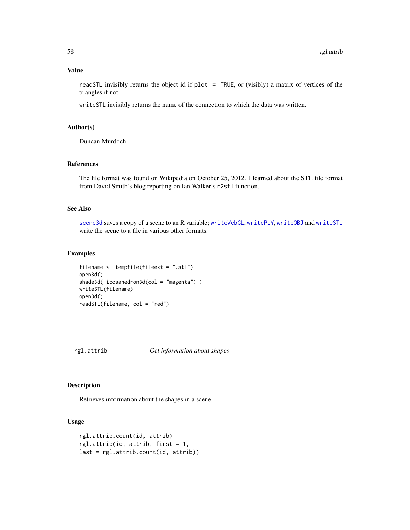# Value

readSTL invisibly returns the object id if plot = TRUE, or (visibly) a matrix of vertices of the triangles if not.

writeSTL invisibly returns the name of the connection to which the data was written.

# Author(s)

Duncan Murdoch

# References

The file format was found on Wikipedia on October 25, 2012. I learned about the STL file format from David Smith's blog reporting on Ian Walker's r2stl function.

#### See Also

[scene3d](#page-80-0) saves a copy of a scene to an R variable; [writeWebGL](#page-109-0), [writePLY](#page-107-0), [writeOBJ](#page-105-0) and [writeSTL](#page-56-0) write the scene to a file in various other formats.

# Examples

```
filename <- tempfile(fileext = ".stl")
open3d()
shade3d( icosahedron3d(col = "magenta") )
writeSTL(filename)
open3d()
readSTL(filename, col = "red")
```

```
rgl.attrib Get information about shapes
```
## Description

Retrieves information about the shapes in a scene.

#### Usage

```
rgl.attrib.count(id, attrib)
rgl.attrib(id, attrib, first = 1,
last = rgl.attrib.count(id, attrib))
```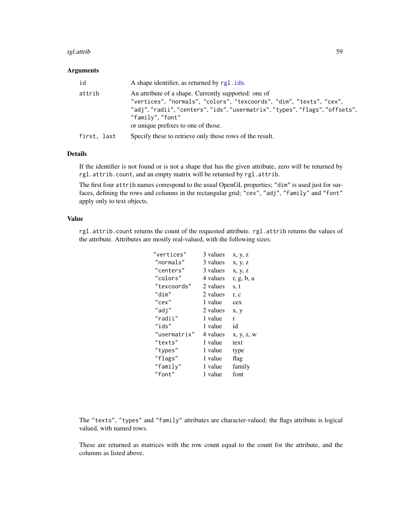#### rgl.attrib 59

# Arguments

| id          | A shape identifier, as returned by rgl. ids.                                                                                                                                                                                                                     |
|-------------|------------------------------------------------------------------------------------------------------------------------------------------------------------------------------------------------------------------------------------------------------------------|
| attrib      | An attribute of a shape. Currently supported: one of<br>"vertices", "normals", "colors", "texcoords", "dim", "texts", "cex",<br>"adj","radii","centers","ids","usermatrix","types","flags","offsets",<br>"family", "font"<br>or unique prefixes to one of those. |
| first, last | Specify these to retrieve only those rows of the result.                                                                                                                                                                                                         |

# Details

If the identifier is not found or is not a shape that has the given attribute, zero will be returned by rgl.attrib.count, and an empty matrix will be returned by rgl.attrib.

The first four attrib names correspond to the usual OpenGL properties; "dim" is used just for surfaces, defining the rows and columns in the rectangular grid; "cex", "adj", "family" and "font" apply only to text objects.

# Value

rgl.attrib.count returns the count of the requested attribute. rgl.attrib returns the values of the attribute. Attributes are mostly real-valued, with the following sizes:

| "vertices"   | 3 values | x, y, z    |
|--------------|----------|------------|
| "normals"    | 3 values | x, y, z    |
| "centers"    | 3 values | x, y, z    |
| "colors"     | 4 values | r, g, b, a |
| "texcoords"  | 2 values | s, t       |
| "dim"        | 2 values | r, c       |
| "cex"        | 1 value  | cex        |
| "adi"        | 2 values | x, y       |
| "radii"      | 1 value  | r          |
| " $ids"$     | 1 value  | id         |
| "usermatrix" | 4 values | x, y, z, w |
| "texts"      | 1 value  | text       |
| "types"      | 1 value  | type       |
| "flags"      | 1 value  | flag       |
| "family"     | 1 value  | family     |
| "font"       | 1 value  | font       |

The "texts", "types" and "family" attributes are character-valued; the flags attribute is logical valued, with named rows.

These are returned as matrices with the row count equal to the count for the attribute, and the columns as listed above.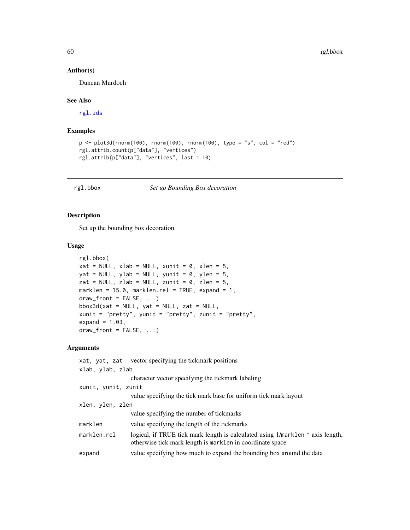#### Author(s)

Duncan Murdoch

#### See Also

[rgl.ids](#page-78-0)

# Examples

```
p \leftarrow plot3d(rnorm(100), rnorm(100), rnorm(100), type = "s", col = "red")rgl.attrib.count(p["data"], "vertices")
rgl.attrib(p["data"], "vertices", last = 10)
```
<span id="page-59-0"></span>rgl.bbox *Set up Bounding Box decoration*

## <span id="page-59-1"></span>Description

Set up the bounding box decoration.

# Usage

```
rgl.bbox(
xat = NULL, xlab = NULL, xunit = 0, xlen = 5,
yat = NULL, ylab = NULL, yunit = 0, ylen = 5,
zat = NULL, zlab = NULL, zunit = 0, zlen = 5,
marklen = 15.0, marklen.rel = TRUE, expand = 1,
draw_front = FALSE, ...)bbox3d(xat = NULL, yat = NULL, zat = NULL,xunit = "pretty", yunit = "pretty", zunit = "pretty",
expand = 1.03,
draw_front = FALSE, ...)
```
# Arguments

|                     | xat, yat, zat vector specifying the tickmark positions                                                                                      |
|---------------------|---------------------------------------------------------------------------------------------------------------------------------------------|
| xlab, ylab, zlab    |                                                                                                                                             |
|                     | character vector specifying the tickmark labeling                                                                                           |
| xunit, yunit, zunit |                                                                                                                                             |
|                     | value specifying the tick mark base for uniform tick mark layout                                                                            |
| xlen, ylen, zlen    |                                                                                                                                             |
|                     | value specifying the number of tickmarks                                                                                                    |
| marklen             | value specifying the length of the tickmarks                                                                                                |
| marklen.rel         | logical, if TRUE tick mark length is calculated using 1/marklen * axis length,<br>otherwise tick mark length is marklen in coordinate space |
| expand              | value specifying how much to expand the bounding box around the data                                                                        |
|                     |                                                                                                                                             |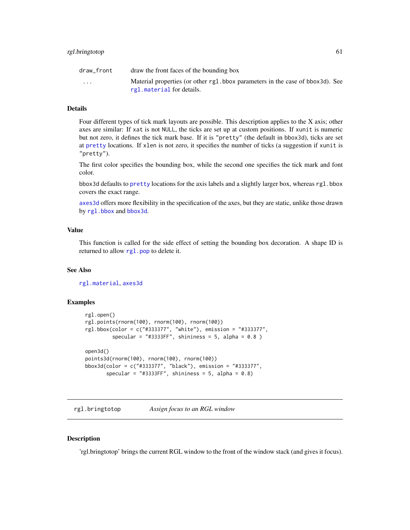| draw front | draw the front faces of the bounding box                                                                     |
|------------|--------------------------------------------------------------------------------------------------------------|
| $\cdots$   | Material properties (or other rg1, bbox parameters in the case of bbox 3d). See<br>rgl.material for details. |

#### Details

Four different types of tick mark layouts are possible. This description applies to the X axis; other axes are similar: If xat is not NULL, the ticks are set up at custom positions. If xunit is numeric but not zero, it defines the tick mark base. If it is "pretty" (the default in bbox3d), ticks are set at [pretty](#page-0-0) locations. If xlen is not zero, it specifies the number of ticks (a suggestion if xunit is "pretty").

The first color specifies the bounding box, while the second one specifies the tick mark and font color.

bbox3d defaults to [pretty](#page-0-0) locations for the axis labels and a slightly larger box, whereas rgl.bbox covers the exact range.

[axes3d](#page-8-0) offers more flexibility in the specification of the axes, but they are static, unlike those drawn by [rgl.bbox](#page-59-0) and [bbox3d](#page-59-1).

# Value

This function is called for the side effect of setting the bounding box decoration. A shape ID is returned to allow [rgl.pop](#page-78-0) to delete it.

## See Also

[rgl.material](#page-61-0), [axes3d](#page-8-0)

## Examples

```
rgl.open()
rgl.points(rnorm(100), rnorm(100), rnorm(100))
rgl.bbox(color = c("#333377", "white"), emission = "#333377",
         specular = "#3333FF", shininess = 5, alpha = 0.8 )
open3d()
points3d(rnorm(100), rnorm(100), rnorm(100))
bbox3d(color = c("#333377", "black"), emission = "#333377",
       specular = "#3333FF", shininess = 5, alpha = 0.8)
```
<span id="page-60-0"></span>rgl.bringtotop *Assign focus to an RGL window*

# Description

'rgl.bringtotop' brings the current RGL window to the front of the window stack (and gives it focus).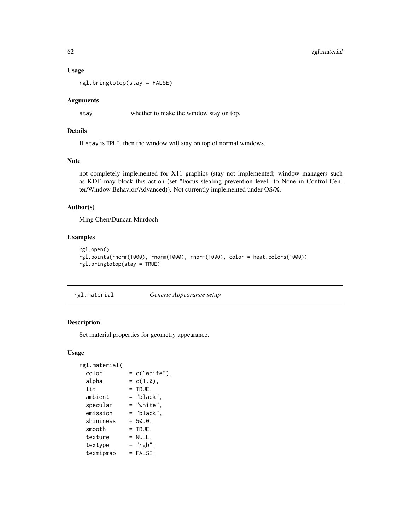#### Usage

rgl.bringtotop(stay = FALSE)

#### Arguments

stay whether to make the window stay on top.

# Details

If stay is TRUE, then the window will stay on top of normal windows.

#### Note

not completely implemented for X11 graphics (stay not implemented; window managers such as KDE may block this action (set "Focus stealing prevention level" to None in Control Center/Window Behavior/Advanced)). Not currently implemented under OS/X.

#### Author(s)

Ming Chen/Duncan Murdoch

## Examples

```
rgl.open()
rgl.points(rnorm(1000), rnorm(1000), rnorm(1000), color = heat.colors(1000))
rgl.bringtotop(stay = TRUE)
```
<span id="page-61-0"></span>rgl.material *Generic Appearance setup*

# <span id="page-61-1"></span>Description

Set material properties for geometry appearance.

# Usage

```
rgl.material(
 color = c("white"),alpha = c(1.0),
 lit = TRUE,ambient = "black",
 specialar = "white",emission = "black",
 shininess = 50.0,
 smooth = TRUE,
 text{text} = NULL,text{textype} = "rgb"
 texmipmap = FALSE,
```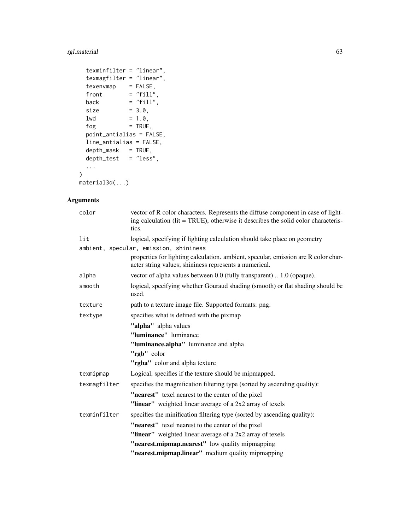# rgl.material 63

```
texminfilter = "linear",
 texmagfilter = "linear",
 texen{vmap} = FALSE,
 front = "fill",
 back = "fill",<br>size = 3.0,= 3.0,1wd = 1.0,
 f \circ g = TRUE,
 point_antialias = FALSE,
 line_antialias = FALSE,
 depth\_mask = TRUE,
 depth_test = "less",
  ...
material3d(...)
```
# Arguments

)

| color        | vector of R color characters. Represents the diffuse component in case of light-<br>ing calculation (lit = TRUE), otherwise it describes the solid color characteris-<br>tics. |
|--------------|--------------------------------------------------------------------------------------------------------------------------------------------------------------------------------|
| lit          | logical, specifying if lighting calculation should take place on geometry<br>ambient, specular, emission, shininess                                                            |
|              | properties for lighting calculation. ambient, specular, emission are R color char-<br>acter string values; shininess represents a numerical.                                   |
| alpha        | vector of alpha values between 0.0 (fully transparent)  1.0 (opaque).                                                                                                          |
| smooth       | logical, specifying whether Gouraud shading (smooth) or flat shading should be<br>used.                                                                                        |
| texture      | path to a texture image file. Supported formats: png.                                                                                                                          |
| textype      | specifies what is defined with the pixmap                                                                                                                                      |
|              | "alpha" alpha values                                                                                                                                                           |
|              | "luminance" luminance                                                                                                                                                          |
|              | "luminance.alpha" luminance and alpha                                                                                                                                          |
|              | "rgb" color                                                                                                                                                                    |
|              | "rgba" color and alpha texture                                                                                                                                                 |
| texmipmap    | Logical, specifies if the texture should be mipmapped.                                                                                                                         |
| texmagfilter | specifies the magnification filtering type (sorted by ascending quality):                                                                                                      |
|              | "nearest" texel nearest to the center of the pixel                                                                                                                             |
|              | "linear" weighted linear average of a 2x2 array of texels                                                                                                                      |
| texminfilter | specifies the minification filtering type (sorted by ascending quality):                                                                                                       |
|              | "nearest" texel nearest to the center of the pixel                                                                                                                             |
|              | "linear" weighted linear average of a 2x2 array of texels                                                                                                                      |
|              | "nearest.mipmap.nearest" low quality mipmapping                                                                                                                                |
|              | "nearest.mipmap.linear" medium quality mipmapping                                                                                                                              |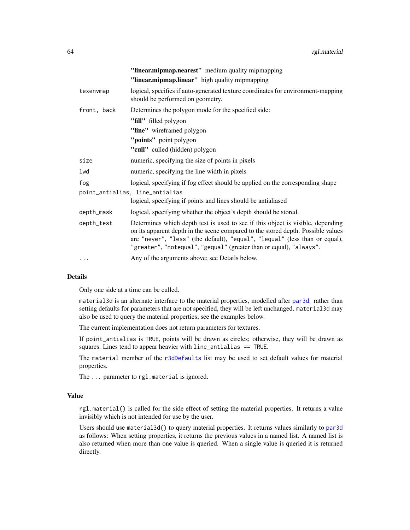|             | "linear.mipmap.nearest" medium quality mipmapping                                                                                                                                                                                                                                                                       |
|-------------|-------------------------------------------------------------------------------------------------------------------------------------------------------------------------------------------------------------------------------------------------------------------------------------------------------------------------|
|             | "linear.mipmap.linear" high quality mipmapping                                                                                                                                                                                                                                                                          |
| texenvmap   | logical, specifies if auto-generated texture coordinates for environment-mapping<br>should be performed on geometry.                                                                                                                                                                                                    |
| front, back | Determines the polygon mode for the specified side:                                                                                                                                                                                                                                                                     |
|             | "fill" filled polygon                                                                                                                                                                                                                                                                                                   |
|             | "line" wireframed polygon                                                                                                                                                                                                                                                                                               |
|             | "points" point polygon                                                                                                                                                                                                                                                                                                  |
|             | "cull" culled (hidden) polygon                                                                                                                                                                                                                                                                                          |
| size        | numeric, specifying the size of points in pixels                                                                                                                                                                                                                                                                        |
| lwd         | numeric, specifying the line width in pixels                                                                                                                                                                                                                                                                            |
| fog         | logical, specifying if fog effect should be applied on the corresponding shape                                                                                                                                                                                                                                          |
|             | point_antialias, line_antialias                                                                                                                                                                                                                                                                                         |
|             | logical, specifying if points and lines should be antialiased                                                                                                                                                                                                                                                           |
| depth_mask  | logical, specifying whether the object's depth should be stored.                                                                                                                                                                                                                                                        |
| depth_test  | Determines which depth test is used to see if this object is visible, depending<br>on its apparent depth in the scene compared to the stored depth. Possible values<br>are "never", "less" (the default), "equal", "lequal" (less than or equal),<br>"greater", "notequal", "gequal" (greater than or equal), "always". |
|             | Any of the arguments above; see Details below.                                                                                                                                                                                                                                                                          |

#### Details

Only one side at a time can be culled.

material3d is an alternate interface to the material properties, modelled after [par3d](#page-31-0): rather than setting defaults for parameters that are not specified, they will be left unchanged. material3d may also be used to query the material properties; see the examples below.

The current implementation does not return parameters for textures.

If point\_antialias is TRUE, points will be drawn as circles; otherwise, they will be drawn as squares. Lines tend to appear heavier with line\_antialias == TRUE.

The material member of the [r3dDefaults](#page-31-1) list may be used to set default values for material properties.

The ... parameter to rgl.material is ignored.

#### Value

rgl.material() is called for the side effect of setting the material properties. It returns a value invisibly which is not intended for use by the user.

Users should use material3d() to query material properties. It returns values similarly to [par3d](#page-31-0) as follows: When setting properties, it returns the previous values in a named list. A named list is also returned when more than one value is queried. When a single value is queried it is returned directly.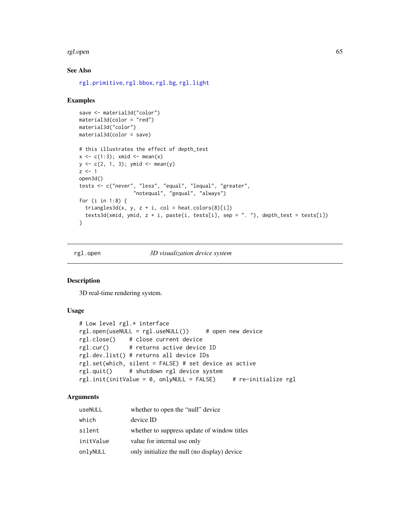#### rgl.open 65

# See Also

```
rgl.primitive, rgl.bbox, rgl.bg, rgl.light
```
#### Examples

```
save <- material3d("color")
material3d(color = "red")
material3d("color")
material3d(color = save)
# this illustrates the effect of depth_test
x \leftarrow c(1:3); x \text{mid} \leftarrow \text{mean}(x)y \leq c(2, 1, 3); ymid \leq mean(y)
z \le -1open3d()
tests <- c("never", "less", "equal", "lequal", "greater",
                   "notequal", "gequal", "always")
for (i in 1:8) {
  triangles3d(x, y, z + i, col = heat.colors(8)[i])
  texts3d(xmid, ymid, z + i, paste(i, tests[i], sep = ". "), depth_test = tests[i])
}
```
# <span id="page-64-0"></span>rgl.open *3D visualization device system*

# Description

3D real-time rendering system.

## Usage

```
# Low level rgl.* interface
rgl.open(useNULL = rgl.useNULL()) # open new device
rgl.close() # close current device
rgl.cur() # returns active device ID
rgl.dev.list() # returns all device IDs
rgl.set(which, silent = FALSE) # set device as active
rgl.quit() # shutdown rgl device system
rgl.init(initValue = 0, only NULL = FALSE) # re-initialize rgl
```
# Arguments

| useNULL   | whether to open the "null" device            |
|-----------|----------------------------------------------|
| which     | device ID                                    |
| silent    | whether to suppress update of window titles  |
| initValue | value for internal use only                  |
| onlyNULL  | only initialize the null (no display) device |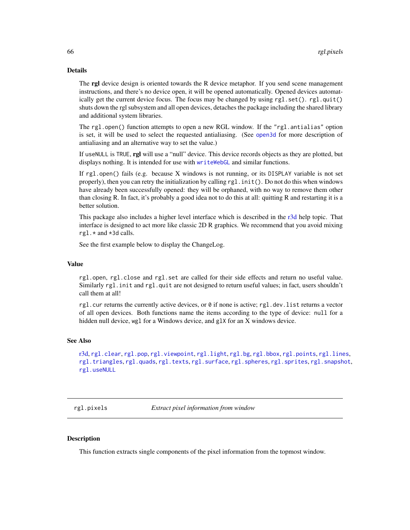## Details

The rgl device design is oriented towards the R device metaphor. If you send scene management instructions, and there's no device open, it will be opened automatically. Opened devices automatically get the current device focus. The focus may be changed by using rgl.set(). rgl.quit() shuts down the rgl subsystem and all open devices, detaches the package including the shared library and additional system libraries.

The rgl.open() function attempts to open a new RGL window. If the "rgl.antialias" option is set, it will be used to select the requested antialiasing. (See [open3d](#page-31-1) for more description of antialiasing and an alternative way to set the value.)

If useNULL is TRUE, rgl will use a "null" device. This device records objects as they are plotted, but displays nothing. It is intended for use with [writeWebGL](#page-109-0) and similar functions.

If rgl.open() fails (e.g. because X windows is not running, or its DISPLAY variable is not set properly), then you can retry the initialization by calling  $rgl$ , init(). Do not do this when windows have already been successfully opened: they will be orphaned, with no way to remove them other than closing R. In fact, it's probably a good idea not to do this at all: quitting R and restarting it is a better solution.

This package also includes a higher level interface which is described in the [r3d](#page-54-0) help topic. That interface is designed to act more like classic 2D R graphics. We recommend that you avoid mixing rgl.\* and \*3d calls.

See the first example below to display the ChangeLog.

#### Value

rgl.open, rgl.close and rgl.set are called for their side effects and return no useful value. Similarly rgl.init and rgl.quit are not designed to return useful values; in fact, users shouldn't call them at all!

rgl.cur returns the currently active devices, or 0 if none is active; rgl.dev.list returns a vector of all open devices. Both functions name the items according to the type of device: null for a hidden null device, wgl for a Windows device, and glX for an X windows device.

### See Also

```
r3d, rgl.clear, rgl.pop, rgl.viewpoint, rgl.light, rgl.bg, rgl.bbox, rgl.points, rgl.lines,
rgl.triangles, rgl.quads, rgl.texts, rgl.surface, rgl.spheres, rgl.sprites, rgl.snapshot,
rgl.useNULL
```
rgl.pixels *Extract pixel information from window*

# **Description**

This function extracts single components of the pixel information from the topmost window.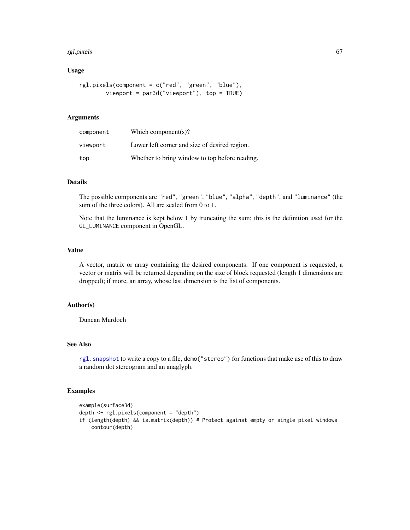#### rgl.pixels 67

## Usage

```
rgl.pixels(component = c("red", "green", "blue"),
       viewport = par3d("viewport"), top = TRUE)
```
# Arguments

| component | Which component(s)?                            |
|-----------|------------------------------------------------|
| viewport  | Lower left corner and size of desired region.  |
| top       | Whether to bring window to top before reading. |

# Details

The possible components are "red", "green", "blue", "alpha", "depth", and "luminance" (the sum of the three colors). All are scaled from 0 to 1.

Note that the luminance is kept below 1 by truncating the sum; this is the definition used for the GL\_LUMINANCE component in OpenGL.

# Value

A vector, matrix or array containing the desired components. If one component is requested, a vector or matrix will be returned depending on the size of block requested (length 1 dimensions are dropped); if more, an array, whose last dimension is the list of components.

# Author(s)

Duncan Murdoch

# See Also

rgl. snapshot to write a copy to a file, demo("stereo") for functions that make use of this to draw a random dot stereogram and an anaglyph.

```
example(surface3d)
depth <- rgl.pixels(component = "depth")
if (length(depth) && is.matrix(depth)) # Protect against empty or single pixel windows
    contour(depth)
```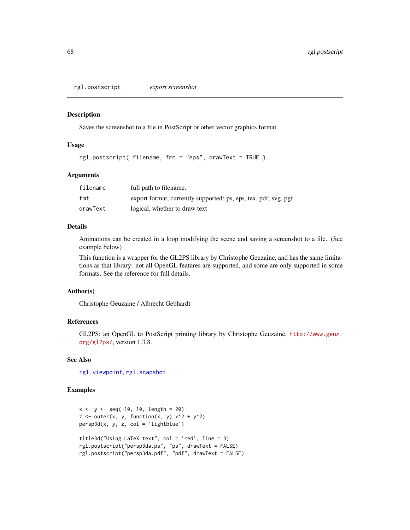rgl.postscript *export screenshot*

#### Description

Saves the screenshot to a file in PostScript or other vector graphics format.

#### Usage

rgl.postscript( filename, fmt = "eps", drawText = TRUE )

# Arguments

| filename | full path to filename.                                          |
|----------|-----------------------------------------------------------------|
| fmt      | export format, currently supported: ps, eps, tex, pdf, svg, pgf |
| drawText | logical, whether to draw text                                   |

#### Details

Animations can be created in a loop modifying the scene and saving a screenshot to a file. (See example below)

This function is a wrapper for the GL2PS library by Christophe Geuzaine, and has the same limitations as that library: not all OpenGL features are supported, and some are only supported in some formats. See the reference for full details.

## Author(s)

Christophe Geuzaine / Albrecht Gebhardt

#### References

GL2PS: an OpenGL to PostScript printing library by Christophe Geuzaine, [http://www.geuz.](http://www.geuz.org/gl2ps/) [org/gl2ps/](http://www.geuz.org/gl2ps/), version 1.3.8.

# See Also

[rgl.viewpoint](#page-102-0), [rgl.snapshot](#page-72-0)

```
x \le -y \le -\text{seq}(-10, 10, \text{ length} = 20)z \le outer(x, y, function(x, y) x^2 + y^2)
persp3d(x, y, z, col = 'lightblue')
title3d("Using LaTeX text", col = 'red', line = 3)
rgl.postscript("persp3da.ps", "ps", drawText = FALSE)
rgl.postscript("persp3da.pdf", "pdf", drawText = FALSE)
```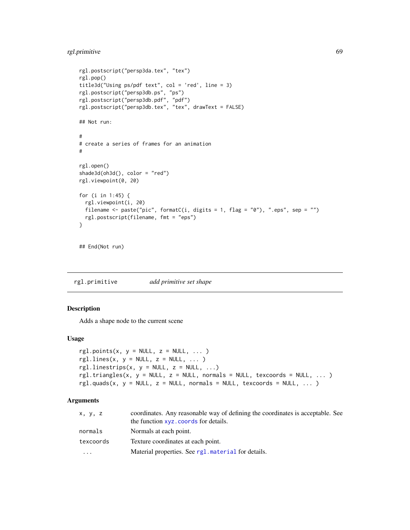# rgl.primitive 69

```
rgl.postscript("persp3da.tex", "tex")
rgl.pop()
title3d("Using ps/pdf text", col = 'red', line = 3)
rgl.postscript("persp3db.ps", "ps")
rgl.postscript("persp3db.pdf", "pdf")
rgl.postscript("persp3db.tex", "tex", drawText = FALSE)
## Not run:
#
# create a series of frames for an animation
#
rgl.open()
shade3d(oh3d(), color = "red")
rgl.viewpoint(0, 20)
for (i in 1:45) {
  rgl.viewpoint(i, 20)
  filename \leq paste("pic", formatC(i, digits = 1, flag = "0"), ".eps", sep = "")
  rgl.postscript(filename, fmt = "eps")
}
```
## End(Not run)

<span id="page-68-1"></span>rgl.primitive *add primitive set shape*

# <span id="page-68-0"></span>Description

Adds a shape node to the current scene

# Usage

```
rgl.points(x, y = NULL, z = NULL, ...)rgl.lines(x, y = NULL, z = NULL, ...)
rgl.linestrips(x, y = NULL, z = NULL, ...)rgl.triangles(x, y = NULL, z = NULL, normals = NULL, texcoordinates = NULL, ...)rgl.quads(x, y = NULL, z = NULL, normals = NULL, tx = count)
```
## Arguments

| X, Y, Z                 | coordinates. Any reasonable way of defining the coordinates is acceptable. See<br>the function $xyz$ . coords for details. |
|-------------------------|----------------------------------------------------------------------------------------------------------------------------|
| normals                 | Normals at each point.                                                                                                     |
| texcoords               | Texture coordinates at each point.                                                                                         |
| $\cdot$ $\cdot$ $\cdot$ | Material properties. See rg1. material for details.                                                                        |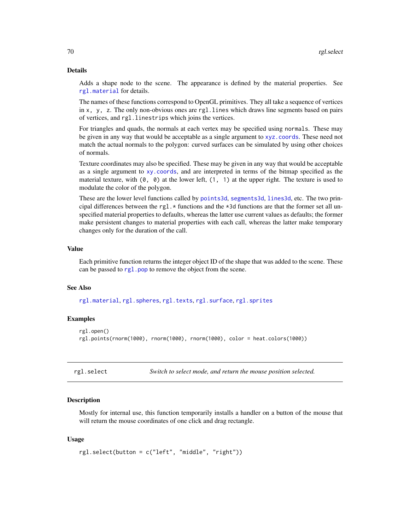#### Details

Adds a shape node to the scene. The appearance is defined by the material properties. See [rgl.material](#page-61-0) for details.

The names of these functions correspond to OpenGL primitives. They all take a sequence of vertices in  $x$ ,  $y$ , z. The only non-obvious ones are rg1. lines which draws line segments based on pairs of vertices, and rgl.linestrips which joins the vertices.

For triangles and quads, the normals at each vertex may be specified using normals. These may be given in any way that would be acceptable as a single argument to [xyz.coords](#page-0-0). These need not match the actual normals to the polygon: curved surfaces can be simulated by using other choices of normals.

Texture coordinates may also be specified. These may be given in any way that would be acceptable as a single argument to [xy.coords](#page-0-0), and are interpreted in terms of the bitmap specified as the material texture, with  $(0, 0)$  at the lower left,  $(1, 1)$  at the upper right. The texture is used to modulate the color of the polygon.

These are the lower level functions called by [points3d](#page-48-1), [segments3d](#page-48-0), [lines3d](#page-48-0), etc. The two principal differences between the rgl.  $*$  functions and the  $*3d$  functions are that the former set all unspecified material properties to defaults, whereas the latter use current values as defaults; the former make persistent changes to material properties with each call, whereas the latter make temporary changes only for the duration of the call.

#### Value

Each primitive function returns the integer object ID of the shape that was added to the scene. These can be passed to [rgl.pop](#page-78-0) to remove the object from the scene.

#### See Also

[rgl.material](#page-61-0), [rgl.spheres](#page-88-1), [rgl.texts](#page-97-1), [rgl.surface](#page-73-0), [rgl.sprites](#page-90-0)

#### Examples

```
rgl.open()
rgl.points(rnorm(1000), rnorm(1000), rnorm(1000), color = heat.colors(1000))
```
rgl.select *Switch to select mode, and return the mouse position selected.*

#### Description

Mostly for internal use, this function temporarily installs a handler on a button of the mouse that will return the mouse coordinates of one click and drag rectangle.

#### Usage

```
rgl.select(button = c("left", "middle", "right"))
```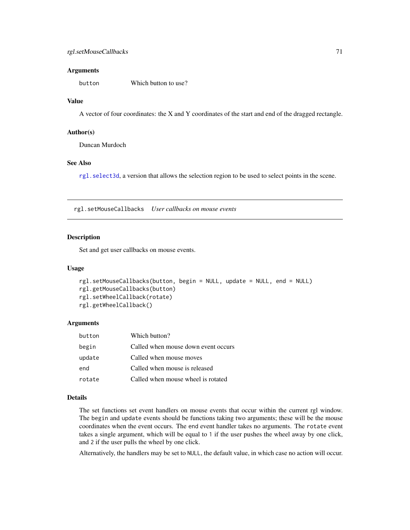#### Arguments

button Which button to use?

# Value

A vector of four coordinates: the X and Y coordinates of the start and end of the dragged rectangle.

## Author(s)

Duncan Murdoch

# See Also

[rgl.select3d](#page-82-1), a version that allows the selection region to be used to select points in the scene.

rgl.setMouseCallbacks *User callbacks on mouse events*

## Description

Set and get user callbacks on mouse events.

#### Usage

```
rgl.setMouseCallbacks(button, begin = NULL, update = NULL, end = NULL)
rgl.getMouseCallbacks(button)
rgl.setWheelCallback(rotate)
rgl.getWheelCallback()
```
#### Arguments

| button | Which button?                       |
|--------|-------------------------------------|
| begin  | Called when mouse down event occurs |
| update | Called when mouse moves             |
| end    | Called when mouse is released       |
| rotate | Called when mouse wheel is rotated  |

#### Details

The set functions set event handlers on mouse events that occur within the current rgl window. The begin and update events should be functions taking two arguments; these will be the mouse coordinates when the event occurs. The end event handler takes no arguments. The rotate event takes a single argument, which will be equal to 1 if the user pushes the wheel away by one click, and 2 if the user pulls the wheel by one click.

Alternatively, the handlers may be set to NULL, the default value, in which case no action will occur.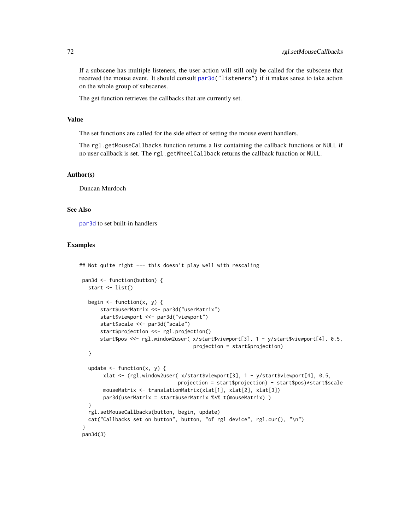If a subscene has multiple listeners, the user action will still only be called for the subscene that received the mouse event. It should consult [par3d\(](#page-31-0)"listeners") if it makes sense to take action on the whole group of subscenes.

The get function retrieves the callbacks that are currently set.

#### Value

The set functions are called for the side effect of setting the mouse event handlers.

The rgl.getMouseCallbacks function returns a list containing the callback functions or NULL if no user callback is set. The rgl.getWheelCallback returns the callback function or NULL.

## Author(s)

Duncan Murdoch

# See Also

[par3d](#page-31-0) to set built-in handlers

```
## Not quite right --- this doesn't play well with rescaling
pan3d <- function(button) {
  start <- list()
  begin \leq function(x, y) {
      start$userMatrix <<- par3d("userMatrix")
      start$viewport <<- par3d("viewport")
      start$scale <<- par3d("scale")
      start$projection <<- rgl.projection()
      start$pos <<- rgl.window2user( x/start$viewport[3], 1 - y/start$viewport[4], 0.5,
                                      projection = start$projection)
  }
  update \leq function(x, y) {
       xlat <- (rgl.window2user( x/start$viewport[3], 1 - y/start$viewport[4], 0.5,
                                 projection = start$projection) - start$pos)*start$scale
       mouseMatrix <- translationMatrix(xlat[1], xlat[2], xlat[3])
       par3d(userMatrix = start$userMatrix %*% t(mouseMatrix) )
  }
  rgl.setMouseCallbacks(button, begin, update)
  cat("Callbacks set on button", button, "of rgl device", rgl.cur(), "\n")
}
pan3d(3)
```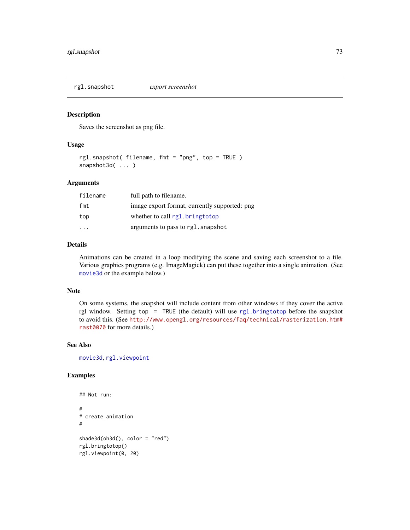rgl.snapshot *export screenshot*

# Description

Saves the screenshot as png file.

#### Usage

```
rgl.snapshot( filename, fmt = "png", top = TRUE )
snapshot3d( ... )
```
## Arguments

| filename | full path to filename.                        |
|----------|-----------------------------------------------|
| fmt      | image export format, currently supported: png |
| top      | whether to call rgl.bringtotop                |
|          | arguments to pass to rgl. snapshot            |

## Details

Animations can be created in a loop modifying the scene and saving each screenshot to a file. Various graphics programs (e.g. ImageMagick) can put these together into a single animation. (See [movie3d](#page-43-0) or the example below.)

## Note

On some systems, the snapshot will include content from other windows if they cover the active rgl window. Setting top = TRUE (the default) will use [rgl.bringtotop](#page-60-0) before the snapshot to avoid this. (See [http://www.opengl.org/resources/faq/technical/rasterization.htm#](http://www.opengl.org/resources/faq/technical/rasterization.htm#rast0070) [rast0070](http://www.opengl.org/resources/faq/technical/rasterization.htm#rast0070) for more details.)

# See Also

[movie3d](#page-43-0), [rgl.viewpoint](#page-102-0)

```
## Not run:
#
# create animation
#
shade3d(oh3d(), color = "red")rgl.bringtotop()
rgl.viewpoint(0, 20)
```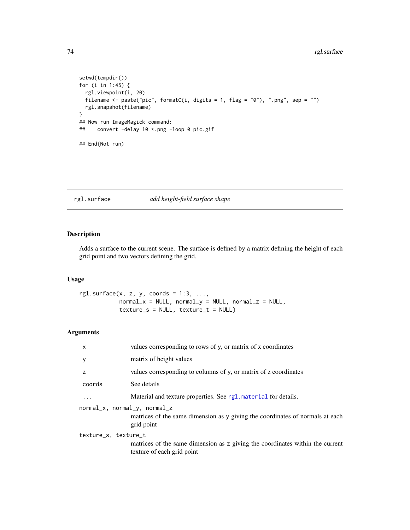```
setwd(tempdir())
for (i in 1:45) {
  rgl.viewpoint(i, 20)
  filename \leq paste("pic", formatC(i, digits = 1, flag = "0"), ".png", sep = "")
  rgl.snapshot(filename)
}
## Now run ImageMagick command:
## convert -delay 10 *.png -loop 0 pic.gif
## End(Not run)
```
# <span id="page-73-0"></span>rgl.surface *add height-field surface shape*

# Description

Adds a surface to the current scene. The surface is defined by a matrix defining the height of each grid point and two vectors defining the grid.

# Usage

 $rgl.surface(x, z, y, coords = 1:3, ...,$  $normal_x = NULL$ ,  $normal_y = NULL$ ,  $normal_z = NULL$  $text{texture_s} = NULL, \text{texture_t} = NULL)$ 

## Arguments

| X                                    | values corresponding to rows of y, or matrix of x coordinates                                               |
|--------------------------------------|-------------------------------------------------------------------------------------------------------------|
| у                                    | matrix of height values                                                                                     |
| z                                    | values corresponding to columns of y, or matrix of z coordinates                                            |
| coords                               | See details                                                                                                 |
| .                                    | Material and texture properties. See rg1. material for details.                                             |
| $normal_x$ , $normal_y$ , $normal_z$ | matrices of the same dimension as y giving the coordinates of normals at each<br>grid point                 |
| texture_s, texture_t                 | matrices of the same dimension as z giving the coordinates within the current<br>texture of each grid point |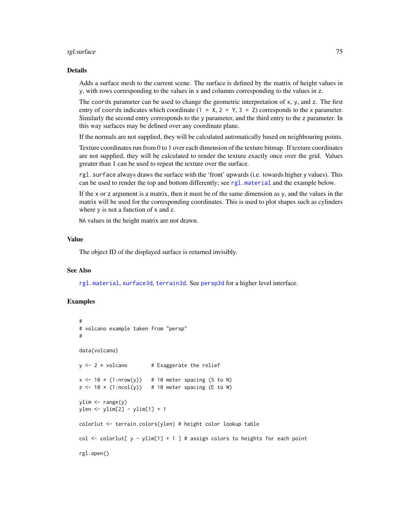#### rgl.surface 75

#### Details

Adds a surface mesh to the current scene. The surface is defined by the matrix of height values in y, with rows corresponding to the values in x and columns corresponding to the values in z.

The coords parameter can be used to change the geometric interpretation of x, y, and z. The first entry of coords indicates which coordinate  $(1 = X, 2 = Y, 3 = Z)$  corresponds to the x parameter. Similarly the second entry corresponds to the y parameter, and the third entry to the z parameter. In this way surfaces may be defined over any coordinate plane.

If the normals are not supplied, they will be calculated automatically based on neighbouring points.

Texture coordinates run from 0 to 1 over each dimension of the texture bitmap. If texture coordinates are not supplied, they will be calculated to render the texture exactly once over the grid. Values greater than 1 can be used to repeat the texture over the surface.

rgl.surface always draws the surface with the 'front' upwards (i.e. towards higher y values). This can be used to render the top and bottom differently; see [rgl.material](#page-61-0) and the example below.

If the x or z argument is a matrix, then it must be of the same dimension as y, and the values in the matrix will be used for the corresponding coordinates. This is used to plot shapes such as cylinders where y is not a function of x and z.

NA values in the height matrix are not drawn.

## Value

The object ID of the displayed surface is returned invisibly.

## See Also

[rgl.material](#page-61-0), [surface3d](#page-96-0), [terrain3d](#page-96-1). See [persp3d](#page-37-0) for a higher level interface.

```
#
# volcano example taken from "persp"
#
data(volcano)
y \le -2 * volcano # Exaggerate the relief
x \le -10 \times (1: nrow(y)) # 10 meter spacing (S to N)
z \le -10 \times (1:\text{ncol}(y)) # 10 meter spacing (E to W)
ylim < -range(y)ylen <- ylim[2] - ylim[1] + 1
colorlut <- terrain.colors(ylen) # height color lookup table
col \leftarrow colorlut[ y - ylim[1] + 1 ] # assign colors to heights for each point
rgl.open()
```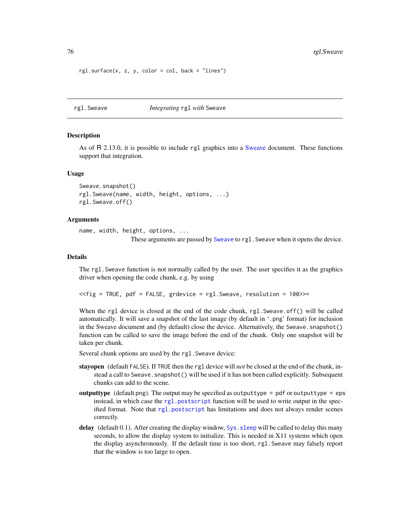```
rgl.surface(x, z, y, color = col, back = "lines")
```

```
rgl.Sweave Integrating rgl with Sweave
```
#### Description

As of R 2.13.0, it is possible to include rgl graphics into a [Sweave](#page-0-0) document. These functions support that integration.

#### Usage

```
Sweave.snapshot()
rgl.Sweave(name, width, height, options, ...)
rgl.Sweave.off()
```
#### Arguments

```
name, width, height, options, ...
                 These arguments are passed by Sweave to rgl.Sweave when it opens the device.
```
# Details

The rgl.Sweave function is not normally called by the user. The user specifies it as the graphics driver when opening the code chunk, e.g. by using

<<fig = TRUE, pdf = FALSE, grdevice = rgl.Sweave, resolution = 100>>=

When the rgl device is closed at the end of the code chunk, rgl. Sweave.off() will be called automatically. It will save a snapshot of the last image (by default in '.png' format) for inclusion in the Sweave document and (by default) close the device. Alternatively, the Sweave. snapshot() function can be called to save the image before the end of the chunk. Only one snapshot will be taken per chunk.

Several chunk options are used by the rgl.Sweave device:

- stayopen (default FALSE). If TRUE then the rgl device will *not* be closed at the end of the chunk, instead a call to Sweave. snapshot () will be used if it has not been called explicitly. Subsequent chunks can add to the scene.
- **outputtype** (default png). The output may be specified as outputtype =  $pdf$  or outputtype = eps instead, in which case the [rgl.postscript](#page-67-0) function will be used to write output in the specified format. Note that [rgl.postscript](#page-67-0) has limitations and does not always render scenes correctly.
- delay (default 0.1). After creating the display window, Sys. sleep will be called to delay this many seconds, to allow the display system to initialize. This is needed in X11 systems which open the display asynchronously. If the default time is too short, rgl.Sweave may falsely report that the window is too large to open.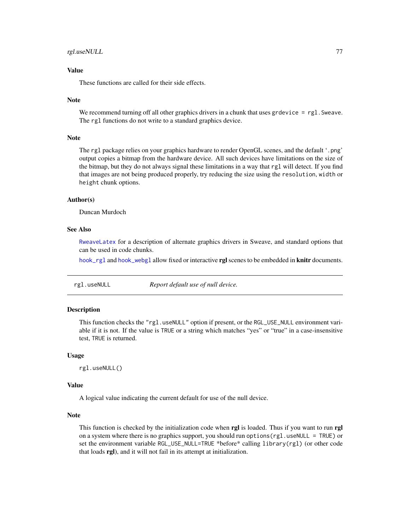# rgl.useNULL 77

# Value

These functions are called for their side effects.

## Note

We recommend turning off all other graphics drivers in a chunk that uses grdevice  $=$  rgl. Sweave. The rgl functions do not write to a standard graphics device.

#### Note

The rgl package relies on your graphics hardware to render OpenGL scenes, and the default '.png' output copies a bitmap from the hardware device. All such devices have limitations on the size of the bitmap, but they do not always signal these limitations in a way that rgl will detect. If you find that images are not being produced properly, try reducing the size using the resolution, width or height chunk options.

#### Author(s)

Duncan Murdoch

## See Also

[RweaveLatex](#page-0-0) for a description of alternate graphics drivers in Sweave, and standard options that can be used in code chunks.

[hook\\_rgl](#page-20-0) and [hook\\_webgl](#page-20-1) allow fixed or interactive rgl scenes to be embedded in knitr documents.

rgl.useNULL *Report default use of null device.*

## Description

This function checks the "rgl.useNULL" option if present, or the RGL\_USE\_NULL environment variable if it is not. If the value is TRUE or a string which matches "yes" or "true" in a case-insensitive test, TRUE is returned.

#### Usage

rgl.useNULL()

#### Value

A logical value indicating the current default for use of the null device.

## **Note**

This function is checked by the initialization code when rgl is loaded. Thus if you want to run rgl on a system where there is no graphics support, you should run options  $(rgl.$ useNULL = TRUE) or set the environment variable RGL\_USE\_NULL=TRUE \*before\* calling library(rgl) (or other code that loads rgl), and it will not fail in its attempt at initialization.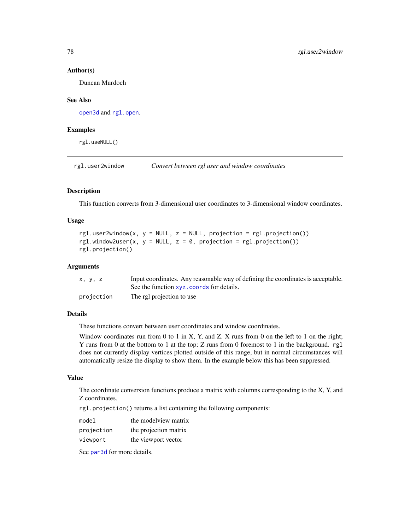#### Author(s)

Duncan Murdoch

#### See Also

[open3d](#page-31-0) and [rgl.open](#page-64-0).

## Examples

rgl.useNULL()

rgl.user2window *Convert between rgl user and window coordinates*

# Description

This function converts from 3-dimensional user coordinates to 3-dimensional window coordinates.

## Usage

```
rgl.user2window(x, y = NULL, z = NULL, projection = rgl.projection())rgl.window2user(x, y = NULL, z = 0, projection = rgl.projection())
rgl.projection()
```
## **Arguments**

| x, y, z    | Input coordinates. Any reasonable way of defining the coordinates is acceptable.<br>See the function xvz. coords for details. |
|------------|-------------------------------------------------------------------------------------------------------------------------------|
| projection | The rgl projection to use                                                                                                     |

#### Details

These functions convert between user coordinates and window coordinates.

Window coordinates run from 0 to 1 in X, Y, and Z. X runs from 0 on the left to 1 on the right; Y runs from 0 at the bottom to 1 at the top; Z runs from 0 foremost to 1 in the background. rgl does not currently display vertices plotted outside of this range, but in normal circumstances will automatically resize the display to show them. In the example below this has been suppressed.

#### Value

The coordinate conversion functions produce a matrix with columns corresponding to the X, Y, and Z coordinates.

rgl.projection() returns a list containing the following components:

| model      | the modelview matrix  |
|------------|-----------------------|
| projection | the projection matrix |
| viewport   | the viewport vector   |

See [par3d](#page-31-1) for more details.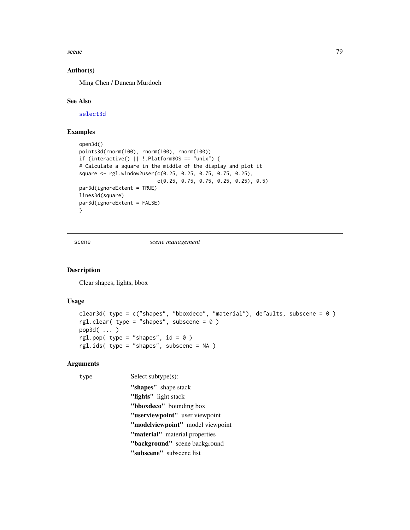scene 79

# Author(s)

Ming Chen / Duncan Murdoch

# See Also

[select3d](#page-82-0)

# Examples

```
open3d()
points3d(rnorm(100), rnorm(100), rnorm(100))
if (interactive() || !.Platform$OS == "unix") {
# Calculate a square in the middle of the display and plot it
square <- rgl.window2user(c(0.25, 0.25, 0.75, 0.75, 0.25),
                          c(0.25, 0.75, 0.75, 0.25, 0.25), 0.5)
par3d(ignoreExtent = TRUE)
lines3d(square)
par3d(ignoreExtent = FALSE)
}
```
scene *scene management*

#### <span id="page-78-0"></span>Description

Clear shapes, lights, bbox

## Usage

```
clear3d( type = c("shapes", "bboxdeco", "material"), defaults, subscence = 0)rgl.clear( type = "shapes", subscene = 0 )
pop3d( ... )
rgl.pop( type = "shapes", id = 0 )
rgl.ids( type = "shapes", subscene = NA )
```
## Arguments

type Select subtype(s): "shapes" shape stack "lights" light stack "bboxdeco" bounding box "userviewpoint" user viewpoint "modelviewpoint" model viewpoint "material" material properties "background" scene background "subscene" subscene list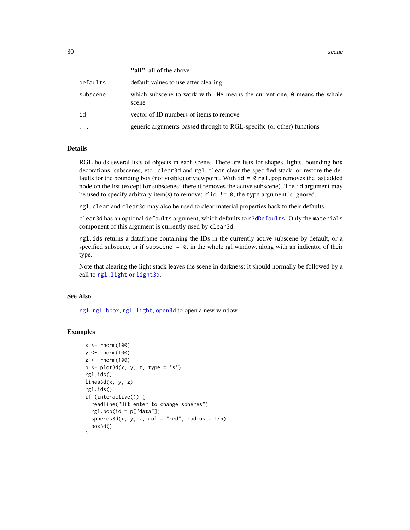80 scene set of the set of the set of the set of the set of the set of the set of the set of the set of the set of the set of the set of the set of the set of the set of the set of the set of the set of the set of the set

|          | "all" all of the above                                                                   |
|----------|------------------------------------------------------------------------------------------|
| defaults | default values to use after clearing                                                     |
| subscene | which subscene to work with. NA means the current one, $\theta$ means the whole<br>scene |
| id       | vector of ID numbers of items to remove                                                  |

... generic arguments passed through to RGL-specific (or other) functions

#### Details

RGL holds several lists of objects in each scene. There are lists for shapes, lights, bounding box decorations, subscenes, etc. clear3d and rgl.clear clear the specified stack, or restore the defaults for the bounding box (not visible) or viewpoint. With  $id = 0$  rgl. pop removes the last added node on the list (except for subscenes: there it removes the active subscene). The id argument may be used to specify arbitrary item(s) to remove; if id  $!=$  0, the type argument is ignored.

rgl.clear and clear3d may also be used to clear material properties back to their defaults.

clear3d has an optional defaults argument, which defaults to [r3dDefaults](#page-31-0). Only the materials component of this argument is currently used by clear3d.

rgl.ids returns a dataframe containing the IDs in the currently active subscene by default, or a specified subscene, or if subscene  $= 0$ , in the whole rgl window, along with an indicator of their type.

Note that clearing the light stack leaves the scene in darkness; it should normally be followed by a call to [rgl.light](#page-22-0) or [light3d](#page-22-0).

#### See Also

[rgl](#page-2-0), [rgl.bbox](#page-59-0), [rgl.light](#page-22-0), [open3d](#page-31-0) to open a new window.

```
x \le rnorm(100)
y <- rnorm(100)
z <- rnorm(100)
p \leftarrow plot3d(x, y, z, type = 's')rgl.ids()
lines3d(x, y, z)
rgl.ids()
if (interactive()) {
  readline("Hit enter to change spheres")
  rgl.pop(id = p['data'])spheres3d(x, y, z, col = "red", radius = <math>1/5</math>)box3d()
}
```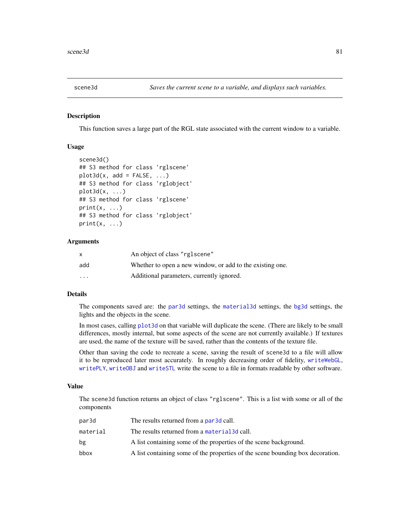<span id="page-80-0"></span>

#### Description

This function saves a large part of the RGL state associated with the current window to a variable.

# Usage

```
scene3d()
## S3 method for class 'rglscene'
plot3d(x, add = FALSE, ...)## S3 method for class 'rglobject'
plot3d(x, ...)
## S3 method for class 'rglscene'
print(x, \ldots)## S3 method for class 'rglobject'
print(x, \ldots)
```
## Arguments

| x                       | An object of class "rglscene"                             |
|-------------------------|-----------------------------------------------------------|
| add                     | Whether to open a new window, or add to the existing one. |
| $\cdot$ $\cdot$ $\cdot$ | Additional parameters, currently ignored.                 |

# Details

The components saved are: the [par3d](#page-31-1) settings, the [material3d](#page-61-1) settings, the [bg3d](#page-10-0) settings, the lights and the objects in the scene.

In most cases, calling [plot3d](#page-45-0) on that variable will duplicate the scene. (There are likely to be small differences, mostly internal, but some aspects of the scene are not currently available.) If textures are used, the name of the texture will be saved, rather than the contents of the texture file.

Other than saving the code to recreate a scene, saving the result of scene3d to a file will allow it to be reproduced later most accurately. In roughly decreasing order of fidelity, [writeWebGL](#page-109-0), [writePLY](#page-107-0), [writeOBJ](#page-105-0) and [writeSTL](#page-56-0) write the scene to a file in formats readable by other software.

# Value

The scene3d function returns an object of class "rglscene". This is a list with some or all of the components

| par3d    | The results returned from a par3d call.                                        |
|----------|--------------------------------------------------------------------------------|
| material | The results returned from a material 3d call.                                  |
| bg       | A list containing some of the properties of the scene background.              |
| bbox     | A list containing some of the properties of the scene bounding box decoration. |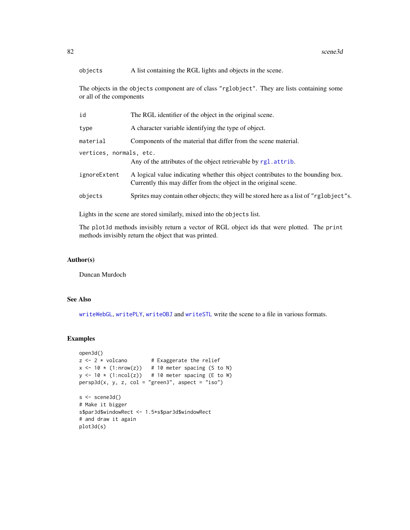objects A list containing the RGL lights and objects in the scene.

The objects in the objects component are of class "rglobject". They are lists containing some or all of the components

| id                      | The RGL identifier of the object in the original scene.                                                                                             |
|-------------------------|-----------------------------------------------------------------------------------------------------------------------------------------------------|
| type                    | A character variable identifying the type of object.                                                                                                |
| material                | Components of the material that differ from the scene material.                                                                                     |
| vertices, normals, etc. | Any of the attributes of the object retrievable by rgl. attrib.                                                                                     |
| ignoreExtent            | A logical value indicating whether this object contributes to the bounding box.<br>Currently this may differ from the object in the original scene. |
| objects                 | Sprites may contain other objects; they will be stored here as a list of "rglobject"s.                                                              |
|                         |                                                                                                                                                     |

Lights in the scene are stored similarly, mixed into the objects list.

The plot3d methods invisibly return a vector of RGL object ids that were plotted. The print methods invisibly return the object that was printed.

#### Author(s)

Duncan Murdoch

## See Also

[writeWebGL](#page-109-0), [writePLY](#page-107-0), [writeOBJ](#page-105-0) and [writeSTL](#page-56-0) write the scene to a file in various formats.

```
open3d()
z \le -2 \times volcano # Exaggerate the relief
x \le -10 \times (1: nrow(z)) # 10 meter spacing (S to N)
y \le -10 \times (1:\text{ncol}(z)) # 10 meter spacing (E to W)
persp3d(x, y, z, col = "green3", aspect = "iso")s < - scene3d()
# Make it bigger
s$par3d$windowRect <- 1.5*s$par3d$windowRect
# and draw it again
plot3d(s)
```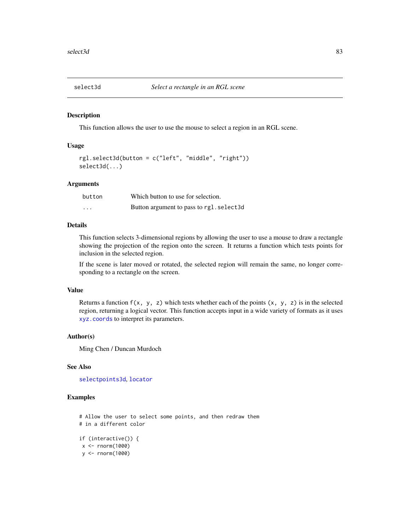<span id="page-82-0"></span>

#### Description

This function allows the user to use the mouse to select a region in an RGL scene.

## Usage

```
rgl.select3d(button = c("left", "middle", "right"))
select3d(...)
```
# Arguments

| button   | Which button to use for selection.       |
|----------|------------------------------------------|
| $\cdots$ | Button argument to pass to rg1. select3d |

# Details

This function selects 3-dimensional regions by allowing the user to use a mouse to draw a rectangle showing the projection of the region onto the screen. It returns a function which tests points for inclusion in the selected region.

If the scene is later moved or rotated, the selected region will remain the same, no longer corresponding to a rectangle on the screen.

#### Value

Returns a function  $f(x, y, z)$  which tests whether each of the points  $(x, y, z)$  is in the selected region, returning a logical vector. This function accepts input in a wide variety of formats as it uses [xyz.coords](#page-0-0) to interpret its parameters.

## Author(s)

Ming Chen / Duncan Murdoch

## See Also

[selectpoints3d](#page-83-0), [locator](#page-0-0)

#### Examples

# Allow the user to select some points, and then redraw them # in a different color

```
if (interactive()) {
x < - rnorm(1000)
y <- rnorm(1000)
```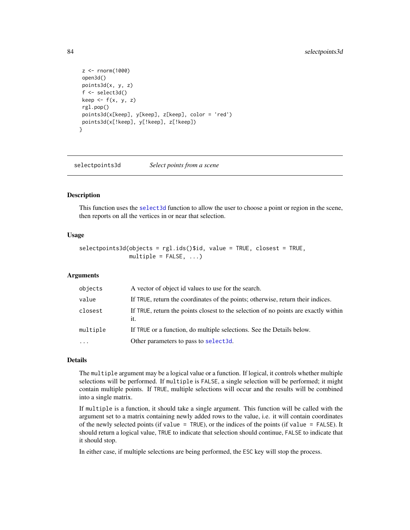## 84 selectpoints3d

```
z <- rnorm(1000)
open3d()
points3d(x, y, z)
 f \leftarrow \text{select3d}()keep \leftarrow f(x, y, z)rgl.pop()
points3d(x[keep], y[keep], z[keep], color = 'red')
points3d(x[!keep], y[!keep], z[!keep])
}
```
<span id="page-83-0"></span>selectpoints3d *Select points from a scene*

# **Description**

This function uses the [select3d](#page-82-0) function to allow the user to choose a point or region in the scene, then reports on all the vertices in or near that selection.

# Usage

```
selectpoints3d(objects = rgl.ids()$id, value = TRUE, closest = TRUE,
              multiple = FALSE, ...)
```
## Arguments

| objects   | A vector of object id values to use for the search.                                        |
|-----------|--------------------------------------------------------------------------------------------|
| value     | If TRUE, return the coordinates of the points; otherwise, return their indices.            |
| closest   | If TRUE, return the points closest to the selection of no points are exactly within<br>it. |
| multiple  | If TRUE or a function, do multiple selections. See the Details below.                      |
| $\ddotsc$ | Other parameters to pass to select3d.                                                      |
|           |                                                                                            |

## Details

The multiple argument may be a logical value or a function. If logical, it controls whether multiple selections will be performed. If multiple is FALSE, a single selection will be performed; it might contain multiple points. If TRUE, multiple selections will occur and the results will be combined into a single matrix.

If multiple is a function, it should take a single argument. This function will be called with the argument set to a matrix containing newly added rows to the value, i.e. it will contain coordinates of the newly selected points (if value = TRUE), or the indices of the points (if value = FALSE). It should return a logical value, TRUE to indicate that selection should continue, FALSE to indicate that it should stop.

In either case, if multiple selections are being performed, the ESC key will stop the process.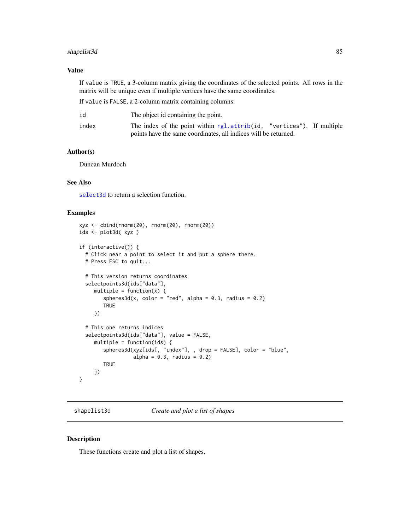# shapelist3d 85

## Value

If value is TRUE, a 3-column matrix giving the coordinates of the selected points. All rows in the matrix will be unique even if multiple vertices have the same coordinates.

If value is FALSE, a 2-column matrix containing columns:

| id    | The object id containing the point.                                   |
|-------|-----------------------------------------------------------------------|
| index | The index of the point within rgl.attrib(id, "vertices"). If multiple |
|       | points have the same coordinates, all indices will be returned.       |

#### Author(s)

Duncan Murdoch

# See Also

[select3d](#page-82-0) to return a selection function.

## Examples

```
xyz <- cbind(rnorm(20), rnorm(20), rnorm(20))
ids <- plot3d( xyz )
if (interactive()) {
 # Click near a point to select it and put a sphere there.
 # Press ESC to quit...
 # This version returns coordinates
 selectpoints3d(ids["data"],
    multiple = function(x) {
        spheres3d(x, color = "red", alpha = 0.3, radius = 0.2)
        TRUE
     })
 # This one returns indices
 selectpoints3d(ids["data"], value = FALSE,
     multiple = function(ids) {
        spheres3d(xyz[ids[, "index"], , drop = FALSE], color = "blue",
                  alpha = 0.3, radius = 0.2)
        TRUE
     })
}
```
shapelist3d *Create and plot a list of shapes*

## Description

These functions create and plot a list of shapes.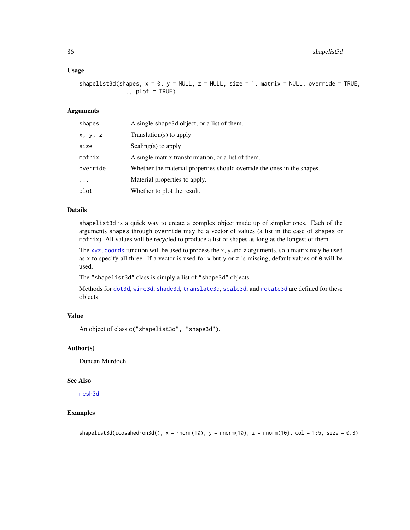## Usage

```
shapelist3d(shapes, x = 0, y = NULL, z = NULL, size = 1, matrix = NULL, override = TRUE,
            \ldots, plot = TRUE)
```
# Arguments

| shapes   | A single shape 3d object, or a list of them.                            |
|----------|-------------------------------------------------------------------------|
| x, y, z  | Translation( $s$ ) to apply                                             |
| size     | Scaling(s) to apply                                                     |
| matrix   | A single matrix transformation, or a list of them.                      |
| override | Whether the material properties should override the ones in the shapes. |
| $\cdots$ | Material properties to apply.                                           |
| plot     | Whether to plot the result.                                             |

# Details

shapelist3d is a quick way to create a complex object made up of simpler ones. Each of the arguments shapes through override may be a vector of values (a list in the case of shapes or matrix). All values will be recycled to produce a list of shapes as long as the longest of them.

The [xyz.coords](#page-0-0) function will be used to process the x, y and z arguments, so a matrix may be used as x to specify all three. If a vector is used for x but y or z is missing, default values of  $\theta$  will be used.

The "shapelist3d" class is simply a list of "shape3d" objects.

Methods for [dot3d](#page-25-0), [wire3d](#page-25-0), [shade3d](#page-25-0), [translate3d](#page-23-0), [scale3d](#page-23-0), and [rotate3d](#page-23-0) are defined for these objects.

## Value

An object of class c("shapelist3d", "shape3d").

#### Author(s)

Duncan Murdoch

#### See Also

[mesh3d](#page-25-1)

```
shapelist3d(icosahedron3d(), x = \text{rnorm}(10), y = \text{rnorm}(10), z = \text{rnorm}(10), col = 1:5, size = 0.3)
```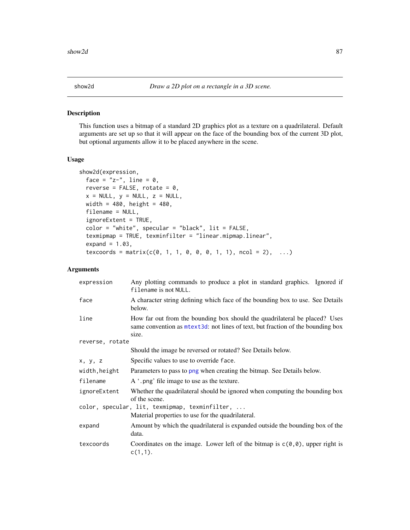## Description

This function uses a bitmap of a standard 2D graphics plot as a texture on a quadrilateral. Default arguments are set up so that it will appear on the face of the bounding box of the current 3D plot, but optional arguments allow it to be placed anywhere in the scene.

## Usage

```
show2d(expression,
 face = "z-", line = 0,
 reverse = FALSE, rotate = 0,x = NULL, y = NULL, z = NULL,width = 480, height = 480,
 filename = NULL,
  ignoreExtent = TRUE,
  color = "white", specular = "black", lit = FALSE,
  texmipmap = TRUE, texminfilter = "linear.mipmap.linear",
  expand = 1.03,
 texcoords = matrix(c(0, 1, 1, 0, 0, 0, 1, 1), ncol = 2), ...
```
# Arguments

| expression                                     | Any plotting commands to produce a plot in standard graphics. Ignored if<br>filename is not NULL.                                                                      |
|------------------------------------------------|------------------------------------------------------------------------------------------------------------------------------------------------------------------------|
| face                                           | A character string defining which face of the bounding box to use. See Details<br>below.                                                                               |
| line                                           | How far out from the bounding box should the quadrilateral be placed? Uses<br>same convention as mtext3d: not lines of text, but fraction of the bounding box<br>size. |
| reverse, rotate                                |                                                                                                                                                                        |
|                                                | Should the image be reversed or rotated? See Details below.                                                                                                            |
| x, y, z                                        | Specific values to use to override face.                                                                                                                               |
| width, height                                  | Parameters to pass to png when creating the bitmap. See Details below.                                                                                                 |
| filename                                       | A '.png' file image to use as the texture.                                                                                                                             |
| ignoreExtent                                   | Whether the quadrilateral should be ignored when computing the bounding box<br>of the scene.                                                                           |
| color, specular, lit, texmipmap, texminfilter, |                                                                                                                                                                        |
|                                                | Material properties to use for the quadrilateral.                                                                                                                      |
| expand                                         | Amount by which the quadrilateral is expanded outside the bounding box of the<br>data.                                                                                 |
| texcoords                                      | Coordinates on the image. Lower left of the bitmap is $c(\theta, \theta)$ , upper right is<br>$c(1,1)$ .                                                               |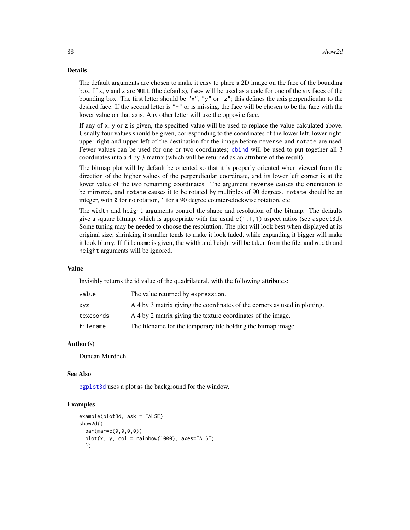## Details

The default arguments are chosen to make it easy to place a 2D image on the face of the bounding box. If x, y and z are NULL (the defaults), face will be used as a code for one of the six faces of the bounding box. The first letter should be "x", "y" or "z"; this defines the axis perpendicular to the desired face. If the second letter is "-" or is missing, the face will be chosen to be the face with the lower value on that axis. Any other letter will use the opposite face.

If any of x, y or z is given, the specified value will be used to replace the value calculated above. Usually four values should be given, corresponding to the coordinates of the lower left, lower right, upper right and upper left of the destination for the image before reverse and rotate are used. Fewer values can be used for one or two coordinates; [cbind](#page-0-0) will be used to put together all 3 coordinates into a 4 by 3 matrix (which will be returned as an attribute of the result).

The bitmap plot will by default be oriented so that it is properly oriented when viewed from the direction of the higher values of the perpendicular coordinate, and its lower left corner is at the lower value of the two remaining coordinates. The argument reverse causes the orientation to be mirrored, and rotate causes it to be rotated by multiples of 90 degrees. rotate should be an integer, with 0 for no rotation, 1 for a 90 degree counter-clockwise rotation, etc.

The width and height arguments control the shape and resolution of the bitmap. The defaults give a square bitmap, which is appropriate with the usual  $c(1,1,1)$  aspect ratios (see aspect 3d). Some tuning may be needed to choose the resoluttion. The plot will look best when displayed at its original size; shrinking it smaller tends to make it look faded, while expanding it bigger will make it look blurry. If filename is given, the width and height will be taken from the file, and width and height arguments will be ignored.

#### Value

Invisibly returns the id value of the quadrilateral, with the following attributes:

| The value returned by expression.                                          |
|----------------------------------------------------------------------------|
| A 4 by 3 matrix giving the coordinates of the corners as used in plotting. |
| A 4 by 2 matrix giving the texture coordinates of the image.               |
| The filename for the temporary file holding the bitmap image.              |
|                                                                            |

#### Author(s)

Duncan Murdoch

#### See Also

[bgplot3d](#page-12-0) uses a plot as the background for the window.

```
example(plot3d, ask = FALSE)
show2d({
 par(mar=c(0,0,0,0))
 plot(x, y, col = rainbow(1000), axes=FALSE)})
```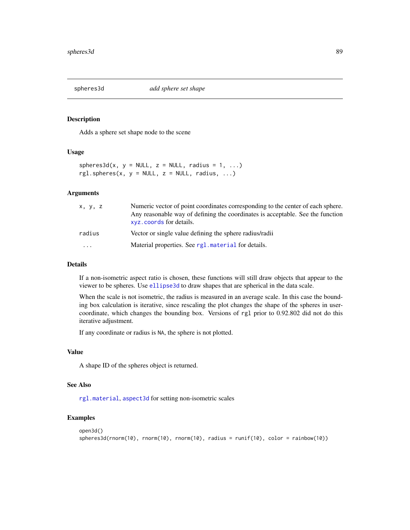#### Description

Adds a sphere set shape node to the scene

## Usage

```
spheres3d(x, y = NULL, z = NULL, radius = 1, ...)rgl.spheres(x, y = NULL, z = NULL, radius, ...)
```
## Arguments

| x, y, z | Numeric vector of point coordinates corresponding to the center of each sphere.<br>Any reasonable way of defining the coordinates is acceptable. See the function<br>xyz. coords for details. |
|---------|-----------------------------------------------------------------------------------------------------------------------------------------------------------------------------------------------|
| radius  | Vector or single value defining the sphere radius/radii                                                                                                                                       |
| $\cdot$ | Material properties. See rg1. material for details.                                                                                                                                           |

## Details

If a non-isometric aspect ratio is chosen, these functions will still draw objects that appear to the viewer to be spheres. Use [ellipse3d](#page-15-0) to draw shapes that are spherical in the data scale.

When the scale is not isometric, the radius is measured in an average scale. In this case the bounding box calculation is iterative, since rescaling the plot changes the shape of the spheres in usercoordinate, which changes the bounding box. Versions of rgl prior to 0.92.802 did not do this iterative adjustment.

If any coordinate or radius is NA, the sphere is not plotted.

#### Value

A shape ID of the spheres object is returned.

## See Also

[rgl.material](#page-61-0), [aspect3d](#page-7-0) for setting non-isometric scales

```
open3d()
spheres3d(rnorm(10), rnorm(10), rnorm(10), radius = runif(10), color = rainbow(10))
```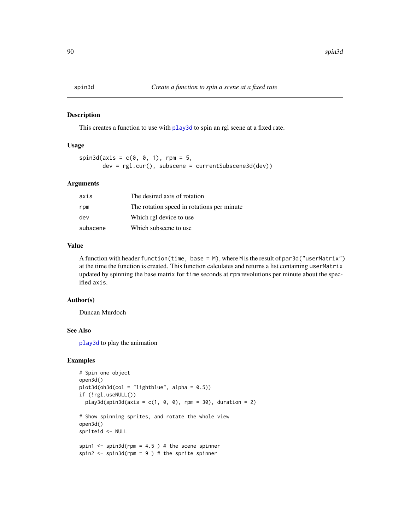#### Description

This creates a function to use with [play3d](#page-43-1) to spin an rgl scene at a fixed rate.

#### Usage

 $spin3d(axis = c(0, 0, 1), rpm = 5,$ dev = rgl.cur(), subscene = currentSubscene3d(dev))

## Arguments

| axis     | The desired axis of rotation                |
|----------|---------------------------------------------|
| rpm      | The rotation speed in rotations per minute. |
| dev      | Which rgl device to use                     |
| subscene | Which subscene to use                       |

#### Value

A function with header function(time, base = M), where M is the result of par3d("userMatrix") at the time the function is created. This function calculates and returns a list containing userMatrix updated by spinning the base matrix for time seconds at rpm revolutions per minute about the specified axis.

#### Author(s)

Duncan Murdoch

## See Also

[play3d](#page-43-1) to play the animation

```
# Spin one object
open3d()
plot3d(oh3d(col = "lightblue", alpha = 0.5))
if (!rgl.useNULL())
 play3d(spin3d(axis = c(1, 0, 0), rpm = 30), duration = 2)# Show spinning sprites, and rotate the whole view
open3d()
spriteid <- NULL
spin1 \le- spin3d(rpm = 4.5 ) # the scene spinner
spin2 \le spin3d(rpm = 9 ) # the sprite spinner
```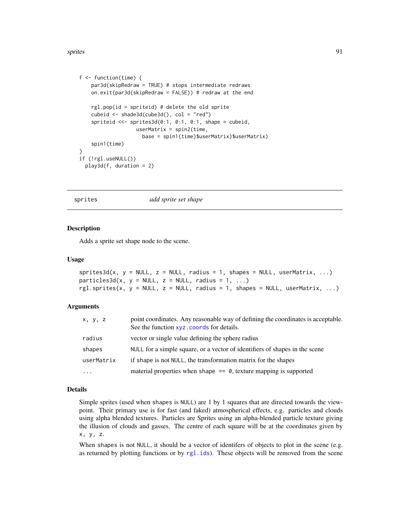sprites 91

```
f <- function(time) {
    par3d(skipRedraw = TRUE) # stops intermediate redraws
   on.exit(par3d(skipRedraw = FALSE)) # redraw at the end
    rgl.pop(id = spriteid) # delete the old sprite
    cubeid <- shade3d(cube3d(), col = "red")
    spriteid <<- sprites3d(0:1, 0:1, 0:1, shape = cubeid,
                   userMatrix = spin2(time,
                     base = spin1(time)$userMatrix)$userMatrix)
    spin1(time)
}
if (!rgl.useNULL())
 play3d(f, duration = 2)
```
sprites *add sprite set shape*

# Description

Adds a sprite set shape node to the scene.

#### Usage

```
sprites3d(x, y = NULL, z = NULL, radius = 1, shapes = NULL, userMatrix, ...)particles3d(x, y = NULL, z = NULL, radius = 1, ...)rgl.sprites(x, y = NULL, z = NULL, radius = 1, shapes = NULL, userMatrix, ...)
```
#### Arguments

| X, Y, Z    | point coordinates. Any reasonable way of defining the coordinates is acceptable.<br>See the function xyz. coords for details. |
|------------|-------------------------------------------------------------------------------------------------------------------------------|
| radius     | vector or single value defining the sphere radius                                                                             |
| shapes     | NULL for a simple square, or a vector of identifiers of shapes in the scene                                                   |
| userMatrix | if shape is not NULL, the transformation matrix for the shapes                                                                |
| $\ddotsc$  | material properties when shape $== 0$ , texture mapping is supported                                                          |

#### Details

Simple sprites (used when shapes is NULL) are 1 by 1 squares that are directed towards the viewpoint. Their primary use is for fast (and faked) atmospherical effects, e.g. particles and clouds using alpha blended textures. Particles are Sprites using an alpha-blended particle texture giving the illusion of clouds and gasses. The centre of each square will be at the coordinates given by x, y, z.

When shapes is not NULL, it should be a vector of identifers of objects to plot in the scene (e.g. as returned by plotting functions or by [rgl.ids](#page-78-0)). These objects will be removed from the scene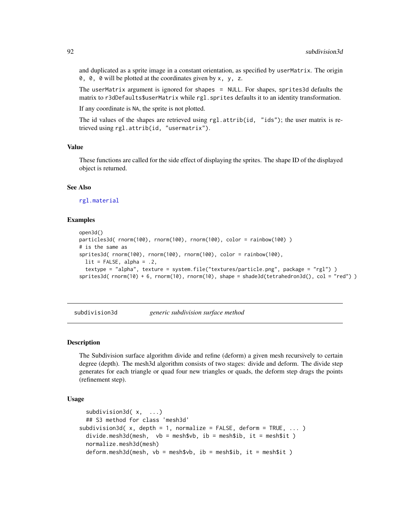and duplicated as a sprite image in a constant orientation, as specified by userMatrix. The origin 0, 0, 0 will be plotted at the coordinates given by x, y, z.

The userMatrix argument is ignored for shapes = NULL. For shapes, sprites3d defaults the matrix to r3dDefaults\$userMatrix while rgl.sprites defaults it to an identity transformation.

If any coordinate is NA, the sprite is not plotted.

The id values of the shapes are retrieved using rgl.attrib(id, "ids"); the user matrix is retrieved using rgl.attrib(id, "usermatrix").

# Value

These functions are called for the side effect of displaying the sprites. The shape ID of the displayed object is returned.

## See Also

[rgl.material](#page-61-0)

#### Examples

```
open3d()
particles3d( rnorm(100), rnorm(100), rnorm(100), color = rainbow(100) )
# is the same as
sprites3d( rnorm(100), rnorm(100), rnorm(100), color = rainbow(100),
 lit = FALSE, alpha = .2,textype = "alpha", texture = system.file("textures/particle.png", package = "rgl") )
sprites3d( rnorm(10) + 6, rnorm(10), rnorm(10), shape = shade3d(tetrahedron3d(), col = "red") )
```
subdivision3d *generic subdivision surface method*

## Description

The Subdivision surface algorithm divide and refine (deform) a given mesh recursively to certain degree (depth). The mesh3d algorithm consists of two stages: divide and deform. The divide step generates for each triangle or quad four new triangles or quads, the deform step drags the points (refinement step).

## Usage

```
subdivision3d(x, ...)
 ## S3 method for class 'mesh3d'
subdivision3d(x, depth = 1, normalize = FALSE, deform = TRUE, ... )
 divide.mesh3d(mesh, vb = mesh$vb, ib = mesh$ib, it = mesh$it )
 normalize.mesh3d(mesh)
 deform.mesh3d(mesh, vb = mesh$vb, ib = mesh$ib, it = mesh$it )
```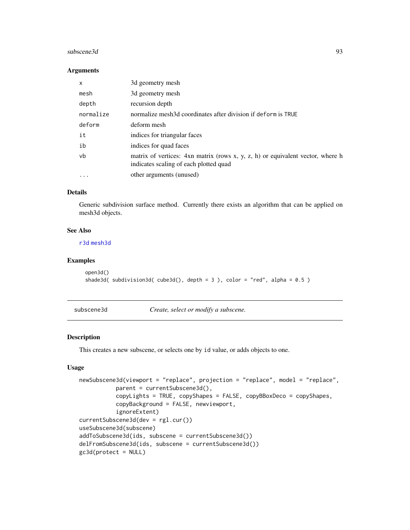#### subscene3d 93

#### Arguments

| $\mathsf{x}$ | 3d geometry mesh                                                                                                         |
|--------------|--------------------------------------------------------------------------------------------------------------------------|
| mesh         | 3d geometry mesh                                                                                                         |
| depth        | recursion depth                                                                                                          |
| normalize    | normalize mesh3d coordinates after division if deform is TRUE                                                            |
| deform       | deform mesh                                                                                                              |
| it           | indices for triangular faces                                                                                             |
| ib           | indices for quad faces                                                                                                   |
| vb           | matrix of vertices: 4xn matrix (rows x, y, z, h) or equivalent vector, where h<br>indicates scaling of each plotted quad |
| $\cdots$     | other arguments (unused)                                                                                                 |

# Details

Generic subdivision surface method. Currently there exists an algorithm that can be applied on mesh3d objects.

# See Also

[r3d](#page-54-0) [mesh3d](#page-25-1)

# Examples

```
open3d()
shade3d( subdivision3d( cube3d(), depth = 3 ), color = "red", alpha = 0.5 )
```
subscene3d *Create, select or modify a subscene.*

## <span id="page-92-0"></span>Description

This creates a new subscene, or selects one by id value, or adds objects to one.

## Usage

```
newSubscene3d(viewport = "replace", projection = "replace", model = "replace",
          parent = currentSubscene3d(),
           copyLights = TRUE, copyShapes = FALSE, copyBBoxDeco = copyShapes,
           copyBackground = FALSE, newviewport,
           ignoreExtent)
currentSubscene3d(dev = rgl.cur())
useSubscene3d(subscene)
addToSubscene3d(ids, subscene = currentSubscene3d())
delFromSubscene3d(ids, subscene = currentSubscene3d())
gc3d(protect = NULL)
```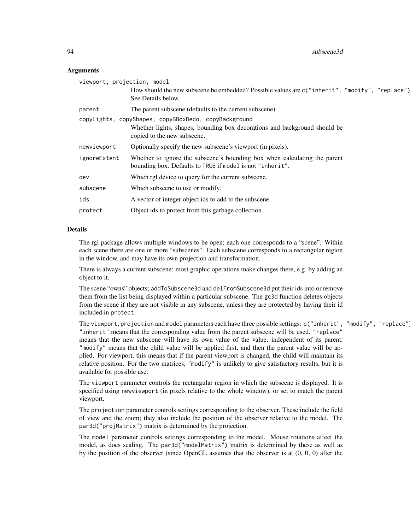## Arguments

| viewport, projection, model |                                                                                                                                        |
|-----------------------------|----------------------------------------------------------------------------------------------------------------------------------------|
|                             | How should the new subscene be embedded? Possible values are c("inherit", "modify", "replace")<br>See Details below.                   |
| parent                      | The parent subscene (defaults to the current subscene).                                                                                |
|                             | copyLights, copyShapes, copyBBoxDeco, copyBackground                                                                                   |
|                             | Whether lights, shapes, bounding box decorations and background should be<br>copied to the new subscene.                               |
| newviewport                 | Optionally specify the new subscene's viewport (in pixels).                                                                            |
| ignoreExtent                | Whether to ignore the subscene's bounding box when calculating the parent<br>bounding box. Defaults to TRUE if model is not "inherit". |
| dev                         | Which rgl device to query for the current subscene.                                                                                    |
| subscene                    | Which subscene to use or modify.                                                                                                       |
| ids                         | A vector of integer object ids to add to the subscene.                                                                                 |
| protect                     | Object ids to protect from this garbage collection.                                                                                    |

## Details

The rgl package allows multiple windows to be open; each one corresponds to a "scene". Within each scene there are one or more "subscenes". Each subscene corresponds to a rectangular region in the window, and may have its own projection and transformation.

There is always a current subscene: most graphic operations make changes there, e.g. by adding an object to it.

The scene "owns" objects; addToSubscene3d and delFromSubscene3d put their ids into or remove them from the list being displayed within a particular subscene. The gc3d function deletes objects from the scene if they are not visible in any subscene, unless they are protected by having their id included in protect.

The viewport, projection and model parameters each have three possible settings: c("inherit", "modify", "replace"). "inherit" means that the corresponding value from the parent subscene will be used. "replace" means that the new subscene will have its own value of the value, independent of its parent. "modify" means that the child value will be applied first, and then the parent value will be applied. For viewport, this means that if the parent viewport is changed, the child will maintain its relative position. For the two matrices, "modify" is unlikely to give satisfactory results, but it is available for possible use.

The viewport parameter controls the rectangular region in which the subscene is displayed. It is specified using newviewport (in pixels relative to the whole window), or set to match the parent viewport.

The projection parameter controls settings corresponding to the observer. These include the field of view and the zoom; they also include the position of the observer relative to the model. The par3d("projMatrix") matrix is determined by the projection.

The model parameter controls settings corresponding to the model. Mouse rotations affect the model, as does scaling. The par3d("modelMatrix") matrix is determined by these as well as by the position of the observer (since OpenGL assumes that the observer is at (0, 0, 0) after the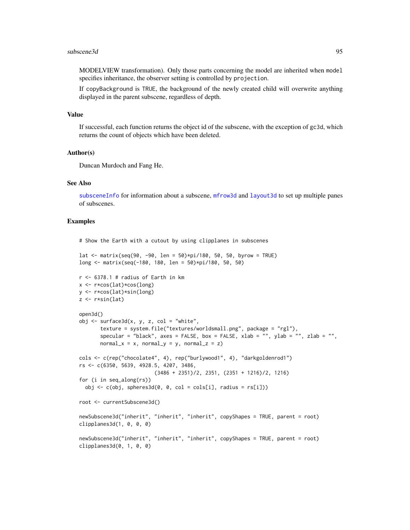#### subscene3d 95

MODELVIEW transformation). Only those parts concerning the model are inherited when model specifies inheritance, the observer setting is controlled by projection.

If copyBackground is TRUE, the background of the newly created child will overwrite anything displayed in the parent subscene, regardless of depth.

#### Value

If successful, each function returns the object id of the subscene, with the exception of gc3d, which returns the count of objects which have been deleted.

#### Author(s)

Duncan Murdoch and Fang He.

## See Also

[subsceneInfo](#page-95-0) for information about a subscene, [mfrow3d](#page-27-0) and [layout3d](#page-27-1) to set up multiple panes of subscenes.

```
# Show the Earth with a cutout by using clipplanes in subscenes
lat <- matrix(seq(90, -90, len = 50)*pi/180, 50, 50, byrow = TRUE)
long <- matrix(seq(-180, 180, len = 50)*pi/180, 50, 50)
r <- 6378.1 # radius of Earth in kmx \leftarrow r * cos(lat) * cos(long)y <- r*cos(lat)*sin(long)
z \leftarrow r * sin(lat)open3d()
obj \leq surface3d(x, y, z, col = "white",texture = system.file("textures/worldsmall.png", package = "rgl"),
       specular = "black", axes = FALSE, box = FALSE, xlab = "", ylab = "", zlab = "",
       normal_x = x, normal_y = y, normal_z = z)
cols <- c(rep("chocolate4", 4), rep("burlywood1", 4), "darkgoldenrod1")
rs <- c(6350, 5639, 4928.5, 4207, 3486,
                         (3486 + 2351)/2, 2351, (2351 + 1216)/2, 1216)
for (i in seq_along(rs))
  obj \leq c(obj, spheres3d(0, 0, col = cols[i], radius = rs[i]))
root <- currentSubscene3d()
newSubscene3d("inherit", "inherit", "inherit", copyShapes = TRUE, parent = root)
clipplanes3d(1, 0, 0, 0)
newSubscene3d("inherit", "inherit", "inherit", copyShapes = TRUE, parent = root)
clipplanes3d(0, 1, 0, 0)
```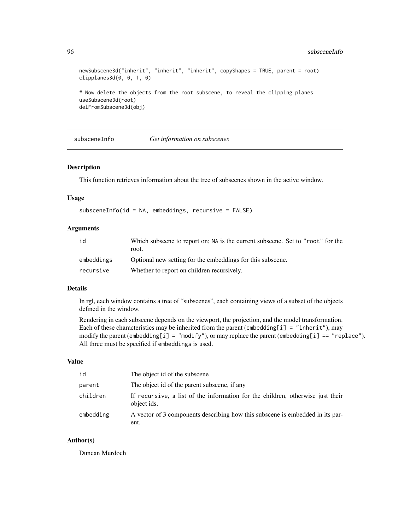```
newSubscene3d("inherit", "inherit", "inherit", copyShapes = TRUE, parent = root)
clipplanes3d(0, 0, 1, 0)
# Now delete the objects from the root subscene, to reveal the clipping planes
useSubscene3d(root)
delFromSubscene3d(obj)
```
<span id="page-95-0"></span>subsceneInfo *Get information on subscenes*

#### Description

This function retrieves information about the tree of subscenes shown in the active window.

## Usage

subsceneInfo(id = NA, embeddings, recursive = FALSE)

# Arguments

| id         | Which subscene to report on; NA is the current subscene. Set to "root" for the |
|------------|--------------------------------------------------------------------------------|
|            | root.                                                                          |
| embeddings | Optional new setting for the embeddings for this subscene.                     |
| recursive  | Whether to report on children recursively.                                     |

## Details

In rgl, each window contains a tree of "subscenes", each containing views of a subset of the objects defined in the window.

Rendering in each subscene depends on the viewport, the projection, and the model transformation. Each of these characteristics may be inherited from the parent (embedding[i] = "inherit"), may modify the parent (embedding[i] = "modify"), or may replace the parent (embedding[i] == "replace"). All three must be specified if embeddings is used.

#### Value

| id        | The object id of the subscene                                                                 |
|-----------|-----------------------------------------------------------------------------------------------|
| parent    | The object id of the parent subscene, if any                                                  |
| children  | If recursive, a list of the information for the children, otherwise just their<br>object ids. |
| embedding | A vector of 3 components describing how this subscene is embedded in its par-<br>ent.         |
|           |                                                                                               |

## Author(s)

Duncan Murdoch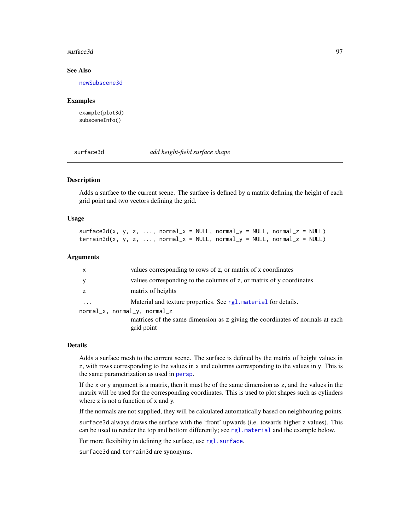#### surface3d 97

## See Also

[newSubscene3d](#page-92-0)

#### Examples

example(plot3d) subsceneInfo()

<span id="page-96-0"></span>surface3d *add height-field surface shape*

# <span id="page-96-1"></span>**Description**

Adds a surface to the current scene. The surface is defined by a matrix defining the height of each grid point and two vectors defining the grid.

## Usage

```
surface3d(x, y, z, ..., normal_x = NULL, normal_y = NULL, normal_z = NULL)\text{terrain3d}(x, y, z, ..., \text{normal}_x = \text{NULL}, \text{normal}_y = \text{NULL}, \text{normal}_z = \text{NULL})
```
# Arguments

| X | values corresponding to rows of z, or matrix of x coordinates                 |
|---|-------------------------------------------------------------------------------|
| y | values corresponding to the columns of z, or matrix of y coordinates          |
|   | matrix of heights                                                             |
| . | Material and texture properties. See rg1 material for details.                |
|   | normal_x, normal_y, normal_z                                                  |
|   | matrices of the same dimension as z giving the coordinates of normals at each |
|   | grid point                                                                    |

#### Details

Adds a surface mesh to the current scene. The surface is defined by the matrix of height values in z, with rows corresponding to the values in x and columns corresponding to the values in y. This is the same parametrization as used in [persp](#page-0-0).

If the x or y argument is a matrix, then it must be of the same dimension as z, and the values in the matrix will be used for the corresponding coordinates. This is used to plot shapes such as cylinders where z is not a function of x and y.

If the normals are not supplied, they will be calculated automatically based on neighbouring points.

surface3d always draws the surface with the 'front' upwards (i.e. towards higher z values). This can be used to render the top and bottom differently; see [rgl.material](#page-61-0) and the example below.

For more flexibility in defining the surface, use rgl. surface.

surface3d and terrain3d are synonyms.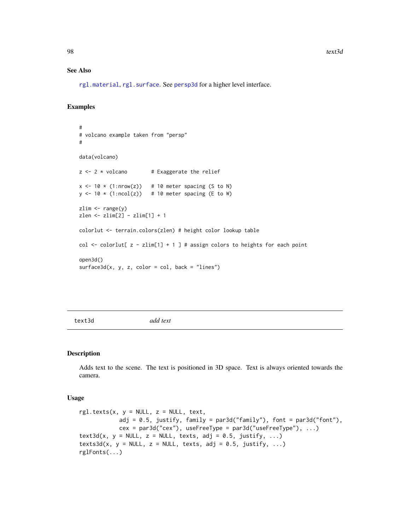## See Also

[rgl.material](#page-61-0), [rgl.surface](#page-73-0). See [persp3d](#page-37-0) for a higher level interface.

# Examples

```
#
# volcano example taken from "persp"
#
data(volcano)
z \le -2 * volcano # Exaggerate the relief
x \le -10 \times (1: nrow(z)) # 10 meter spacing (S to N)
y \le -10 \times (1:\text{ncol}(z)) # 10 meter spacing (E to W)
zlim \leftarrow range(y)zlen <- zlim[2] - zlim[1] + 1
colorlut <- terrain.colors(zlen) # height color lookup table
col \le - colorlut[ z - zlim[1] + 1 ] # assign colors to heights for each point
open3d()
surface3d(x, y, z, color = col, back = "lines")
```
text3d *add text*

## Description

Adds text to the scene. The text is positioned in 3D space. Text is always oriented towards the camera.

## Usage

```
rgl.text(x, y = NULL, z = NULL, text,adj = 0.5, justify, family = par3d("family"), font = par3d("font"),
           cex = par3d("cex"), useFreeType = par3d("useFreeType"), ...)
text3d(x, y = NULL, z = NULL, texts, adj = 0.5, justify, ...)text3d(x, y = NULL, z = NULL, texts, adj = 0.5, justify, ...)rglFonts(...)
```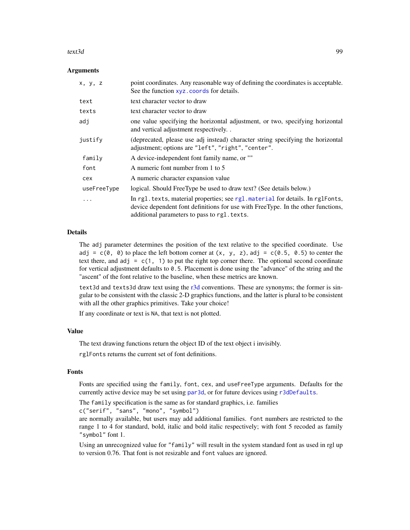#### text3d 99

#### Arguments

| x, y, z     | point coordinates. Any reasonable way of defining the coordinates is acceptable.<br>See the function xyz. coords for details.                                                                                       |
|-------------|---------------------------------------------------------------------------------------------------------------------------------------------------------------------------------------------------------------------|
| text        | text character vector to draw                                                                                                                                                                                       |
| texts       | text character vector to draw                                                                                                                                                                                       |
| adj         | one value specifying the horizontal adjustment, or two, specifying horizontal<br>and vertical adjustment respectively                                                                                               |
| justify     | (deprecated, please use adj instead) character string specifying the horizontal<br>adjustment; options are "left", "right", "center".                                                                               |
| family      | A device-independent font family name, or ""                                                                                                                                                                        |
| font        | A numeric font number from 1 to 5                                                                                                                                                                                   |
| cex         | A numeric character expansion value                                                                                                                                                                                 |
| useFreeType | logical. Should FreeType be used to draw text? (See details below.)                                                                                                                                                 |
| .           | In rgl. texts, material properties; see rgl. material for details. In rglFonts,<br>device dependent font definitions for use with FreeType. In the other functions,<br>additional parameters to pass to rgl. texts. |

# Details

The adj parameter determines the position of the text relative to the specified coordinate. Use adj =  $c(\emptyset, \emptyset)$  to place the left bottom corner at  $(x, y, z)$ , adj =  $c(\emptyset.5, \emptyset.5)$  to center the text there, and  $adj = c(1, 1)$  to put the right top corner there. The optional second coordinate for vertical adjustment defaults to 0.5. Placement is done using the "advance" of the string and the "ascent" of the font relative to the baseline, when these metrics are known.

text3d and texts3d draw text using the [r3d](#page-54-0) conventions. These are synonyms; the former is singular to be consistent with the classic 2-D graphics functions, and the latter is plural to be consistent with all the other graphics primitives. Take your choice!

If any coordinate or text is NA, that text is not plotted.

# Value

The text drawing functions return the object ID of the text object i invisibly.

rglFonts returns the current set of font definitions.

# Fonts

Fonts are specified using the family, font, cex, and useFreeType arguments. Defaults for the currently active device may be set using [par3d](#page-31-1), or for future devices using [r3dDefaults](#page-31-0).

The family specification is the same as for standard graphics, i.e. families

c("serif", "sans", "mono", "symbol")

are normally available, but users may add additional families. font numbers are restricted to the range 1 to 4 for standard, bold, italic and bold italic respectively; with font 5 recoded as family "symbol" font 1.

Using an unrecognized value for "family" will result in the system standard font as used in rgl up to version 0.76. That font is not resizable and font values are ignored.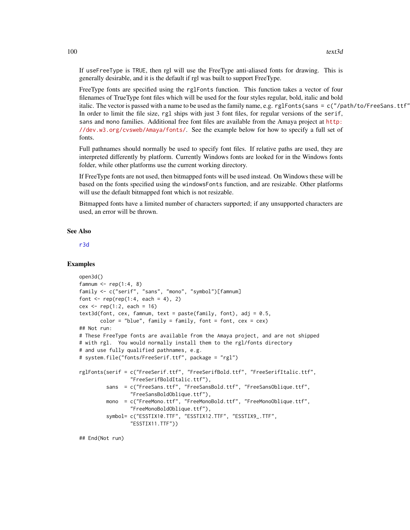If useFreeType is TRUE, then rgl will use the FreeType anti-aliased fonts for drawing. This is generally desirable, and it is the default if rgl was built to support FreeType.

FreeType fonts are specified using the rglFonts function. This function takes a vector of four filenames of TrueType font files which will be used for the four styles regular, bold, italic and bold italic. The vector is passed with a name to be used as the family name, e.g. rg1Fonts(sans =  $c''$ /path/to/FreeSans.ttf" In order to limit the file size, rgl ships with just 3 font files, for regular versions of the serif, sans and mono families. Additional free font files are available from the Amaya project at [http:](http://dev.w3.org/cvsweb/Amaya/fonts/) [//dev.w3.org/cvsweb/Amaya/fonts/](http://dev.w3.org/cvsweb/Amaya/fonts/). See the example below for how to specify a full set of fonts.

Full pathnames should normally be used to specify font files. If relative paths are used, they are interpreted differently by platform. Currently Windows fonts are looked for in the Windows fonts folder, while other platforms use the current working directory.

If FreeType fonts are not used, then bitmapped fonts will be used instead. On Windows these will be based on the fonts specified using the windowsFonts function, and are resizable. Other platforms will use the default bitmapped font which is not resizable.

Bitmapped fonts have a limited number of characters supported; if any unsupported characters are used, an error will be thrown.

#### See Also

[r3d](#page-54-0)

#### Examples

```
open3d()
famnum \leq rep(1:4, 8)
family <- c("serif", "sans", "mono", "symbol")[famnum]
font \leq rep(rep(1:4, each = 4), 2)
cex \le rep(1:2, each = 16)
text3d(font, cex, fammum, text = paste(family, font), adj = 0.5,color = "blue", family = family, font = font, cex = cex)## Not run:
# These FreeType fonts are available from the Amaya project, and are not shipped
# with rgl. You would normally install them to the rgl/fonts directory
# and use fully qualified pathnames, e.g.
# system.file("fonts/FreeSerif.ttf", package = "rgl")
rglFonts(serif = c("FreeSerif.ttf", "FreeSerifBold.ttf", "FreeSerifItalic.ttf",
                 "FreeSerifBoldItalic.ttf"),
         sans = c("FreeSans.ttf", "FreeSansBold.ttf", "FreeSansOblique.ttf",
                 "FreeSansBoldOblique.ttf"),
         mono = c("FreeMono.ttf", "FreeMonoBold.ttf", "FreeMonoOblique.ttf",
                 "FreeMonoBoldOblique.ttf"),
         symbol= c("ESSTIX10.TTF", "ESSTIX12.TTF", "ESSTIX9_.TTF",
                 "ESSTIX11.TTF"))
```
## End(Not run)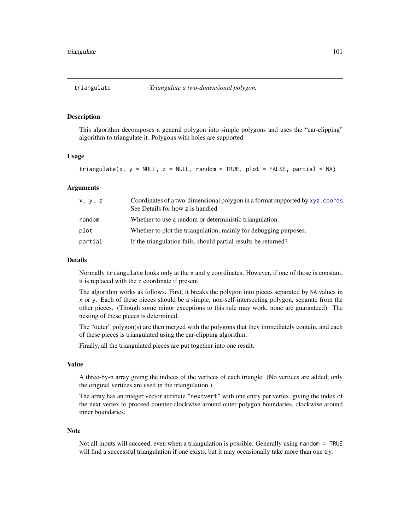## Description

This algorithm decomposes a general polygon into simple polygons and uses the "ear-clipping" algorithm to triangulate it. Polygons with holes are supported.

#### Usage

triangulate(x,  $y = NULL$ ,  $z = NULL$ , random = TRUE, plot = FALSE, partial = NA)

# Arguments

| x, y, z | Coordinates of a two-dimensional polygon in a format supported by xyz.coords.<br>See Details for how z is handled. |
|---------|--------------------------------------------------------------------------------------------------------------------|
| random  | Whether to use a random or deterministic triangulation.                                                            |
| plot    | Whether to plot the triangulation; mainly for debugging purposes.                                                  |
| partial | If the triangulation fails, should partial results be returned?                                                    |

## Details

Normally triangulate looks only at the x and y coordinates. However, if one of those is constant, it is replaced with the z coordinate if present.

The algorithm works as follows. First, it breaks the polygon into pieces separated by NA values in x or y. Each of these pieces should be a simple, non-self-intersecting polygon, separate from the other pieces. (Though some minor exceptions to this rule may work, none are guaranteed). The nesting of these pieces is determined.

The "outer" polygon(s) are then merged with the polygons that they immediately contain, and each of these pieces is triangulated using the ear-clipping algorithm.

Finally, all the triangulated pieces are put together into one result.

## Value

A three-by-n array giving the indices of the vertices of each triangle. (No vertices are added; only the original vertices are used in the triangulation.)

The array has an integer vector attribute "nextvert" with one entry per vertex, giving the index of the next vertex to proceed counter-clockwise around outer polygon boundaries, clockwise around inner boundaries.

#### Note

Not all inputs will succeed, even when a triangulation is possible. Generally using random = TRUE will find a successful triangulation if one exists, but it may occasionally take more than one try.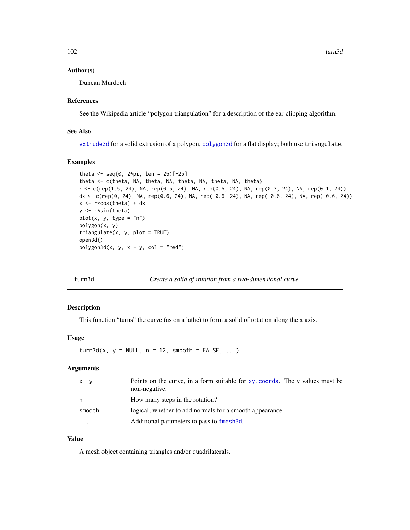102 turn3d turn3d turn3d turn3d turn3d turn3d turn3d turn3d turn3d turn3d turn3d turn3d turn3d turn3d turn3d turn3d turn3d turn3d turn3d turn3d turn3d turn3d turn3d turn3d turn3d turn3d turn3d turn3d turn3d turn3d turn3d t

#### Author(s)

Duncan Murdoch

## References

See the Wikipedia article "polygon triangulation" for a description of the ear-clipping algorithm.

# See Also

[extrude3d](#page-16-0) for a solid extrusion of a polygon, [polygon3d](#page-49-0) for a flat display; both use triangulate.

# Examples

```
theta <- seq(0, 2*pi, len = 25)[-25]theta <- c(theta, NA, theta, NA, theta, NA, theta, NA, theta)
r <- c(rep(1.5, 24), NA, rep(0.5, 24), NA, rep(0.5, 24), NA, rep(0.3, 24), NA, rep(0.1, 24))
dx <- c(rep(0, 24), NA, rep(0.6, 24), NA, rep(-0.6, 24), NA, rep(-0.6, 24), NA, rep(-0.6, 24))
x \leq -r \cdot cos(theta) + dxy <- r*sin(theta)
plot(x, y, type = "n")polygon(x, y)
triangle(x, y, plot = TRUE)open3d()
polygon3d(x, y, x - y, col = "red")
```
turn3d *Create a solid of rotation from a two-dimensional curve.*

## Description

This function "turns" the curve (as on a lathe) to form a solid of rotation along the x axis.

# Usage

 $turn3d(x, y = NULL, n = 12, smooth = FALSE, ...)$ 

# Arguments

| x, y      | Points on the curve, in a form suitable for xy, coords. The y values must be<br>non-negative. |
|-----------|-----------------------------------------------------------------------------------------------|
| n         | How many steps in the rotation?                                                               |
| smooth    | logical; whether to add normals for a smooth appearance.                                      |
| $\ddotsc$ | Additional parameters to pass to tmesh3d.                                                     |

# Value

A mesh object containing triangles and/or quadrilaterals.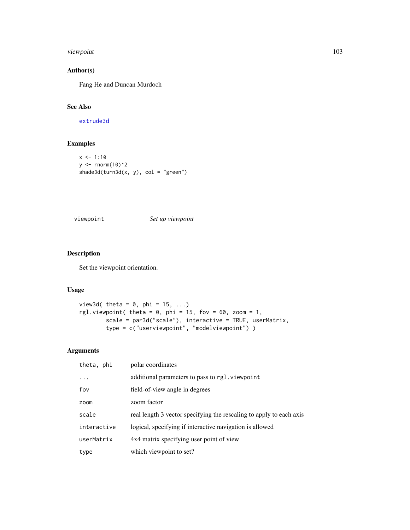#### viewpoint 103

# Author(s)

Fang He and Duncan Murdoch

# See Also

[extrude3d](#page-16-0)

# Examples

```
x \le -1:10y <- rnorm(10)^2
shade3d(turn3d(x, y), col = "green")
```
viewpoint *Set up viewpoint*

# <span id="page-102-0"></span>Description

Set the viewpoint orientation.

# Usage

```
view3d( theta = 0, phi = 15, ...)
rgl.viewpoint( theta = 0, phi = 15, fov = 60, zoom = 1,
        scale = par3d("scale"), interactive = TRUE, userMatrix,
       type = c("userviewpoint", "modelviewpoint") )
```
# Arguments

| theta, phi  | polar coordinates                                                   |
|-------------|---------------------------------------------------------------------|
| $\ddots$ .  | additional parameters to pass to rgl. viewpoint                     |
| fov         | field-of-view angle in degrees                                      |
| zoom        | zoom factor                                                         |
| scale       | real length 3 vector specifying the rescaling to apply to each axis |
| interactive | logical, specifying if interactive navigation is allowed            |
| userMatrix  | 4x4 matrix specifying user point of view                            |
| type        | which viewpoint to set?                                             |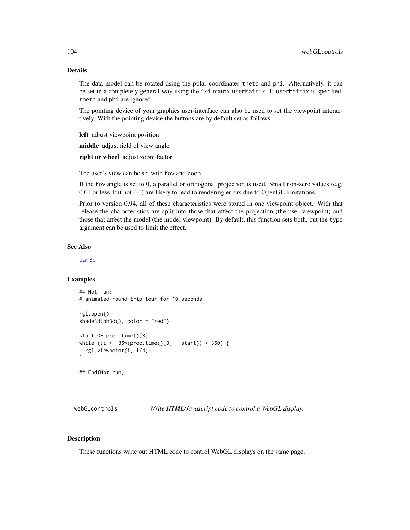## Details

The data model can be rotated using the polar coordinates theta and phi. Alternatively, it can be set in a completely general way using the 4x4 matrix userMatrix. If userMatrix is specified, theta and phi are ignored.

The pointing device of your graphics user-interface can also be used to set the viewpoint interactively. With the pointing device the buttons are by default set as follows:

left adjust viewpoint position

middle adjust field of view angle

right or wheel adjust zoom factor

The user's view can be set with fov and zoom.

If the fov angle is set to 0, a parallel or orthogonal projection is used. Small non-zero values (e.g. 0.01 or less, but not 0.0) are likely to lead to rendering errors due to OpenGL limitations.

Prior to version 0.94, all of these characteristics were stored in one viewpoint object. With that release the characteristics are split into those that affect the projection (the user viewpoint) and those that affect the model (the model viewpoint). By default, this function sets both, but the type argument can be used to limit the effect.

# See Also

[par3d](#page-31-1)

# Examples

```
## Not run:
# animated round trip tour for 10 seconds
rgl.open()
shade3d(oh3d(), color = "red")
start <- proc.time()[3]
while ((i \le 36*(proc.time))[3] - start)) < 360) {
 rgl.viewpoint(i, i/4);
}
## End(Not run)
```
webGLcontrols *Write HTML/Javascript code to control a WebGL display.*

# **Description**

These functions write out HTML code to control WebGL displays on the same page.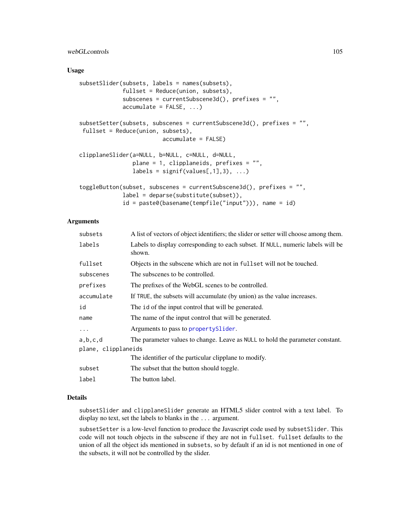# webGLcontrols 105

## Usage

```
subsetSlider(subsets, labels = names(subsets),
            fullset = Reduce(union, subsets),
             subscenes = currentSubscene3d(), prefixes = "",
             accumulate = FALSE, ...)subsetSetter(subsets, subscenes = currentSubscene3d(), prefixes = "",
fullset = Reduce(union, subsets),
                         accumulate = FALSE)
clipplaneSlider(a=NULL, b=NULL, c=NULL, d=NULL,
                plane = 1, clipplaneids, prefixes = "",
                labels = signif(values[, 1], 3), ...toggleButton(subset, subscenes = currentSubscene3d(), prefixes = "",
             label = deparse(substitute(subset)),
             id = paste0(basename(tempfile("input"))), name = id)
```
# Arguments

| subsets             | A list of vectors of object identifiers; the slider or setter will choose among them.     |  |
|---------------------|-------------------------------------------------------------------------------------------|--|
| labels              | Labels to display corresponding to each subset. If NULL, numeric labels will be<br>shown. |  |
| fullset             | Objects in the subscene which are not in fuller will not be touched.                      |  |
| subscenes           | The subscenes to be controlled.                                                           |  |
| prefixes            | The prefixes of the WebGL scenes to be controlled.                                        |  |
| accumulate          | If TRUE, the subsets will accumulate (by union) as the value increases.                   |  |
| id                  | The id of the input control that will be generated.                                       |  |
| name                | The name of the input control that will be generated.                                     |  |
| $\ddots$            | Arguments to pass to property Slider.                                                     |  |
| a,b,c,d             | The parameter values to change. Leave as NULL to hold the parameter constant.             |  |
| plane, clipplaneids |                                                                                           |  |
|                     | The identifier of the particular clipplane to modify.                                     |  |
| subset              | The subset that the button should toggle.                                                 |  |
| label               | The button label.                                                                         |  |
|                     |                                                                                           |  |

## Details

subsetSlider and clipplaneSlider generate an HTML5 slider control with a text label. To display no text, set the labels to blanks in the ... argument.

subsetSetter is a low-level function to produce the Javascript code used by subsetSlider. This code will not touch objects in the subscene if they are not in fullset. fullset defaults to the union of all the object ids mentioned in subsets, so by default if an id is not mentioned in one of the subsets, it will not be controlled by the slider.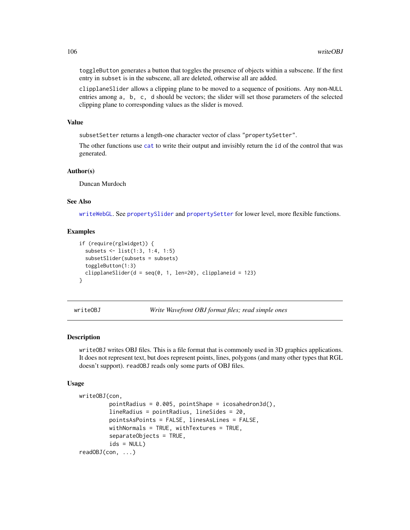toggleButton generates a button that toggles the presence of objects within a subscene. If the first entry in subset is in the subscene, all are deleted, otherwise all are added.

clipplaneSlider allows a clipping plane to be moved to a sequence of positions. Any non-NULL entries among a, b, c, d should be vectors; the slider will set those parameters of the selected clipping plane to corresponding values as the slider is moved.

# Value

subsetSetter returns a length-one character vector of class "propertySetter".

The other functions use [cat](#page-0-0) to write their output and invisibly return the id of the control that was generated.

#### Author(s)

Duncan Murdoch

## See Also

[writeWebGL](#page-109-0). See [propertySlider](#page-51-0) and [propertySetter](#page-51-1) for lower level, more flexible functions.

# Examples

```
if (require(rglwidget)) {
 subsets <- list(1:3, 1:4, 1:5)
 subsetSlider(subsets = subsets)
 toggleButton(1:3)
 clipplaneSlider(d = seq(0, 1, len=20), clipplaneid = 123)
}
```
<span id="page-105-0"></span>writeOBJ *Write Wavefront OBJ format files; read simple ones*

#### Description

writeOBJ writes OBJ files. This is a file format that is commonly used in 3D graphics applications. It does not represent text, but does represent points, lines, polygons (and many other types that RGL doesn't support). readOBJ reads only some parts of OBJ files.

#### Usage

```
writeOBJ(con,
         pointRadius = 0.005, pointShape = icosahedron3d(),
         lineRadius = pointRadius, lineSides = 20,
         pointsAsPoints = FALSE, linesAsLines = FALSE,
         withNormals = TRUE, withTextures = TRUE,
         separateObjects = TRUE,
         ids = NULL)readOBJ(con, ...)
```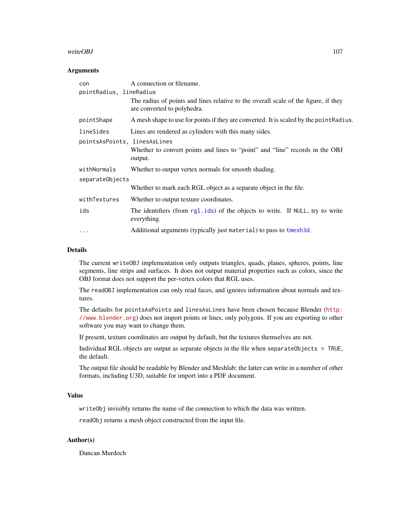#### writeOBJ 107

## Arguments

| con                          | A connection or filename.                                                                                          |  |
|------------------------------|--------------------------------------------------------------------------------------------------------------------|--|
| pointRadius, lineRadius      |                                                                                                                    |  |
|                              | The radius of points and lines relative to the overall scale of the figure, if they<br>are converted to polyhedra. |  |
| pointShape                   | A mesh shape to use for points if they are converted. It is scaled by the point Radius.                            |  |
| lineSides                    | Lines are rendered as cylinders with this many sides.                                                              |  |
| pointsAsPoints, linesAsLines |                                                                                                                    |  |
|                              | Whether to convert points and lines to "point" and "line" records in the OBJ<br>output.                            |  |
| withNormals                  | Whether to output vertex normals for smooth shading.                                                               |  |
| separateObjects              |                                                                                                                    |  |
|                              | Whether to mark each RGL object as a separate object in the file.                                                  |  |
| withTextures                 | Whether to output texture coordinates.                                                                             |  |
| ids                          | The identifiers (from rg1.ids) of the objects to write. If NULL, try to write<br>everything.                       |  |
| $\cdots$                     | Additional arguments (typically just material) to pass to tmesh3d.                                                 |  |

# Details

The current writeOBJ implementation only outputs triangles, quads, planes, spheres, points, line segments, line strips and surfaces. It does not output material properties such as colors, since the OBJ format does not support the per-vertex colors that RGL uses.

The readOBJ implementation can only read faces, and ignores information about normals and textures.

The defaults for pointsAsPoints and linesAsLines have been chosen because Blender ([http:](http://www.blender.org) [//www.blender.org](http://www.blender.org)) does not import points or lines, only polygons. If you are exporting to other software you may want to change them.

If present, texture coordinates are output by default, but the textures themselves are not.

Individual RGL objects are output as separate objects in the file when separateObjects = TRUE, the default.

The output file should be readable by Blender and Meshlab; the latter can write in a number of other formats, including U3D, suitable for import into a PDF document.

## Value

writeObj invisibly returns the name of the connection to which the data was written.

readObj returns a mesh object constructed from the input file.

## Author(s)

Duncan Murdoch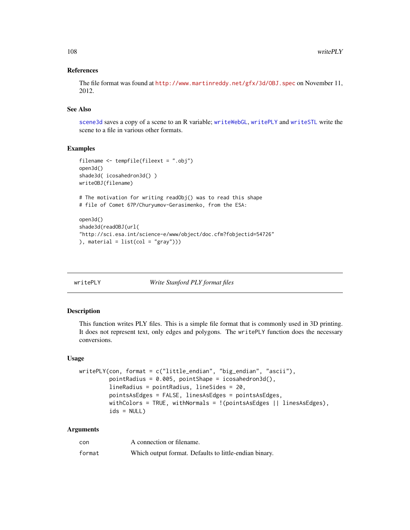# References

The file format was found at <http://www.martinreddy.net/gfx/3d/OBJ.spec> on November 11, 2012.

## See Also

[scene3d](#page-80-0) saves a copy of a scene to an R variable; [writeWebGL](#page-109-0), [writePLY](#page-107-0) and [writeSTL](#page-56-0) write the scene to a file in various other formats.

## Examples

```
filename <- tempfile(fileext = ".obj")
open3d()
shade3d( icosahedron3d() )
writeOBJ(filename)
# The motivation for writing readObj() was to read this shape
# file of Comet 67P/Churyumov-Gerasimenko, from the ESA:
open3d()
shade3d(readOBJ(url(
"http://sci.esa.int/science-e/www/object/doc.cfm?fobjectid=54726"
), material = list(col = "gray"))
```
<span id="page-107-0"></span>

| writePLY |
|----------|
|----------|

**Write Stanford PLY format files** 

#### Description

This function writes PLY files. This is a simple file format that is commonly used in 3D printing. It does not represent text, only edges and polygons. The writePLY function does the necessary conversions.

#### Usage

```
writePLY(con, format = c("little_endian", "big_endian", "ascii"),
         pointRadius = 0.005, pointShape = icosahedron3d(),
         lineRadius = pointRadius, lineSides = 20,
         pointsAsEdges = FALSE, linesAsEdges = pointsAsEdges,
         withColors = TRUE, withNormals = !(pointsAsEdges || linesAsEdges),
         ids = NULL)
```
#### Arguments

| con    | A connection or filename.                              |
|--------|--------------------------------------------------------|
| format | Which output format. Defaults to little-endian binary. |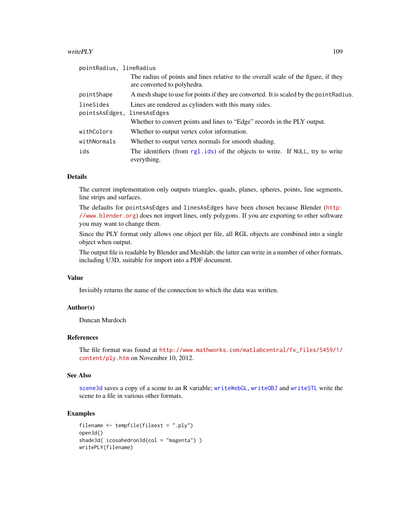#### <span id="page-108-0"></span>write  $PLY$  109

| pointRadius, lineRadius |                                                                                                                    |
|-------------------------|--------------------------------------------------------------------------------------------------------------------|
|                         | The radius of points and lines relative to the overall scale of the figure, if they<br>are converted to polyhedra. |
| pointShape              | A mesh shape to use for points if they are converted. It is scaled by the point Radius.                            |
| lineSides               | Lines are rendered as cylinders with this many sides.                                                              |
| pointsAsEdges,          | linesAsEdges                                                                                                       |
|                         | Whether to convert points and lines to "Edge" records in the PLY output.                                           |
| withColors              | Whether to output vertex color information.                                                                        |
| withNormals             | Whether to output vertex normals for smooth shading.                                                               |
| ids                     | The identifiers (from rg1.ids) of the objects to write. If NULL, try to write<br>everything.                       |

# Details

The current implementation only outputs triangles, quads, planes, spheres, points, line segments, line strips and surfaces.

The defaults for pointsAsEdges and linesAsEdges have been chosen because Blender ([http:](http://www.blender.org) [//www.blender.org](http://www.blender.org)) does not import lines, only polygons. If you are exporting to other software you may want to change them.

Since the PLY format only allows one object per file, all RGL objects are combined into a single object when output.

The output file is readable by Blender and Meshlab; the latter can write in a number of other formats, including U3D, suitable for import into a PDF document.

#### Value

Invisibly returns the name of the connection to which the data was written.

### Author(s)

Duncan Murdoch

# References

The file format was found at [http://www.mathworks.com/matlabcentral/fx\\_files/5459/1/](http://www.mathworks.com/matlabcentral/fx_files/5459/1/content/ply.htm) [content/ply.htm](http://www.mathworks.com/matlabcentral/fx_files/5459/1/content/ply.htm) on November 10, 2012.

# See Also

[scene3d](#page-80-0) saves a copy of a scene to an R variable; [writeWebGL](#page-109-0), [writeOBJ](#page-105-0) and [writeSTL](#page-56-0) write the scene to a file in various other formats.

# Examples

```
filename <- tempfile(fileext = ".ply")
open3d()
shade3d( icosahedron3d(col = "magenta") )
writePLY(filename)
```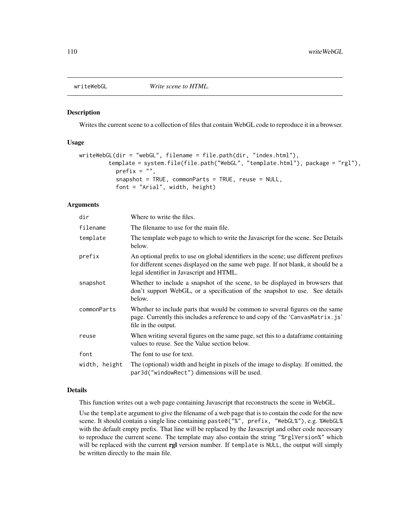<span id="page-109-1"></span><span id="page-109-0"></span>

#### Description

Writes the current scene to a collection of files that contain WebGL code to reproduce it in a browser.

# Usage

```
writeWebGL(dir = "webGL", filename = file.path(dir, "index.html"),
        template = system.file(file.path("WebGL", "template.html"), package = "rgl"),
           prefix = "",snapshot = TRUE, commonParts = TRUE, reuse = NULL,
           font = "Arial", width, height)
```
# Arguments

| dir           | Where to write the files.                                                                                                                                                                                             |
|---------------|-----------------------------------------------------------------------------------------------------------------------------------------------------------------------------------------------------------------------|
| filename      | The filename to use for the main file.                                                                                                                                                                                |
| template      | The template web page to which to write the Javascript for the scene. See Details<br>below.                                                                                                                           |
| prefix        | An optional prefix to use on global identifiers in the scene; use different prefixes<br>for different scenes displayed on the same web page. If not blank, it should be a<br>legal identifier in Javascript and HTML. |
| snapshot      | Whether to include a snapshot of the scene, to be displayed in browsers that<br>don't support WebGL, or a specification of the snapshot to use. See details<br>below.                                                 |
| commonParts   | Whether to include parts that would be common to several figures on the same<br>page. Currently this includes a reference to and copy of the 'CanvasMatrix.js'<br>file in the output.                                 |
| reuse         | When writing several figures on the same page, set this to a dataframe containing<br>values to reuse. See the Value section below.                                                                                    |
| font          | The font to use for text.                                                                                                                                                                                             |
| width, height | The (optional) width and height in pixels of the image to display. If omitted, the<br>par3d("windowRect") dimensions will be used.                                                                                    |

#### Details

This function writes out a web page containing Javascript that reconstructs the scene in WebGL.

Use the template argument to give the filename of a web page that is to contain the code for the new scene. It should contain a single line containing paste0("%", prefix, "WebGL%"), e.g. %WebGL% with the default empty prefix. That line will be replaced by the Javascript and other code necessary to reproduce the current scene. The template may also contain the string "%rglVersion%" which will be replaced with the current rgl version number. If template is NULL, the output will simply be written directly to the main file.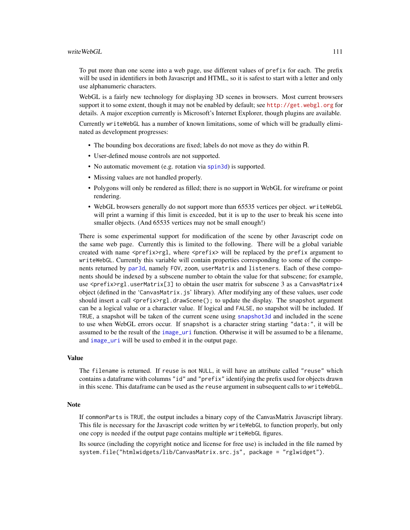#### <span id="page-110-0"></span>writeWebGL 111

To put more than one scene into a web page, use different values of prefix for each. The prefix will be used in identifiers in both Javascript and HTML, so it is safest to start with a letter and only use alphanumeric characters.

WebGL is a fairly new technology for displaying 3D scenes in browsers. Most current browsers support it to some extent, though it may not be enabled by default; see <http://get.webgl.org> for details. A major exception currently is Microsoft's Internet Explorer, though plugins are available.

Currently writeWebGL has a number of known limitations, some of which will be gradually eliminated as development progresses:

- The bounding box decorations are fixed; labels do not move as they do within R.
- User-defined mouse controls are not supported.
- No automatic movement (e.g. rotation via [spin3d](#page-89-0)) is supported.
- Missing values are not handled properly.
- Polygons will only be rendered as filled; there is no support in WebGL for wireframe or point rendering.
- WebGL browsers generally do not support more than 65535 vertices per object. writeWebGL will print a warning if this limit is exceeded, but it is up to the user to break his scene into smaller objects. (And 65535 vertices may not be small enough!)

There is some experimental support for modification of the scene by other Javascript code on the same web page. Currently this is limited to the following. There will be a global variable created with name  $\epsilon$ prefix>rgl, where  $\epsilon$ prefix> will be replaced by the prefix argument to writeWebGL. Currently this variable will contain properties corresponding to some of the components returned by [par3d](#page-31-0), namely FOV, zoom, userMatrix and listeners. Each of these components should be indexed by a subscene number to obtain the value for that subscene; for example, use <prefix>rgl.userMatrix[3] to obtain the user matrix for subscene 3 as a CanvasMatrix4 object (defined in the 'CanvasMatrix.js' library). After modifying any of these values, user code should insert a call  $\langle prefix\rangle \rightarrow rgl.drawScience()$ ; to update the display. The snapshot argument can be a logical value or a character value. If logical and FALSE, no snapshot will be included. If TRUE, a snapshot will be taken of the current scene using [snapshot3d](#page-72-0) and included in the scene to use when WebGL errors occur. If snapshot is a character string starting "data:", it will be assumed to be the result of the [image\\_uri](#page-0-0) function. Otherwise it will be assumed to be a filename, and [image\\_uri](#page-0-0) will be used to embed it in the output page.

#### Value

The filename is returned. If reuse is not NULL, it will have an attribute called "reuse" which contains a dataframe with columns "id" and "prefix" identifying the prefix used for objects drawn in this scene. This dataframe can be used as the reuse argument in subsequent calls to writeWebGL.

### Note

If commonParts is TRUE, the output includes a binary copy of the CanvasMatrix Javascript library. This file is necessary for the Javascript code written by writeWebGL to function properly, but only one copy is needed if the output page contains multiple writeWebGL figures.

Its source (including the copyright notice and license for free use) is included in the file named by system.file("htmlwidgets/lib/CanvasMatrix.src.js", package = "rglwidget").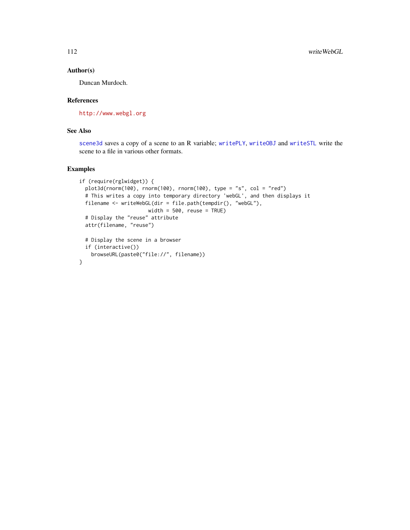# Author(s)

Duncan Murdoch.

# References

<http://www.webgl.org>

# See Also

[scene3d](#page-80-0) saves a copy of a scene to an R variable; [writePLY](#page-107-0), [writeOBJ](#page-105-0) and [writeSTL](#page-56-0) write the scene to a file in various other formats.

# Examples

```
if (require(rglwidget)) {
  plot3d(rnorm(100), rnorm(100), rnorm(100), type = "s", col = "red")# This writes a copy into temporary directory 'webGL', and then displays it
  filename <- writeWebGL(dir = file.path(tempdir(), "webGL"),
                      width = 500, reuse = TRUE)
  # Display the "reuse" attribute
  attr(filename, "reuse")
  # Display the scene in a browser
  if (interactive())
   browseURL(paste0("file://", filename))
}
```
<span id="page-111-0"></span>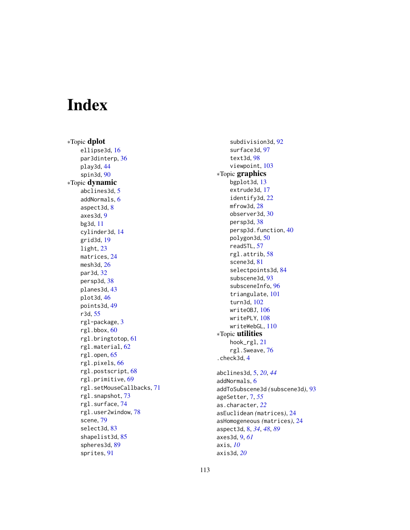# **Index**

∗Topic dplot ellipse3d , [16](#page-15-0) par3dinterp , [36](#page-35-0) play3d , [44](#page-43-0) spin3d , [90](#page-89-1) ∗Topic dynamic abclines3d , [5](#page-4-0) addNormals , [6](#page-5-0) aspect3d , [8](#page-7-0) axes3d , [9](#page-8-0) bg3d , [11](#page-10-0) cylinder3d , [14](#page-13-0) grid3d , [19](#page-18-0) light , [23](#page-22-0) matrices , [24](#page-23-0) mesh3d, [26](#page-25-0) par3d , [32](#page-31-1) persp3d , [38](#page-37-0) planes3d , [43](#page-42-0) plot3d , [46](#page-45-0) points3d , [49](#page-48-0) r3d , [55](#page-54-0) rgl-package , [3](#page-2-0) rgl.bbox , [60](#page-59-0) rgl.bringtotop , [61](#page-60-0) rgl.material , [62](#page-61-0) rgl.open, [65](#page-64-0) rgl.pixels , [66](#page-65-0) rgl.postscript , [68](#page-67-0) rgl.primitive , [69](#page-68-0) rgl.setMouseCallbacks , [71](#page-70-0) rgl.snapshot, [73](#page-72-1) rgl.surface , [74](#page-73-0) rgl.user2window , [78](#page-77-0) scene , [79](#page-78-1) select3d, [83](#page-82-0) shapelist3d , [85](#page-84-0) spheres3d , [89](#page-88-0) sprites , [91](#page-90-0)

subdivision3d , [92](#page-91-0) surface3d , [97](#page-96-0) text3d , [98](#page-97-0) viewpoint , [103](#page-102-0) ∗Topic graphics bgplot3d , [13](#page-12-0) extrude3d , [17](#page-16-0) identify3d , [22](#page-21-0) mfrow3d, [28](#page-27-0) observer3d, [30](#page-29-0) persp3d , [38](#page-37-0) persp3d.function , [40](#page-39-0) polygon3d , [50](#page-49-0) readSTL , [57](#page-56-1) rgl.attrib , [58](#page-57-0) scene3d, [81](#page-80-1) selectpoints3d , [84](#page-83-0) subscene3d, [93](#page-92-0) subsceneInfo, [96](#page-95-0) triangulate , [101](#page-100-0) turn3d , [102](#page-101-0) writeOBJ, [106](#page-105-1) writePLY, [108](#page-107-1) writeWebGL , [110](#page-109-1) ∗Topic utilities hook\_rgl , [21](#page-20-0) rgl.Sweave , [76](#page-75-0) .check3d , [4](#page-3-0) abclines3d , [5](#page-4-0) , *[20](#page-19-0)* , *[44](#page-43-0)* addNormals , [6](#page-5-0) addToSubscene3d *(*subscene3d *)* , [93](#page-92-0) ageSetter , [7](#page-6-0) , *[55](#page-54-0)* as.character , *[22](#page-21-0)* asEuclidean *(*matrices *)* , [24](#page-23-0) asHomogeneous *(*matrices *)* , [24](#page-23-0) aspect3d , [8](#page-7-0) , *[34](#page-33-0)* , *[48](#page-47-0)* , *[89](#page-88-0)* axes3d , [9](#page-8-0) , *[61](#page-60-0)* axis , *[10](#page-9-0)*

axis3d , *[20](#page-19-0)*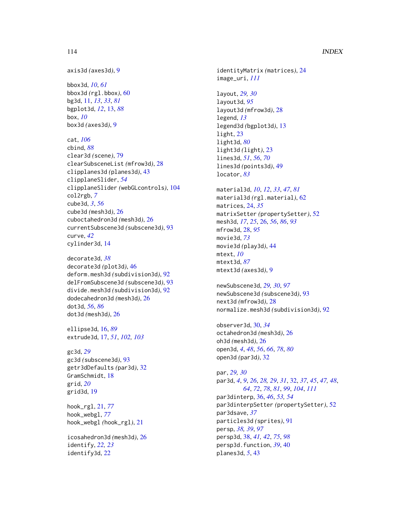# 114 INDEX

axis3d *(*axes3d*)*, [9](#page-8-0)

bbox3d, *[10](#page-9-0)*, *[61](#page-60-0)* bbox3d *(*rgl.bbox*)*, [60](#page-59-0) bg3d, [11,](#page-10-0) *[13](#page-12-0)*, *[33](#page-32-0)*, *[81](#page-80-1)* bgplot3d, *[12](#page-11-0)*, [13,](#page-12-0) *[88](#page-87-0)* box, *[10](#page-9-0)* box3d *(*axes3d*)*, [9](#page-8-0)

cat, *[106](#page-105-1)* cbind, *[88](#page-87-0)* clear3d *(*scene*)*, [79](#page-78-1) clearSubsceneList *(*mfrow3d*)*, [28](#page-27-0) clipplanes3d *(*planes3d*)*, [43](#page-42-0) clipplaneSlider, *[54](#page-53-0)* clipplaneSlider *(*webGLcontrols*)*, [104](#page-103-0) col2rgb, *[7](#page-6-0)* cube3d, *[3](#page-2-0)*, *[56](#page-55-0)* cube3d *(*mesh3d*)*, [26](#page-25-0) cuboctahedron3d *(*mesh3d*)*, [26](#page-25-0) currentSubscene3d *(*subscene3d*)*, [93](#page-92-0) curve, *[42](#page-41-0)* cylinder3d, [14](#page-13-0)

decorate3d, *[38](#page-37-0)* decorate3d *(*plot3d*)*, [46](#page-45-0) deform.mesh3d *(*subdivision3d*)*, [92](#page-91-0) delFromSubscene3d *(*subscene3d*)*, [93](#page-92-0) divide.mesh3d *(*subdivision3d*)*, [92](#page-91-0) dodecahedron3d *(*mesh3d*)*, [26](#page-25-0) dot3d, *[56](#page-55-0)*, *[86](#page-85-0)* dot3d *(*mesh3d*)*, [26](#page-25-0)

ellipse3d, [16,](#page-15-0) *[89](#page-88-0)* extrude3d, [17,](#page-16-0) *[51](#page-50-0)*, *[102,](#page-101-0) [103](#page-102-0)*

gc3d, *[29](#page-28-0)* gc3d *(*subscene3d*)*, [93](#page-92-0) getr3dDefaults *(*par3d*)*, [32](#page-31-1) GramSchmidt, [18](#page-17-0) grid, *[20](#page-19-0)* grid3d, [19](#page-18-0)

hook\_rgl, [21,](#page-20-0) *[77](#page-76-0)* hook\_webgl, *[77](#page-76-0)* hook\_webgl *(*hook\_rgl*)*, [21](#page-20-0)

icosahedron3d *(*mesh3d*)*, [26](#page-25-0) identify, *[22,](#page-21-0) [23](#page-22-0)* identify3d, [22](#page-21-0)

identityMatrix *(*matrices*)*, [24](#page-23-0) image\_uri, *[111](#page-110-0)* layout, *[29,](#page-28-0) [30](#page-29-0)* layout3d, *[95](#page-94-0)* layout3d *(*mfrow3d*)*, [28](#page-27-0) legend, *[13](#page-12-0)* legend3d *(*bgplot3d*)*, [13](#page-12-0) light, [23](#page-22-0) light3d, *[80](#page-79-0)* light3d *(*light*)*, [23](#page-22-0) lines3d, *[51](#page-50-0)*, *[56](#page-55-0)*, *[70](#page-69-0)* lines3d *(*points3d*)*, [49](#page-48-0) locator, *[83](#page-82-0)* material3d, *[10](#page-9-0)*, *[12](#page-11-0)*, *[33](#page-32-0)*, *[47](#page-46-0)*, *[81](#page-80-1)* material3d *(*rgl.material*)*, [62](#page-61-0) matrices, [24,](#page-23-0) *[35](#page-34-0)* matrixSetter *(*propertySetter*)*, [52](#page-51-0) mesh3d, *[17](#page-16-0)*, *[25](#page-24-0)*, [26,](#page-25-0) *[56](#page-55-0)*, *[86](#page-85-0)*, *[93](#page-92-0)* mfrow3d, [28,](#page-27-0) *[95](#page-94-0)* movie3d, *[73](#page-72-1)* movie3d *(*play3d*)*, [44](#page-43-0) mtext, *[10](#page-9-0)* mtext3d, *[87](#page-86-0)* mtext3d *(*axes3d*)*, [9](#page-8-0) newSubscene3d, *[29,](#page-28-0) [30](#page-29-0)*, *[97](#page-96-0)*

newSubscene3d *(*subscene3d*)*, [93](#page-92-0) next3d *(*mfrow3d*)*, [28](#page-27-0) normalize.mesh3d *(*subdivision3d*)*, [92](#page-91-0)

observer3d, [30,](#page-29-0) *[34](#page-33-0)* octahedron3d *(*mesh3d*)*, [26](#page-25-0) oh3d *(*mesh3d*)*, [26](#page-25-0) open3d, *[4](#page-3-0)*, *[48](#page-47-0)*, *[56](#page-55-0)*, *[66](#page-65-0)*, *[78](#page-77-0)*, *[80](#page-79-0)* open3d *(*par3d*)*, [32](#page-31-1)

par, *[29,](#page-28-0) [30](#page-29-0)* par3d, *[4](#page-3-0)*, *[9](#page-8-0)*, *[26](#page-25-0)*, *[28,](#page-27-0) [29](#page-28-0)*, *[31](#page-30-0)*, [32,](#page-31-1) *[37](#page-36-0)*, *[45](#page-44-0)*, *[47,](#page-46-0) [48](#page-47-0)*, *[64](#page-63-0)*, *[72](#page-71-0)*, *[78](#page-77-0)*, *[81](#page-80-1)*, *[99](#page-98-0)*, *[104](#page-103-0)*, *[111](#page-110-0)* par3dinterp, [36,](#page-35-0) *[46](#page-45-0)*, *[53,](#page-52-0) [54](#page-53-0)* par3dinterpSetter *(*propertySetter*)*, [52](#page-51-0) par3dsave, *[37](#page-36-0)* particles3d *(*sprites*)*, [91](#page-90-0) persp, *[38,](#page-37-0) [39](#page-38-0)*, *[97](#page-96-0)* persp3d, [38,](#page-37-0) *[41,](#page-40-0) [42](#page-41-0)*, *[75](#page-74-0)*, *[98](#page-97-0)* persp3d.function, *[39](#page-38-0)*, [40](#page-39-0) planes3d, *[5](#page-4-0)*, [43](#page-42-0)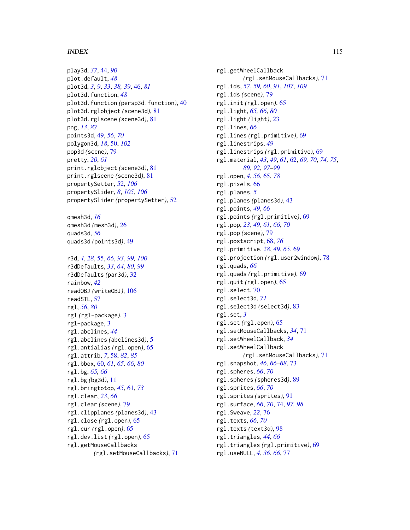### INDEX 115

play3d, *[37](#page-36-0)*, [44,](#page-43-0) *[90](#page-89-1)* plot.default, *[48](#page-47-0)* plot3d, *[3](#page-2-0)*, *[9](#page-8-0)*, *[33](#page-32-0)*, *[38,](#page-37-0) [39](#page-38-0)*, [46,](#page-45-0) *[81](#page-80-1)* plot3d.function, *[48](#page-47-0)* plot3d.function *(*persp3d.function*)*, [40](#page-39-0) plot3d.rglobject *(*scene3d*)*, [81](#page-80-1) plot3d.rglscene *(*scene3d*)*, [81](#page-80-1) png, *[13](#page-12-0)*, *[87](#page-86-0)* points3d, [49,](#page-48-0) *[56](#page-55-0)*, *[70](#page-69-0)* polygon3d, *[18](#page-17-0)*, [50,](#page-49-0) *[102](#page-101-0)* pop3d *(*scene*)*, [79](#page-78-1) pretty, *[20](#page-19-0)*, *[61](#page-60-0)* print.rglobject *(*scene3d*)*, [81](#page-80-1) print.rglscene *(*scene3d*)*, [81](#page-80-1) propertySetter, [52,](#page-51-0) *[106](#page-105-1)* propertySlider, *[8](#page-7-0)*, *[105,](#page-104-0) [106](#page-105-1)* propertySlider *(*propertySetter*)*, [52](#page-51-0) qmesh3d, *[16](#page-15-0)* qmesh3d *(*mesh3d*)*, [26](#page-25-0) quads3d, *[56](#page-55-0)* quads3d *(*points3d*)*, [49](#page-48-0) r3d, *[4](#page-3-0)*, *[28](#page-27-0)*, [55,](#page-54-0) *[66](#page-65-0)*, *[93](#page-92-0)*, *[99,](#page-98-0) [100](#page-99-0)* r3dDefaults, *[33](#page-32-0)*, *[64](#page-63-0)*, *[80](#page-79-0)*, *[99](#page-98-0)* r3dDefaults *(*par3d*)*, [32](#page-31-1) rainbow, *[42](#page-41-0)* readOBJ *(*writeOBJ*)*, [106](#page-105-1) readSTL, [57](#page-56-1) rgl, *[56](#page-55-0)*, *[80](#page-79-0)* rgl *(*rgl-package*)*, [3](#page-2-0) rgl-package, [3](#page-2-0) rgl.abclines, *[44](#page-43-0)* rgl.abclines *(*abclines3d*)*, [5](#page-4-0) rgl.antialias *(*rgl.open*)*, [65](#page-64-0) rgl.attrib, *[7](#page-6-0)*, [58,](#page-57-0) *[82](#page-81-0)*, *[85](#page-84-0)* rgl.bbox, [60,](#page-59-0) *[61](#page-60-0)*, *[65,](#page-64-0) [66](#page-65-0)*, *[80](#page-79-0)* rgl.bg, *[65,](#page-64-0) [66](#page-65-0)* rgl.bg *(*bg3d*)*, [11](#page-10-0) rgl.bringtotop, *[45](#page-44-0)*, [61,](#page-60-0) *[73](#page-72-1)* rgl.clear, *[23](#page-22-0)*, *[66](#page-65-0)* rgl.clear *(*scene*)*, [79](#page-78-1) rgl.clipplanes *(*planes3d*)*, [43](#page-42-0) rgl.close *(*rgl.open*)*, [65](#page-64-0) rgl.cur *(*rgl.open*)*, [65](#page-64-0) rgl.dev.list *(*rgl.open*)*, [65](#page-64-0) rgl.getMouseCallbacks *(*rgl.setMouseCallbacks*)*, [71](#page-70-0)

rgl.getWheelCallback *(*rgl.setMouseCallbacks*)*, [71](#page-70-0) rgl.ids, *[57](#page-56-1)*, *[59,](#page-58-0) [60](#page-59-0)*, *[91](#page-90-0)*, *[107](#page-106-0)*, *[109](#page-108-0)* rgl.ids *(*scene*)*, [79](#page-78-1) rgl.init *(*rgl.open*)*, [65](#page-64-0) rgl.light, *[65,](#page-64-0) [66](#page-65-0)*, *[80](#page-79-0)* rgl.light *(*light*)*, [23](#page-22-0) rgl.lines, *[66](#page-65-0)* rgl.lines *(*rgl.primitive*)*, [69](#page-68-0) rgl.linestrips, *[49](#page-48-0)* rgl.linestrips *(*rgl.primitive*)*, [69](#page-68-0) rgl.material, *[43](#page-42-0)*, *[49](#page-48-0)*, *[61](#page-60-0)*, [62,](#page-61-0) *[69,](#page-68-0) [70](#page-69-0)*, *[74,](#page-73-0) [75](#page-74-0)*, *[89](#page-88-0)*, *[92](#page-91-0)*, *[97](#page-96-0)[–99](#page-98-0)* rgl.open, *[4](#page-3-0)*, *[56](#page-55-0)*, [65,](#page-64-0) *[78](#page-77-0)* rgl.pixels, [66](#page-65-0) rgl.planes, *[5](#page-4-0)* rgl.planes *(*planes3d*)*, [43](#page-42-0) rgl.points, *[49](#page-48-0)*, *[66](#page-65-0)* rgl.points *(*rgl.primitive*)*, [69](#page-68-0) rgl.pop, *[23](#page-22-0)*, *[49](#page-48-0)*, *[61](#page-60-0)*, *[66](#page-65-0)*, *[70](#page-69-0)* rgl.pop *(*scene*)*, [79](#page-78-1) rgl.postscript, [68,](#page-67-0) *[76](#page-75-0)* rgl.primitive, *[28](#page-27-0)*, *[49](#page-48-0)*, *[65](#page-64-0)*, [69](#page-68-0) rgl.projection *(*rgl.user2window*)*, [78](#page-77-0) rgl.quads, *[66](#page-65-0)* rgl.quads *(*rgl.primitive*)*, [69](#page-68-0) rgl.quit *(*rgl.open*)*, [65](#page-64-0) rgl.select, [70](#page-69-0) rgl.select3d, *[71](#page-70-0)* rgl.select3d *(*select3d*)*, [83](#page-82-0) rgl.set, *[3](#page-2-0)* rgl.set *(*rgl.open*)*, [65](#page-64-0) rgl.setMouseCallbacks, *[34](#page-33-0)*, [71](#page-70-0) rgl.setWheelCallback, *[34](#page-33-0)* rgl.setWheelCallback *(*rgl.setMouseCallbacks*)*, [71](#page-70-0) rgl.snapshot, *[46](#page-45-0)*, *[66](#page-65-0)[–68](#page-67-0)*, [73](#page-72-1) rgl.spheres, *[66](#page-65-0)*, *[70](#page-69-0)* rgl.spheres *(*spheres3d*)*, [89](#page-88-0) rgl.sprites, *[66](#page-65-0)*, *[70](#page-69-0)* rgl.sprites *(*sprites*)*, [91](#page-90-0) rgl.surface, *[66](#page-65-0)*, *[70](#page-69-0)*, [74,](#page-73-0) *[97,](#page-96-0) [98](#page-97-0)* rgl.Sweave, *[22](#page-21-0)*, [76](#page-75-0) rgl.texts, *[66](#page-65-0)*, *[70](#page-69-0)* rgl.texts *(*text3d*)*, [98](#page-97-0) rgl.triangles, *[44](#page-43-0)*, *[66](#page-65-0)* rgl.triangles *(*rgl.primitive*)*, [69](#page-68-0)

rgl.useNULL, *[4](#page-3-0)*, *[36](#page-35-0)*, *[66](#page-65-0)*, [77](#page-76-0)